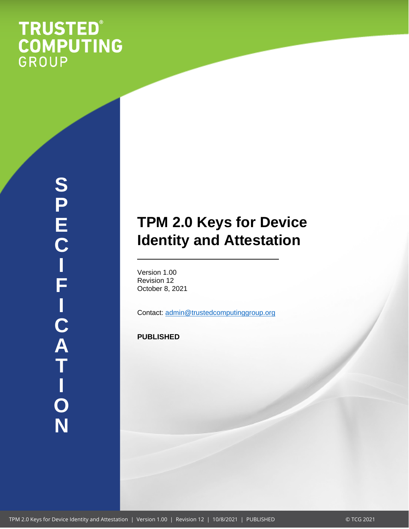# **TRUSTED®<br>COMPUTING**<br>GROUP

# **TPM 2.0 Keys for Device Identity and Attestation**

Version 1.00 Revision 12 October 8, 2021

Contact: [admin@trustedcomputinggroup.org](mailto:admin@trustedcomputinggroup.org)

**PUBLISHED**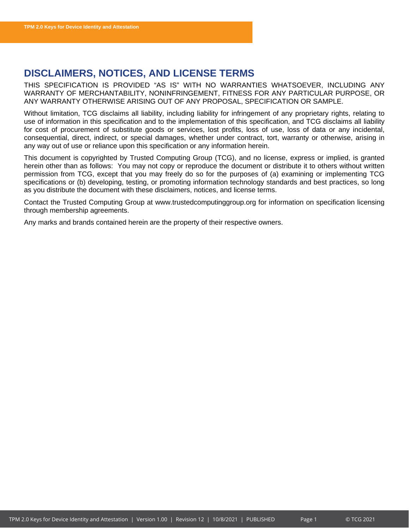# <span id="page-1-0"></span>**DISCLAIMERS, NOTICES, AND LICENSE TERMS**

THIS SPECIFICATION IS PROVIDED "AS IS" WITH NO WARRANTIES WHATSOEVER, INCLUDING ANY WARRANTY OF MERCHANTABILITY, NONINFRINGEMENT, FITNESS FOR ANY PARTICULAR PURPOSE, OR ANY WARRANTY OTHERWISE ARISING OUT OF ANY PROPOSAL, SPECIFICATION OR SAMPLE.

Without limitation, TCG disclaims all liability, including liability for infringement of any proprietary rights, relating to use of information in this specification and to the implementation of this specification, and TCG disclaims all liability for cost of procurement of substitute goods or services, lost profits, loss of use, loss of data or any incidental, consequential, direct, indirect, or special damages, whether under contract, tort, warranty or otherwise, arising in any way out of use or reliance upon this specification or any information herein.

This document is copyrighted by Trusted Computing Group (TCG), and no license, express or implied, is granted herein other than as follows: You may not copy or reproduce the document or distribute it to others without written permission from TCG, except that you may freely do so for the purposes of (a) examining or implementing TCG specifications or (b) developing, testing, or promoting information technology standards and best practices, so long as you distribute the document with these disclaimers, notices, and license terms.

Contact the Trusted Computing Group at www.trustedcomputinggroup.org for information on specification licensing through membership agreements.

Any marks and brands contained herein are the property of their respective owners.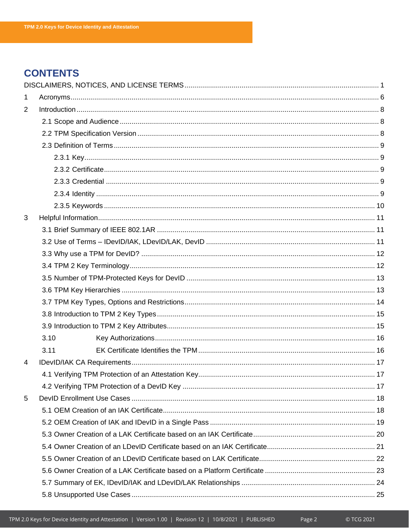# **CONTENTS**

| $\mathbf 1$    |      |  |  |
|----------------|------|--|--|
| $\overline{2}$ |      |  |  |
|                |      |  |  |
|                |      |  |  |
|                |      |  |  |
|                |      |  |  |
|                |      |  |  |
|                |      |  |  |
|                |      |  |  |
|                |      |  |  |
| 3              |      |  |  |
|                |      |  |  |
|                |      |  |  |
|                |      |  |  |
|                |      |  |  |
|                |      |  |  |
|                |      |  |  |
|                |      |  |  |
|                |      |  |  |
|                |      |  |  |
|                | 3.10 |  |  |
|                | 3.11 |  |  |
| $\overline{4}$ |      |  |  |
|                |      |  |  |
|                |      |  |  |
| 5              |      |  |  |
|                |      |  |  |
|                |      |  |  |
|                |      |  |  |
|                |      |  |  |
|                |      |  |  |
|                |      |  |  |
|                |      |  |  |
|                |      |  |  |

Page 2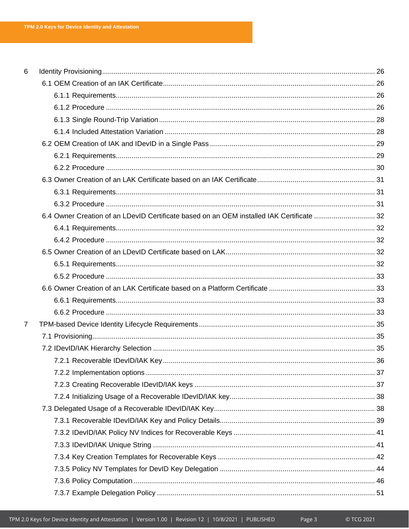| 6              |  |
|----------------|--|
|                |  |
|                |  |
|                |  |
|                |  |
|                |  |
|                |  |
|                |  |
|                |  |
|                |  |
|                |  |
|                |  |
|                |  |
|                |  |
|                |  |
|                |  |
|                |  |
|                |  |
|                |  |
|                |  |
|                |  |
| $\overline{7}$ |  |
|                |  |
|                |  |
|                |  |
|                |  |
|                |  |
|                |  |
|                |  |
|                |  |
|                |  |
|                |  |
|                |  |
|                |  |
|                |  |
|                |  |
|                |  |

Page 3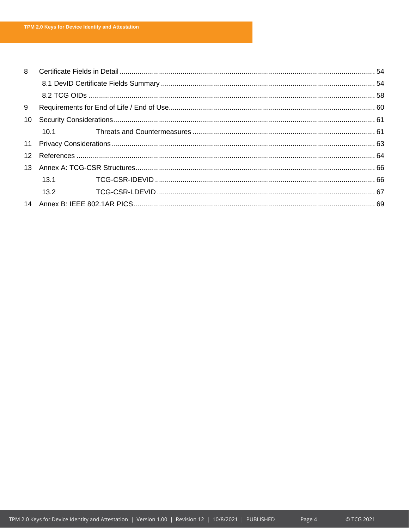| 8               |      |  |  |
|-----------------|------|--|--|
|                 |      |  |  |
|                 |      |  |  |
| 9               |      |  |  |
| 10 <sup>1</sup> |      |  |  |
|                 | 10.1 |  |  |
|                 |      |  |  |
|                 |      |  |  |
|                 |      |  |  |
|                 | 13.1 |  |  |
|                 | 13.2 |  |  |
|                 |      |  |  |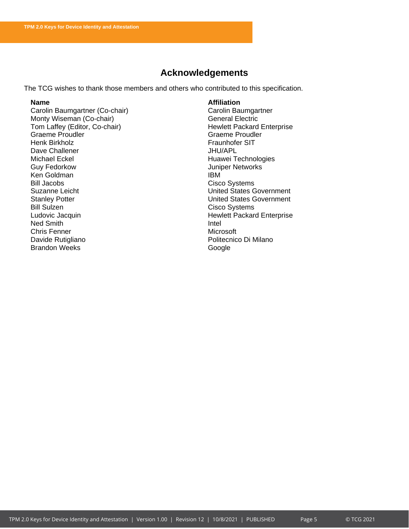# **Acknowledgements**

The TCG wishes to thank those members and others who contributed to this specification.

Carolin Baumgartner (Co-chair) Monty Wiseman (Co-chair) General Electric Tom Laffey (Editor, Co-chair) **Hewlett Packard Enterprise** Graeme Proudler and Communications of Graeme Proudler<br>
Henk Birkholz<br>
Graeme Proudler<br>
Graeme Proudler Dave Challener<br>Michael Eckel Michael Eckel Huawei Technologies Ken Goldman **IBM** Bill Jacobs Cisco Systems Stanley Potter **Network** Stanley Potter **Network** Channel Channel United States Government Bill Sulzen Cisco Systems Ludovic Jacquin **Hewlett Packard Enterprise** Ned Smith<br>Chris Fenner Nederlands and Schris Henrich Intel<br>Microsoft Chris Fenner<br>Davide Rutigliano Brandon Weeks Google

**Name**<br> **Affiliation**<br> **Carolin Baumgartner (Co-chair)**<br> **Affiliation**<br> **Affiliation** Fraunhofer SIT<br>JHU/APL Juniper Networks **United States Government** Politecnico Di Milano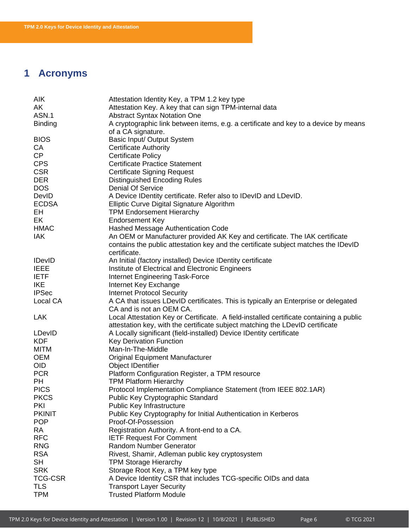# <span id="page-6-0"></span>**1 Acronyms**

| <b>AIK</b>     | Attestation Identity Key, a TPM 1.2 key type                                            |
|----------------|-----------------------------------------------------------------------------------------|
| AK             | Attestation Key. A key that can sign TPM-internal data                                  |
| ASN.1          | <b>Abstract Syntax Notation One</b>                                                     |
| <b>Binding</b> | A cryptographic link between items, e.g. a certificate and key to a device by means     |
|                | of a CA signature.                                                                      |
| <b>BIOS</b>    | Basic Input/ Output System                                                              |
| CA             | <b>Certificate Authority</b>                                                            |
| CP             | <b>Certificate Policy</b>                                                               |
| <b>CPS</b>     | <b>Certificate Practice Statement</b>                                                   |
| <b>CSR</b>     | <b>Certificate Signing Request</b>                                                      |
| <b>DER</b>     | <b>Distinguished Encoding Rules</b>                                                     |
| <b>DOS</b>     | <b>Denial Of Service</b>                                                                |
| DevID          | A Device IDentity certificate. Refer also to IDevID and LDevID.                         |
| <b>ECDSA</b>   | Elliptic Curve Digital Signature Algorithm                                              |
| EH             | <b>TPM Endorsement Hierarchy</b>                                                        |
| EK             | <b>Endorsement Key</b>                                                                  |
| <b>HMAC</b>    | Hashed Message Authentication Code                                                      |
| <b>IAK</b>     | An OEM or Manufacturer provided AK Key and certificate. The IAK certificate             |
|                | contains the public attestation key and the certificate subject matches the IDevID      |
|                | certificate.                                                                            |
| <b>IDevID</b>  | An Initial (factory installed) Device IDentity certificate                              |
| <b>IEEE</b>    | Institute of Electrical and Electronic Engineers                                        |
| <b>IETF</b>    | Internet Engineering Task-Force                                                         |
| <b>IKE</b>     | Internet Key Exchange                                                                   |
| <b>IPSec</b>   | <b>Internet Protocol Security</b>                                                       |
| Local CA       | A CA that issues LDevID certificates. This is typically an Enterprise or delegated      |
|                | CA and is not an OEM CA.                                                                |
| <b>LAK</b>     | Local Attestation Key or Certificate. A field-installed certificate containing a public |
|                | attestation key, with the certificate subject matching the LDevID certificate           |
| LDevID         | A Locally significant (field-installed) Device IDentity certificate                     |
| <b>KDF</b>     | Key Derivation Function                                                                 |
| <b>MITM</b>    | Man-In-The-Middle                                                                       |
| <b>OEM</b>     | <b>Original Equipment Manufacturer</b>                                                  |
| <b>OID</b>     | <b>Object IDentifier</b>                                                                |
| <b>PCR</b>     | Platform Configuration Register, a TPM resource                                         |
| <b>PH</b>      | <b>TPM Platform Hierarchy</b>                                                           |
| <b>PICS</b>    | Protocol Implementation Compliance Statement (from IEEE 802.1AR)                        |
| <b>PKCS</b>    | Public Key Cryptographic Standard                                                       |
| <b>PKI</b>     | Public Key Infrastructure                                                               |
| <b>PKINIT</b>  | Public Key Cryptography for Initial Authentication in Kerberos                          |
| <b>POP</b>     | Proof-Of-Possession                                                                     |
| <b>RA</b>      | Registration Authority. A front-end to a CA.                                            |
| <b>RFC</b>     | <b>IETF Request For Comment</b>                                                         |
| <b>RNG</b>     | Random Number Generator                                                                 |
| <b>RSA</b>     | Rivest, Shamir, Adleman public key cryptosystem                                         |
| <b>SH</b>      | <b>TPM Storage Hierarchy</b>                                                            |
| <b>SRK</b>     | Storage Root Key, a TPM key type                                                        |
| <b>TCG-CSR</b> | A Device Identity CSR that includes TCG-specific OIDs and data                          |
| <b>TLS</b>     | <b>Transport Layer Security</b>                                                         |
| <b>TPM</b>     | <b>Trusted Platform Module</b>                                                          |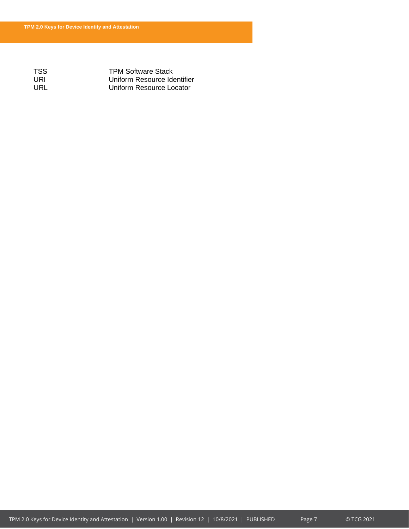TSS TPM Software Stack URI Uniform Resource Identifier URL Uniform Resource Locator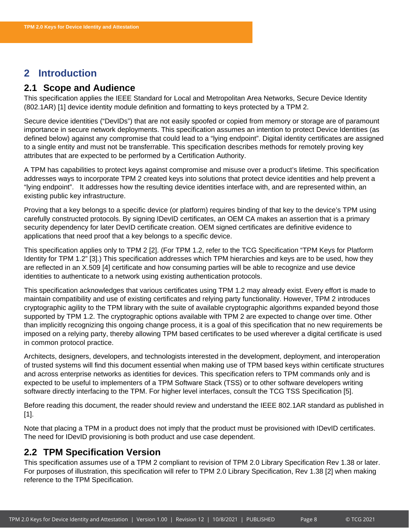# <span id="page-8-0"></span>**2 Introduction**

# <span id="page-8-1"></span>**2.1 Scope and Audience**

This specification applies the IEEE Standard for Local and Metropolitan Area Networks, Secure Device Identity (802.1AR) [1] device identity module definition and formatting to keys protected by a TPM 2.

Secure device identities ("DevIDs") that are not easily spoofed or copied from memory or storage are of paramount importance in secure network deployments. This specification assumes an intention to protect Device Identities (as defined below) against any compromise that could lead to a "lying endpoint". Digital identity certificates are assigned to a single entity and must not be transferrable. This specification describes methods for remotely proving key attributes that are expected to be performed by a Certification Authority.

A TPM has capabilities to protect keys against compromise and misuse over a product's lifetime. This specification addresses ways to incorporate TPM 2 created keys into solutions that protect device identities and help prevent a "lying endpoint". It addresses how the resulting device identities interface with, and are represented within, an existing public key infrastructure.

Proving that a key belongs to a specific device (or platform) requires binding of that key to the device's TPM using carefully constructed protocols. By signing IDevID certificates, an OEM CA makes an assertion that is a primary security dependency for later DevID certificate creation. OEM signed certificates are definitive evidence to applications that need proof that a key belongs to a specific device.

This specification applies only to TPM 2 [2]. (For TPM 1.2, refer to the TCG Specification "TPM Keys for Platform Identity for TPM 1.2" [3].) This specification addresses which TPM hierarchies and keys are to be used, how they are reflected in an X.509 [4] certificate and how consuming parties will be able to recognize and use device identities to authenticate to a network using existing authentication protocols.

This specification acknowledges that various certificates using TPM 1.2 may already exist. Every effort is made to maintain compatibility and use of existing certificates and relying party functionality. However, TPM 2 introduces cryptographic agility to the TPM library with the suite of available cryptographic algorithms expanded beyond those supported by TPM 1.2. The cryptographic options available with TPM 2 are expected to change over time. Other than implicitly recognizing this ongoing change process, it is a goal of this specification that no new requirements be imposed on a relying party, thereby allowing TPM based certificates to be used wherever a digital certificate is used in common protocol practice.

Architects, designers, developers, and technologists interested in the development, deployment, and interoperation of trusted systems will find this document essential when making use of TPM based keys within certificate structures and across enterprise networks as identities for devices. This specification refers to TPM commands only and is expected to be useful to implementers of a TPM Software Stack (TSS) or to other software developers writing software directly interfacing to the TPM. For higher level interfaces, consult the TCG TSS Specification [5].

Before reading this document, the reader should review and understand the IEEE 802.1AR standard as published in [1].

Note that placing a TPM in a product does not imply that the product must be provisioned with IDevID certificates. The need for IDevID provisioning is both product and use case dependent.

# <span id="page-8-2"></span>**2.2 TPM Specification Version**

This specification assumes use of a TPM 2 compliant to revision of TPM 2.0 Library Specification Rev 1.38 or later. For purposes of illustration, this specification will refer to TPM 2.0 Library Specification, Rev 1.38 [2] when making reference to the TPM Specification.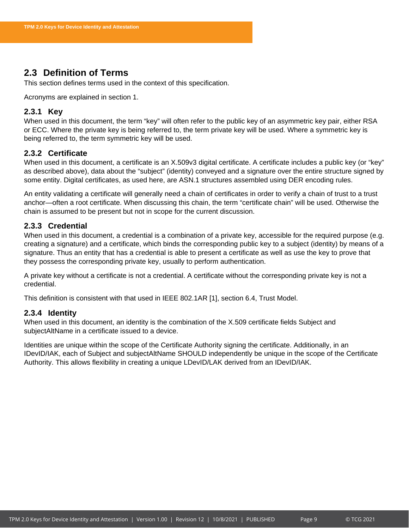# <span id="page-9-0"></span>**2.3 Definition of Terms**

This section defines terms used in the context of this specification.

Acronyms are explained in section [1.](#page-6-0)

### <span id="page-9-1"></span>**2.3.1 Key**

When used in this document, the term "key" will often refer to the public key of an asymmetric key pair, either RSA or ECC. Where the private key is being referred to, the term private key will be used. Where a symmetric key is being referred to, the term symmetric key will be used.

### <span id="page-9-2"></span>**2.3.2 Certificate**

When used in this document, a certificate is an X.509v3 digital certificate. A certificate includes a public key (or "key" as described above), data about the "subject" (identity) conveyed and a signature over the entire structure signed by some entity. Digital certificates, as used here, are ASN.1 structures assembled using DER encoding rules.

An entity validating a certificate will generally need a chain of certificates in order to verify a chain of trust to a trust anchor—often a root certificate. When discussing this chain, the term "certificate chain" will be used. Otherwise the chain is assumed to be present but not in scope for the current discussion.

### <span id="page-9-3"></span>**2.3.3 Credential**

When used in this document, a credential is a combination of a private key, accessible for the required purpose (e.g. creating a signature) and a certificate, which binds the corresponding public key to a subject (identity) by means of a signature. Thus an entity that has a credential is able to present a certificate as well as use the key to prove that they possess the corresponding private key, usually to perform authentication.

A private key without a certificate is not a credential. A certificate without the corresponding private key is not a credential.

This definition is consistent with that used in IEEE 802.1AR [1], section 6.4, Trust Model.

### <span id="page-9-4"></span>**2.3.4 Identity**

When used in this document, an identity is the combination of the X.509 certificate fields Subject and subjectAltName in a certificate issued to a device.

Identities are unique within the scope of the Certificate Authority signing the certificate. Additionally, in an IDevID/IAK, each of Subject and subjectAltName SHOULD independently be unique in the scope of the Certificate Authority. This allows flexibility in creating a unique LDevID/LAK derived from an IDevID/IAK.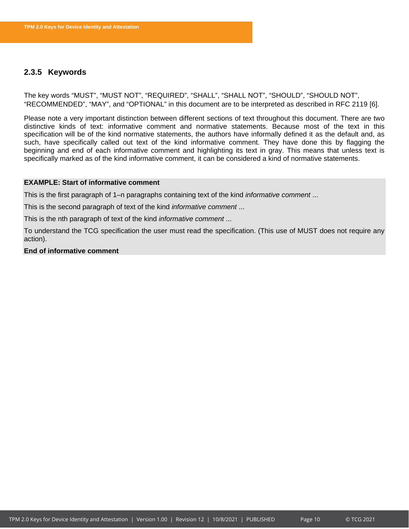### <span id="page-10-0"></span>**2.3.5 Keywords**

The key words "MUST", "MUST NOT", "REQUIRED", "SHALL", "SHALL NOT", "SHOULD", "SHOULD NOT", "RECOMMENDED", "MAY", and "OPTIONAL" in this document are to be interpreted as described in RFC 2119 [6].

Please note a very important distinction between different sections of text throughout this document. There are two distinctive kinds of text: informative comment and normative statements. Because most of the text in this specification will be of the kind normative statements, the authors have informally defined it as the default and, as such, have specifically called out text of the kind informative comment. They have done this by flagging the beginning and end of each informative comment and highlighting its text in gray. This means that unless text is specifically marked as of the kind informative comment, it can be considered a kind of normative statements.

### **EXAMPLE: Start of informative comment**

This is the first paragraph of 1–n paragraphs containing text of the kind *informative comment* ...

This is the second paragraph of text of the kind *informative comment* ...

This is the nth paragraph of text of the kind *informative comment* ...

To understand the TCG specification the user must read the specification. (This use of MUST does not require any action).

### **End of informative comment**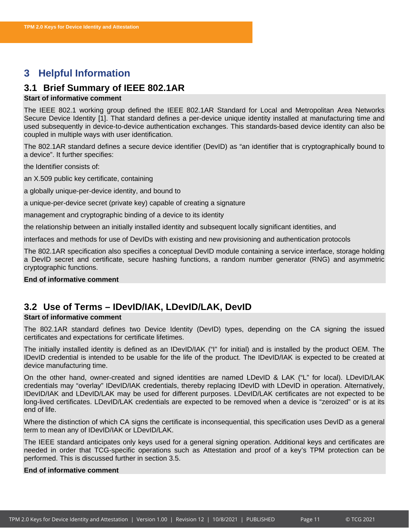# <span id="page-11-0"></span>**3 Helpful Information**

# <span id="page-11-1"></span>**3.1 Brief Summary of IEEE 802.1AR**

### **Start of informative comment**

The IEEE 802.1 working group defined the IEEE 802.1AR Standard for Local and Metropolitan Area Networks Secure Device Identity [1]. That standard defines a per-device unique identity installed at manufacturing time and used subsequently in device-to-device authentication exchanges. This standards-based device identity can also be coupled in multiple ways with user identification.

The 802.1AR standard defines a secure device identifier (DevID) as "an identifier that is cryptographically bound to a device". It further specifies:

the Identifier consists of:

an X.509 public key certificate, containing

a globally unique-per-device identity, and bound to

a unique-per-device secret (private key) capable of creating a signature

management and cryptographic binding of a device to its identity

the relationship between an initially installed identity and subsequent locally significant identities, and

interfaces and methods for use of DevIDs with existing and new provisioning and authentication protocols

The 802.1AR specification also specifies a conceptual DevID module containing a service interface, storage holding a DevID secret and certificate, secure hashing functions, a random number generator (RNG) and asymmetric cryptographic functions.

### **End of informative comment**

# <span id="page-11-2"></span>**3.2 Use of Terms – IDevID/IAK, LDevID/LAK, DevID**

### **Start of informative comment**

The 802.1AR standard defines two Device Identity (DevID) types, depending on the CA signing the issued certificates and expectations for certificate lifetimes.

The initially installed identity is defined as an IDevID/IAK ("I" for initial) and is installed by the product OEM. The IDevID credential is intended to be usable for the life of the product. The IDevID/IAK is expected to be created at device manufacturing time.

On the other hand, owner-created and signed identities are named LDevID & LAK ("L" for local). LDevID/LAK credentials may "overlay" IDevID/IAK credentials, thereby replacing IDevID with LDevID in operation. Alternatively, IDevID/IAK and LDevID/LAK may be used for different purposes. LDevID/LAK certificates are not expected to be long-lived certificates. LDevID/LAK credentials are expected to be removed when a device is "zeroized" or is at its end of life.

Where the distinction of which CA signs the certificate is inconsequential, this specification uses DevID as a general term to mean any of IDevID/IAK or LDevID/LAK.

The IEEE standard anticipates only keys used for a general signing operation. Additional keys and certificates are needed in order that TCG-specific operations such as Attestation and proof of a key's TPM protection can be performed. This is discussed further in section [3.5.](#page-13-0)

### **End of informative comment**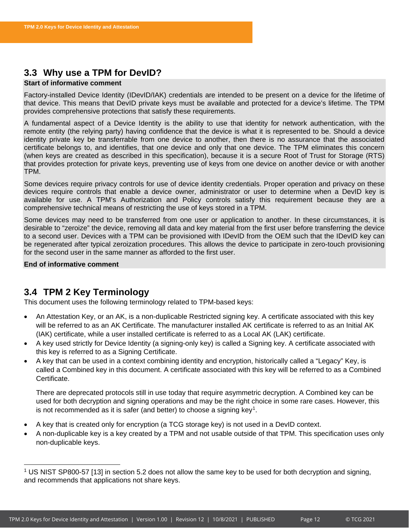# <span id="page-12-0"></span>**3.3 Why use a TPM for DevID?**

### **Start of informative comment**

Factory-installed Device Identity (IDevID/IAK) credentials are intended to be present on a device for the lifetime of that device. This means that DevID private keys must be available and protected for a device's lifetime. The TPM provides comprehensive protections that satisfy these requirements.

A fundamental aspect of a Device Identity is the ability to use that identity for network authentication, with the remote entity (the relying party) having confidence that the device is what it is represented to be. Should a device identity private key be transferrable from one device to another, then there is no assurance that the associated certificate belongs to, and identifies, that one device and only that one device. The TPM eliminates this concern (when keys are created as described in this specification), because it is a secure Root of Trust for Storage (RTS) that provides protection for private keys, preventing use of keys from one device on another device or with another TPM.

Some devices require privacy controls for use of device identity credentials. Proper operation and privacy on these devices require controls that enable a device owner, administrator or user to determine when a DevID key is available for use. A TPM's Authorization and Policy controls satisfy this requirement because they are a comprehensive technical means of restricting the use of keys stored in a TPM.

Some devices may need to be transferred from one user or application to another. In these circumstances, it is desirable to "zeroize" the device, removing all data and key material from the first user before transferring the device to a second user. Devices with a TPM can be provisioned with IDevID from the OEM such that the IDevID key can be regenerated after typical zeroization procedures. This allows the device to participate in zero-touch provisioning for the second user in the same manner as afforded to the first user.

**End of informative comment**

# <span id="page-12-1"></span>**3.4 TPM 2 Key Terminology**

This document uses the following terminology related to TPM-based keys:

- An Attestation Key, or an AK, is a non-duplicable Restricted signing key. A certificate associated with this key will be referred to as an AK Certificate. The manufacturer installed AK certificate is referred to as an Initial AK (IAK) certificate, while a user installed certificate is referred to as a Local AK (LAK) certificate.
- A key used strictly for Device Identity (a signing-only key) is called a Signing key. A certificate associated with this key is referred to as a Signing Certificate.
- A key that can be used in a context combining identity and encryption, historically called a "Legacy" Key, is called a Combined key in this document. A certificate associated with this key will be referred to as a Combined **Certificate**

There are deprecated protocols still in use today that require asymmetric decryption. A Combined key can be used for both decryption and signing operations and may be the right choice in some rare cases. However, this is not recommended as it is safer (and better) to choose a signing key<sup>[1](#page-12-2)</sup>.

- A key that is created only for encryption (a TCG storage key) is not used in a DevID context.
- A non-duplicable key is a key created by a TPM and not usable outside of that TPM. This specification uses only non-duplicable keys.

<span id="page-12-2"></span><sup>1</sup> US NIST SP800-57 [13] in section 5.2 does not allow the same key to be used for both decryption and signing, and recommends that applications not share keys.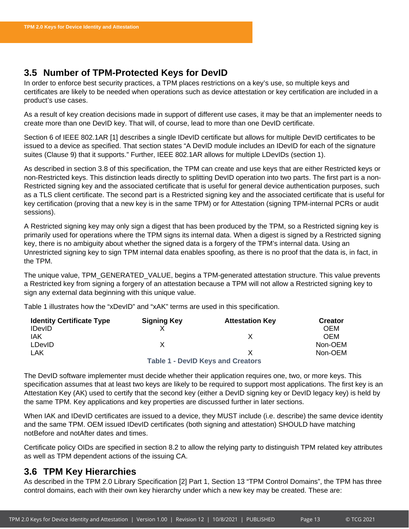# <span id="page-13-0"></span>**3.5 Number of TPM-Protected Keys for DevID**

In order to enforce best security practices, a TPM places restrictions on a key's use, so multiple keys and certificates are likely to be needed when operations such as device attestation or key certification are included in a product's use cases.

As a result of key creation decisions made in support of different use cases, it may be that an implementer needs to create more than one DevID key. That will, of course, lead to more than one DevID certificate.

Section 6 of IEEE 802.1AR [1] describes a single IDevID certificate but allows for multiple DevID certificates to be issued to a device as specified. That section states "A DevID module includes an IDevID for each of the signature suites (Clause 9) that it supports." Further, IEEE 802.1AR allows for multiple LDevIDs (section 1).

As described in section [3.8](#page-15-0) of this specification, the TPM can create and use keys that are either Restricted keys or non-Restricted keys. This distinction leads directly to splitting DevID operation into two parts. The first part is a non-Restricted signing key and the associated certificate that is useful for general device authentication purposes, such as a TLS client certificate. The second part is a Restricted signing key and the associated certificate that is useful for key certification (proving that a new key is in the same TPM) or for Attestation (signing TPM-internal PCRs or audit sessions).

A Restricted signing key may only sign a digest that has been produced by the TPM, so a Restricted signing key is primarily used for operations where the TPM signs its internal data. When a digest is signed by a Restricted signing key, there is no ambiguity about whether the signed data is a forgery of the TPM's internal data. Using an Unrestricted signing key to sign TPM internal data enables spoofing, as there is no proof that the data is, in fact, in the TPM.

The unique value, TPM\_GENERATED\_VALUE, begins a TPM-generated attestation structure. This value prevents a Restricted key from signing a forgery of an attestation because a TPM will not allow a Restricted signing key to sign any external data beginning with this unique value.

Table 1 illustrates how the "xDevID" and "xAK" terms are used in this specification.

| <b>Identity Certificate Type</b> | <b>Signing Key</b> | <b>Attestation Key</b>                   | <b>Creator</b> |
|----------------------------------|--------------------|------------------------------------------|----------------|
| <b>IDevID</b>                    |                    |                                          | <b>OEM</b>     |
| IAK                              |                    |                                          | <b>OEM</b>     |
| <b>LDevID</b>                    |                    |                                          | Non-OEM        |
| LAK                              |                    |                                          | Non-OEM        |
|                                  |                    | <b>Table 1 - DevID Keys and Creators</b> |                |

The DevID software implementer must decide whether their application requires one, two, or more keys. This specification assumes that at least two keys are likely to be required to support most applications. The first key is an Attestation Key (AK) used to certify that the second key (either a DevID signing key or DevID legacy key) is held by the same TPM. Key applications and key properties are discussed further in later sections.

When IAK and IDevID certificates are issued to a device, they MUST include (i.e. describe) the same device identity and the same TPM. OEM issued IDevID certificates (both signing and attestation) SHOULD have matching notBefore and notAfter dates and times.

Certificate policy OIDs are specified in section [8.2](#page-58-0) to allow the relying party to distinguish TPM related key attributes as well as TPM dependent actions of the issuing CA.

# <span id="page-13-1"></span>**3.6 TPM Key Hierarchies**

As described in the TPM 2.0 Library Specification [2] Part 1, Section 13 "TPM Control Domains", the TPM has three control domains, each with their own key hierarchy under which a new key may be created. These are: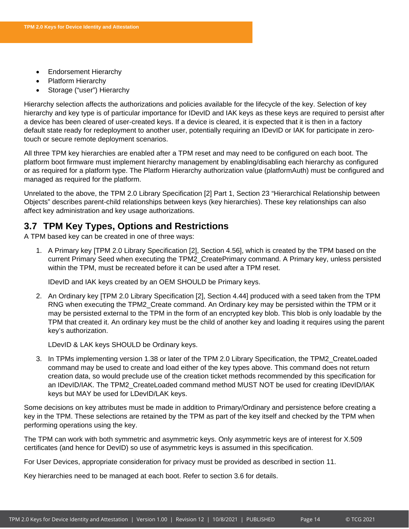- Endorsement Hierarchy
- Platform Hierarchy
- Storage ("user") Hierarchy

Hierarchy selection affects the authorizations and policies available for the lifecycle of the key. Selection of key hierarchy and key type is of particular importance for IDevID and IAK keys as these keys are required to persist after a device has been cleared of user-created keys. If a device is cleared, it is expected that it is then in a factory default state ready for redeployment to another user, potentially requiring an IDevID or IAK for participate in zerotouch or secure remote deployment scenarios.

All three TPM key hierarchies are enabled after a TPM reset and may need to be configured on each boot. The platform boot firmware must implement hierarchy management by enabling/disabling each hierarchy as configured or as required for a platform type. The Platform Hierarchy authorization value (platformAuth) must be configured and managed as required for the platform.

Unrelated to the above, the TPM 2.0 Library Specification [2] Part 1, Section 23 "Hierarchical Relationship between Objects" describes parent-child relationships between keys (key hierarchies). These key relationships can also affect key administration and key usage authorizations.

# <span id="page-14-0"></span>**3.7 TPM Key Types, Options and Restrictions**

A TPM based key can be created in one of three ways:

1. A Primary key [TPM 2.0 Library Specification [2], Section 4.56], which is created by the TPM based on the current Primary Seed when executing the TPM2\_CreatePrimary command. A Primary key, unless persisted within the TPM, must be recreated before it can be used after a TPM reset.

IDevID and IAK keys created by an OEM SHOULD be Primary keys.

2. An Ordinary key [TPM 2.0 Library Specification [2], Section 4.44] produced with a seed taken from the TPM RNG when executing the TPM2\_Create command. An Ordinary key may be persisted within the TPM or it may be persisted external to the TPM in the form of an encrypted key blob. This blob is only loadable by the TPM that created it. An ordinary key must be the child of another key and loading it requires using the parent key's authorization.

LDevID & LAK keys SHOULD be Ordinary keys.

3. In TPMs implementing version 1.38 or later of the TPM 2.0 Library Specification, the TPM2\_CreateLoaded command may be used to create and load either of the key types above. This command does not return creation data, so would preclude use of the creation ticket methods recommended by this specification for an IDevID/IAK. The TPM2\_CreateLoaded command method MUST NOT be used for creating IDevID/IAK keys but MAY be used for LDevID/LAK keys.

Some decisions on key attributes must be made in addition to Primary/Ordinary and persistence before creating a key in the TPM. These selections are retained by the TPM as part of the key itself and checked by the TPM when performing operations using the key.

The TPM can work with both symmetric and asymmetric keys. Only asymmetric keys are of interest for X.509 certificates (and hence for DevID) so use of asymmetric keys is assumed in this specification.

For User Devices, appropriate consideration for privacy must be provided as described in section [11.](#page-63-0)

Key hierarchies need to be managed at each boot. Refer to section [3.6](#page-13-1) for details.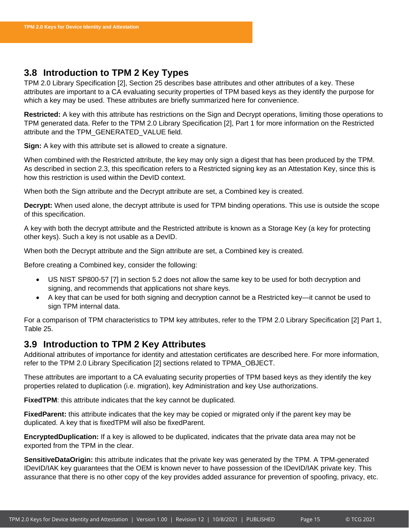# <span id="page-15-0"></span>**3.8 Introduction to TPM 2 Key Types**

TPM 2.0 Library Specification [2], Section 25 describes base attributes and other attributes of a key. These attributes are important to a CA evaluating security properties of TPM based keys as they identify the purpose for which a key may be used. These attributes are briefly summarized here for convenience.

**Restricted:** A key with this attribute has restrictions on the Sign and Decrypt operations, limiting those operations to TPM generated data. Refer to the TPM 2.0 Library Specification [2], Part 1 for more information on the Restricted attribute and the TPM\_GENERATED\_VALUE field.

**Sign:** A key with this attribute set is allowed to create a signature.

When combined with the Restricted attribute, the key may only sign a digest that has been produced by the TPM. As described in section 2.3, this specification refers to a Restricted signing key as an Attestation Key, since this is how this restriction is used within the DevID context.

When both the Sign attribute and the Decrypt attribute are set, a Combined key is created.

**Decrypt:** When used alone, the decrypt attribute is used for TPM binding operations. This use is outside the scope of this specification.

A key with both the decrypt attribute and the Restricted attribute is known as a Storage Key (a key for protecting other keys). Such a key is not usable as a DevID.

When both the Decrypt attribute and the Sign attribute are set, a Combined key is created.

Before creating a Combined key, consider the following:

- US NIST SP800-57 [7] in section 5.2 does not allow the same key to be used for both decryption and signing, and recommends that applications not share keys.
- A key that can be used for both signing and decryption cannot be a Restricted key—it cannot be used to sign TPM internal data.

For a comparison of TPM characteristics to TPM key attributes, refer to the TPM 2.0 Library Specification [2] Part 1, Table 25.

# <span id="page-15-1"></span>**3.9 Introduction to TPM 2 Key Attributes**

Additional attributes of importance for identity and attestation certificates are described here. For more information, refer to the TPM 2.0 Library Specification [2] sections related to TPMA\_OBJECT.

These attributes are important to a CA evaluating security properties of TPM based keys as they identify the key properties related to duplication (i.e. migration), key Administration and key Use authorizations.

**FixedTPM**: this attribute indicates that the key cannot be duplicated.

**FixedParent:** this attribute indicates that the key may be copied or migrated only if the parent key may be duplicated. A key that is fixedTPM will also be fixedParent.

**EncryptedDuplication:** If a key is allowed to be duplicated, indicates that the private data area may not be exported from the TPM in the clear.

**SensitiveDataOrigin:** this attribute indicates that the private key was generated by the TPM. A TPM-generated IDevID/IAK key guarantees that the OEM is known never to have possession of the IDevID/IAK private key. This assurance that there is no other copy of the key provides added assurance for prevention of spoofing, privacy, etc.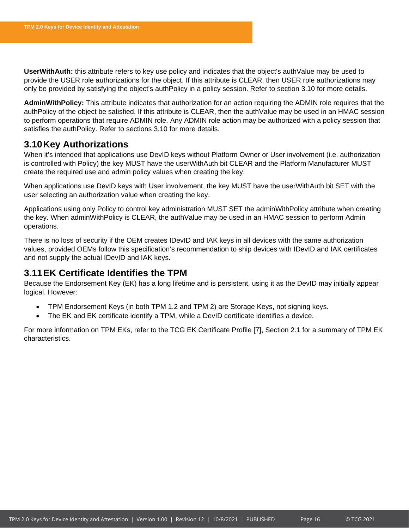**UserWithAuth:** this attribute refers to key use policy and indicates that the object's authValue may be used to provide the USER role authorizations for the object. If this attribute is CLEAR, then USER role authorizations may only be provided by satisfying the object's authPolicy in a policy session. Refer to section [3.10](#page-16-0) for more details.

**AdminWithPolicy:** This attribute indicates that authorization for an action requiring the ADMIN role requires that the authPolicy of the object be satisfied. If this attribute is CLEAR, then the authValue may be used in an HMAC session to perform operations that require ADMIN role. Any ADMIN role action may be authorized with a policy session that satisfies the authPolicy. Refer to sections [3.10](#page-16-0) for more details.

# <span id="page-16-0"></span>**3.10Key Authorizations**

When it's intended that applications use DevID keys without Platform Owner or User involvement (i.e. authorization is controlled with Policy) the key MUST have the userWithAuth bit CLEAR and the Platform Manufacturer MUST create the required use and admin policy values when creating the key.

When applications use DevID keys with User involvement, the key MUST have the userWithAuth bit SET with the user selecting an authorization value when creating the key.

Applications using only Policy to control key administration MUST SET the adminWithPolicy attribute when creating the key. When adminWithPolicy is CLEAR, the authValue may be used in an HMAC session to perform Admin operations.

There is no loss of security if the OEM creates IDevID and IAK keys in all devices with the same authorization values, provided OEMs follow this specification's recommendation to ship devices with IDevID and IAK certificates and not supply the actual IDevID and IAK keys.

# <span id="page-16-1"></span>**3.11EK Certificate Identifies the TPM**

Because the Endorsement Key (EK) has a long lifetime and is persistent, using it as the DevID may initially appear logical. However:

- TPM Endorsement Keys (in both TPM 1.2 and TPM 2) are Storage Keys, not signing keys.
- The EK and EK certificate identify a TPM, while a DevID certificate identifies a device.

For more information on TPM EKs, refer to the TCG EK Certificate Profile [7], Section 2.1 for a summary of TPM EK characteristics.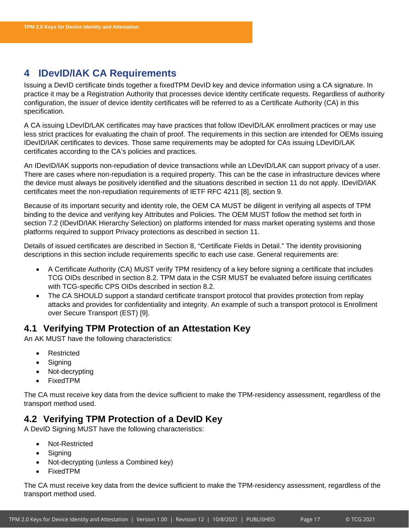# <span id="page-17-0"></span>**4 IDevID/IAK CA Requirements**

Issuing a DevID certificate binds together a fixedTPM DevID key and device information using a CA signature. In practice it may be a Registration Authority that processes device identity certificate requests. Regardless of authority configuration, the issuer of device identity certificates will be referred to as a Certificate Authority (CA) in this specification.

A CA issuing LDevID/LAK certificates may have practices that follow IDevID/LAK enrollment practices or may use less strict practices for evaluating the chain of proof. The requirements in this section are intended for OEMs issuing IDevID/IAK certificates to devices. Those same requirements may be adopted for CAs issuing LDevID/LAK certificates according to the CA's policies and practices.

An IDevID/IAK supports non-repudiation of device transactions while an LDevID/LAK can support privacy of a user. There are cases where non-repudiation is a required property. This can be the case in infrastructure devices where the device must always be positively identified and the situations described in section [11](#page-63-0) do not apply. IDevID/IAK certificates meet the non-repudiation requirements of IETF RFC 4211 [8], section 9.

Because of its important security and identity role, the OEM CA MUST be diligent in verifying all aspects of TPM binding to the device and verifying key Attributes and Policies. The OEM MUST follow the method set forth in section [7.2](#page-35-2) (IDevID/IAK Hierarchy Selection) on platforms intended for mass market operating systems and those platforms required to support Privacy protections as described in section [11.](#page-63-0)

Details of issued certificates are described in Section [8,](#page-54-0) "Certificate Fields in Detail." The identity provisioning descriptions in this section include requirements specific to each use case. General requirements are:

- A Certificate Authority (CA) MUST verify TPM residency of a key before signing a certificate that includes TCG OIDs described in section [8.2.](#page-58-0) TPM data in the CSR MUST be evaluated before issuing certificates with TCG-specific CPS OIDs described in section [8.2.](#page-58-0)
- The CA SHOULD support a standard certificate transport protocol that provides protection from replay attacks and provides for confidentiality and integrity. An example of such a transport protocol is Enrollment over Secure Transport (EST) [9].

# <span id="page-17-1"></span>**4.1 Verifying TPM Protection of an Attestation Key**

An AK MUST have the following characteristics:

- **Restricted**
- Signing
- Not-decrypting
- FixedTPM

The CA must receive key data from the device sufficient to make the TPM-residency assessment, regardless of the transport method used.

# <span id="page-17-2"></span>**4.2 Verifying TPM Protection of a DevID Key**

A DevID Signing MUST have the following characteristics:

- Not-Restricted
- **Signing**
- Not-decrypting (unless a Combined key)
- FixedTPM

The CA must receive key data from the device sufficient to make the TPM-residency assessment, regardless of the transport method used.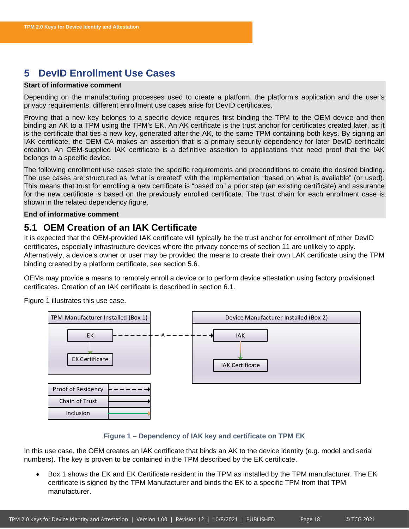# <span id="page-18-0"></span>**5 DevID Enrollment Use Cases**

### **Start of informative comment**

Depending on the manufacturing processes used to create a platform, the platform's application and the user's privacy requirements, different enrollment use cases arise for DevID certificates.

Proving that a new key belongs to a specific device requires first binding the TPM to the OEM device and then binding an AK to a TPM using the TPM's EK. An AK certificate is the trust anchor for certificates created later, as it is the certificate that ties a new key, generated after the AK, to the same TPM containing both keys. By signing an IAK certificate, the OEM CA makes an assertion that is a primary security dependency for later DevID certificate creation. An OEM-supplied IAK certificate is a definitive assertion to applications that need proof that the IAK belongs to a specific device.

The following enrollment use cases state the specific requirements and preconditions to create the desired binding. The use cases are structured as "what is created" with the implementation "based on what is available" (or used). This means that trust for enrolling a new certificate is "based on" a prior step (an existing certificate) and assurance for the new certificate is based on the previously enrolled certificate. The trust chain for each enrollment case is shown in the related dependency figure.

### **End of informative comment**

# <span id="page-18-1"></span>**5.1 OEM Creation of an IAK Certificate**

It is expected that the OEM-provided IAK certificate will typically be the trust anchor for enrollment of other DevID certificates, especially infrastructure devices where the privacy concerns of section [11](#page-63-0) are unlikely to apply. Alternatively, a device's owner or user may be provided the means to create their own LAK certificate using the TPM binding created by a platform certificate, see section [5.6.](#page-23-0)

OEMs may provide a means to remotely enroll a device or to perform device attestation using factory provisioned certificates. Creation of an IAK certificate is described in section [6.1.](#page-26-1)

[Figure 1](#page-18-2) illustrates this use case.



### **Figure 1 – Dependency of IAK key and certificate on TPM EK**

<span id="page-18-2"></span>In this use case, the OEM creates an IAK certificate that binds an AK to the device identity (e.g. model and serial numbers). The key is proven to be contained in the TPM described by the EK certificate.

• Box 1 shows the EK and EK Certificate resident in the TPM as installed by the TPM manufacturer. The EK certificate is signed by the TPM Manufacturer and binds the EK to a specific TPM from that TPM manufacturer.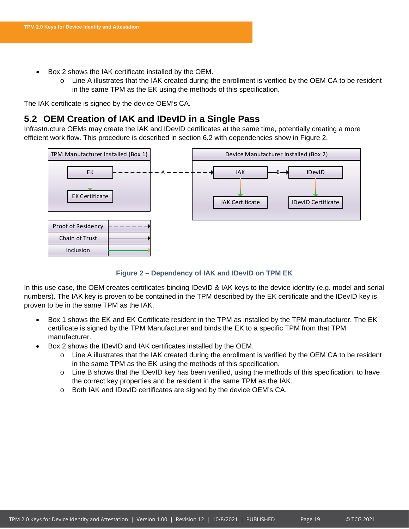- Box 2 shows the IAK certificate installed by the OEM.
	- $\circ$  Line A illustrates that the IAK created during the enrollment is verified by the OEM CA to be resident in the same TPM as the EK using the methods of this specification.

The IAK certificate is signed by the device OEM's CA.

# <span id="page-19-0"></span>**5.2 OEM Creation of IAK and IDevID in a Single Pass**

Infrastructure OEMs may create the IAK and IDevID certificates at the same time, potentially creating a more efficient work flow. This procedure is described in section [6.2](#page-29-0) with dependencies show in [Figure 2.](#page-19-1)



### **Figure 2 – Dependency of IAK and IDevID on TPM EK**

<span id="page-19-1"></span>In this use case, the OEM creates certificates binding IDevID & IAK keys to the device identity (e.g. model and serial numbers). The IAK key is proven to be contained in the TPM described by the EK certificate and the IDevID key is proven to be in the same TPM as the IAK.

- Box 1 shows the EK and EK Certificate resident in the TPM as installed by the TPM manufacturer. The EK certificate is signed by the TPM Manufacturer and binds the EK to a specific TPM from that TPM manufacturer.
- Box 2 shows the IDevID and IAK certificates installed by the OEM.
	- o Line A illustrates that the IAK created during the enrollment is verified by the OEM CA to be resident in the same TPM as the EK using the methods of this specification.
	- o Line B shows that the IDevID key has been verified, using the methods of this specification, to have the correct key properties and be resident in the same TPM as the IAK.
	- o Both IAK and IDevID certificates are signed by the device OEM's CA.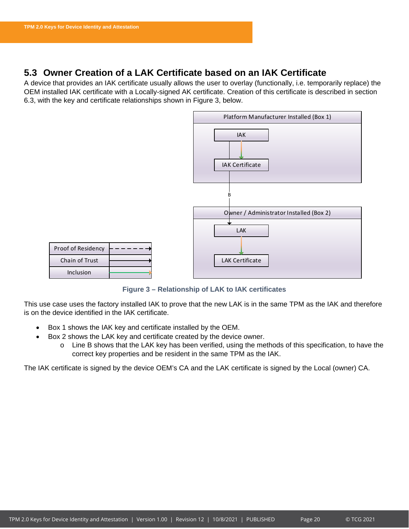# <span id="page-20-0"></span>**5.3 Owner Creation of a LAK Certificate based on an IAK Certificate**

A device that provides an IAK certificate usually allows the user to overlay (functionally, i.e. temporarily replace) the OEM installed IAK certificate with a Locally-signed AK certificate. Creation of this certificate is described in section [6.3,](#page-31-0) with the key and certificate relationships shown in [Figure 3,](#page-20-1) below.



**Figure 3 – Relationship of LAK to IAK certificates**

<span id="page-20-1"></span>This use case uses the factory installed IAK to prove that the new LAK is in the same TPM as the IAK and therefore is on the device identified in the IAK certificate.

- Box 1 shows the IAK key and certificate installed by the OEM.
- Box 2 shows the LAK key and certificate created by the device owner.
	- o Line B shows that the LAK key has been verified, using the methods of this specification, to have the correct key properties and be resident in the same TPM as the IAK.

The IAK certificate is signed by the device OEM's CA and the LAK certificate is signed by the Local (owner) CA.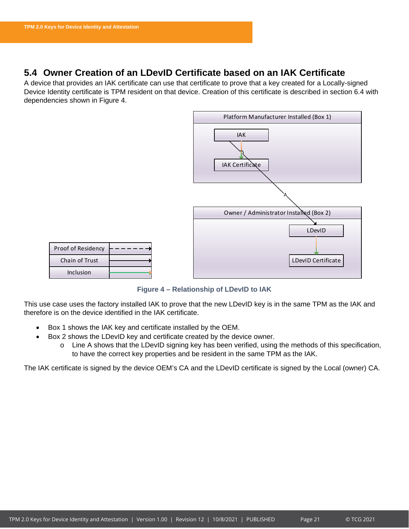# <span id="page-21-0"></span>**5.4 Owner Creation of an LDevID Certificate based on an IAK Certificate**

A device that provides an IAK certificate can use that certificate to prove that a key created for a Locally-signed Device Identity certificate is TPM resident on that device. Creation of this certificate is described in section [6.4](#page-32-0) with dependencies shown in [Figure 4.](#page-21-1)



**Figure 4 – Relationship of LDevID to IAK**

<span id="page-21-1"></span>This use case uses the factory installed IAK to prove that the new LDevID key is in the same TPM as the IAK and therefore is on the device identified in the IAK certificate.

- Box 1 shows the IAK key and certificate installed by the OEM.
- Box 2 shows the LDevID key and certificate created by the device owner.
	- o Line A shows that the LDevID signing key has been verified, using the methods of this specification, to have the correct key properties and be resident in the same TPM as the IAK.

The IAK certificate is signed by the device OEM's CA and the LDevID certificate is signed by the Local (owner) CA.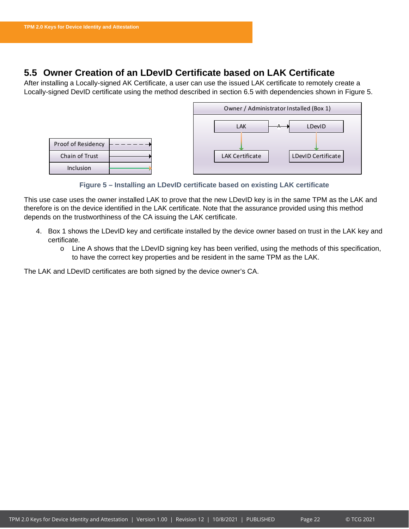# <span id="page-22-0"></span>**5.5 Owner Creation of an LDevID Certificate based on LAK Certificate**

After installing a Locally-signed AK Certificate, a user can use the issued LAK certificate to remotely create a Locally-signed DevID certificate using the method described in section [6.5](#page-32-3) with dependencies shown in [Figure 5.](#page-22-1)



**Figure 5 – Installing an LDevID certificate based on existing LAK certificate**

<span id="page-22-1"></span>This use case uses the owner installed LAK to prove that the new LDevID key is in the same TPM as the LAK and therefore is on the device identified in the LAK certificate. Note that the assurance provided using this method depends on the trustworthiness of the CA issuing the LAK certificate.

- 4. Box 1 shows the LDevID key and certificate installed by the device owner based on trust in the LAK key and certificate.
	- $\circ$  Line A shows that the LDevID signing key has been verified, using the methods of this specification, to have the correct key properties and be resident in the same TPM as the LAK.

The LAK and LDevID certificates are both signed by the device owner's CA.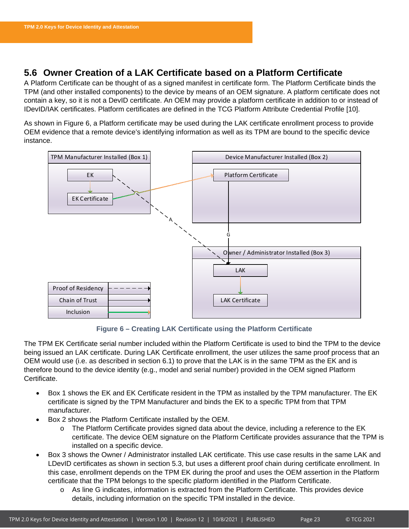# <span id="page-23-0"></span>**5.6 Owner Creation of a LAK Certificate based on a Platform Certificate**

A Platform Certificate can be thought of as a signed manifest in certificate form. The Platform Certificate binds the TPM (and other installed components) to the device by means of an OEM signature. A platform certificate does not contain a key, so it is not a DevID certificate. An OEM may provide a platform certificate in addition to or instead of IDevID/IAK certificates. Platform certificates are defined in the TCG Platform Attribute Credential Profile [10].

As shown in [Figure 6,](#page-23-1) a Platform certificate may be used during the LAK certificate enrollment process to provide OEM evidence that a remote device's identifying information as well as its TPM are bound to the specific device instance.



**Figure 6 – Creating LAK Certificate using the Platform Certificate**

<span id="page-23-1"></span>The TPM EK Certificate serial number included within the Platform Certificate is used to bind the TPM to the device being issued an LAK certificate. During LAK Certificate enrollment, the user utilizes the same proof process that an OEM would use (i.e. as described in section [6.1\)](#page-26-1) to prove that the LAK is in the same TPM as the EK and is therefore bound to the device identity (e.g., model and serial number) provided in the OEM signed Platform Certificate.

- Box 1 shows the EK and EK Certificate resident in the TPM as installed by the TPM manufacturer. The EK certificate is signed by the TPM Manufacturer and binds the EK to a specific TPM from that TPM manufacturer.
- Box 2 shows the Platform Certificate installed by the OEM.
	- o The Platform Certificate provides signed data about the device, including a reference to the EK certificate. The device OEM signature on the Platform Certificate provides assurance that the TPM is installed on a specific device.
- Box 3 shows the Owner / Administrator installed LAK certificate. This use case results in the same LAK and LDevID certificates as shown in section [5.3,](#page-20-0) but uses a different proof chain during certificate enrollment. In this case, enrollment depends on the TPM EK during the proof and uses the OEM assertion in the Platform certificate that the TPM belongs to the specific platform identified in the Platform Certificate.
	- o As line G indicates, information is extracted from the Platform Certificate. This provides device details, including information on the specific TPM installed in the device.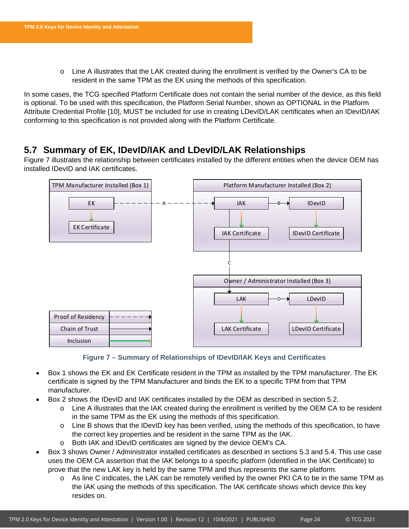o Line A illustrates that the LAK created during the enrollment is verified by the Owner's CA to be resident in the same TPM as the EK using the methods of this specification.

In some cases, the TCG specified Platform Certificate does not contain the serial number of the device, as this field is optional. To be used with this specification, the Platform Serial Number, shown as OPTIONAL in the Platform Attribute Credential Profile [10], MUST be included for use in creating LDevID/LAK certificates when an IDevID/IAK conforming to this specification is not provided along with the Platform Certificate.

# <span id="page-24-0"></span>**5.7 Summary of EK, IDevID/IAK and LDevID/LAK Relationships**

[Figure 7](#page-24-1) illustrates the relationship between certificates installed by the different entities when the device OEM has installed IDevID and IAK certificates.



**Figure 7 – Summary of Relationships of IDevID/IAK Keys and Certificates**

- <span id="page-24-1"></span>• Box 1 shows the EK and EK Certificate resident in the TPM as installed by the TPM manufacturer. The EK certificate is signed by the TPM Manufacturer and binds the EK to a specific TPM from that TPM manufacturer.
- Box 2 shows the IDevID and IAK certificates installed by the OEM as described in section [5.2.](#page-19-0)
	- $\circ$  Line A illustrates that the IAK created during the enrollment is verified by the OEM CA to be resident in the same TPM as the EK using the methods of this specification.
	- o Line B shows that the IDevID key has been verified, using the methods of this specification, to have the correct key properties and be resident in the same TPM as the IAK.
	- o Both IAK and IDevID certificates are signed by the device OEM's CA.
- Box 3 shows Owner / Administrator installed certificates as described in sections [5.3](#page-20-0) and [5.4.](#page-21-0) This use case uses the OEM CA assertion that the IAK belongs to a specific platform (identified in the IAK Certificate) to prove that the new LAK key is held by the same TPM and thus represents the same platform.
	- o As line C indicates, the LAK can be remotely verified by the owner PKI CA to be in the same TPM as the IAK using the methods of this specification. The IAK certificate shows which device this key resides on.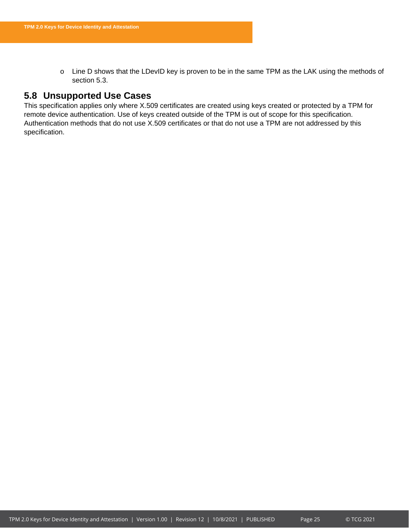o Line D shows that the LDevID key is proven to be in the same TPM as the LAK using the methods of section [5.3.](#page-20-0)

# <span id="page-25-0"></span>**5.8 Unsupported Use Cases**

This specification applies only where X.509 certificates are created using keys created or protected by a TPM for remote device authentication. Use of keys created outside of the TPM is out of scope for this specification. Authentication methods that do not use X.509 certificates or that do not use a TPM are not addressed by this specification.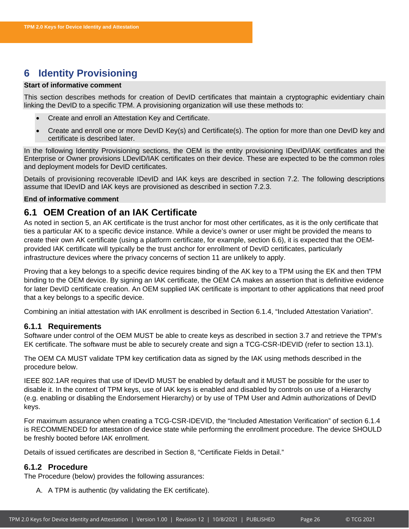# <span id="page-26-0"></span>**6 Identity Provisioning**

### **Start of informative comment**

This section describes methods for creation of DevID certificates that maintain a cryptographic evidentiary chain linking the DevID to a specific TPM. A provisioning organization will use these methods to:

- Create and enroll an Attestation Key and Certificate.
- Create and enroll one or more DevID Key(s) and Certificate(s). The option for more than one DevID key and certificate is described later.

In the following Identity Provisioning sections, the OEM is the entity provisioning IDevID/IAK certificates and the Enterprise or Owner provisions LDevID/IAK certificates on their device. These are expected to be the common roles and deployment models for DevID certificates.

Details of provisioning recoverable IDevID and IAK keys are described in section [7.2.](#page-35-2) The following descriptions assume that IDevID and IAK keys are provisioned as described in section [7.2.3.](#page-37-1)

### **End of informative comment**

# <span id="page-26-1"></span>**6.1 OEM Creation of an IAK Certificate**

As noted in section [5,](#page-18-0) an AK certificate is the trust anchor for most other certificates, as it is the only certificate that ties a particular AK to a specific device instance. While a device's owner or user might be provided the means to create their own AK certificate (using a platform certificate, for example, section [6.6\)](#page-33-1), it is expected that the OEMprovided IAK certificate will typically be the trust anchor for enrollment of DevID certificates, particularly infrastructure devices where the privacy concerns of section [11](#page-63-0) are unlikely to apply.

Proving that a key belongs to a specific device requires binding of the AK key to a TPM using the EK and then TPM binding to the OEM device. By signing an IAK certificate, the OEM CA makes an assertion that is definitive evidence for later DevID certificate creation. An OEM supplied IAK certificate is important to other applications that need proof that a key belongs to a specific device.

Combining an initial attestation with IAK enrollment is described in Section [6.1.4,](#page-28-1) "Included Attestation Variation".

### <span id="page-26-2"></span>**6.1.1 Requirements**

Software under control of the OEM MUST be able to create keys as described in section [3.7](#page-14-0) and retrieve the TPM's EK certificate. The software must be able to securely create and sign a TCG-CSR-IDEVID (refer to section [13.1\)](#page-66-1).

The OEM CA MUST validate TPM key certification data as signed by the IAK using methods described in the procedure below.

IEEE 802.1AR requires that use of IDevID MUST be enabled by default and it MUST be possible for the user to disable it. In the context of TPM keys, use of IAK keys is enabled and disabled by controls on use of a Hierarchy (e.g. enabling or disabling the Endorsement Hierarchy) or by use of TPM User and Admin authorizations of DevID keys.

For maximum assurance when creating a TCG-CSR-IDEVID, the "Included Attestation Verification" of section [6.1.4](#page-28-1) is RECOMMENDED for attestation of device state while performing the enrollment procedure. The device SHOULD be freshly booted before IAK enrollment.

Details of issued certificates are described in Section [8,](#page-54-0) "Certificate Fields in Detail."

### <span id="page-26-3"></span>**6.1.2 Procedure**

The Procedure (below) provides the following assurances:

A. A TPM is authentic (by validating the EK certificate).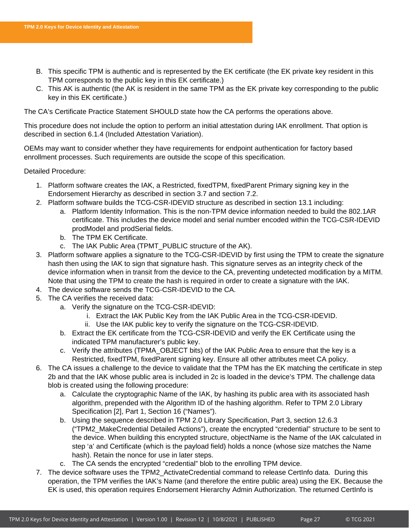- B. This specific TPM is authentic and is represented by the EK certificate (the EK private key resident in this TPM corresponds to the public key in this EK certificate.)
- C. This AK is authentic (the AK is resident in the same TPM as the EK private key corresponding to the public key in this EK certificate.)

The CA's Certificate Practice Statement SHOULD state how the CA performs the operations above.

This procedure does not include the option to perform an initial attestation during IAK enrollment. That option is described in section [6.1.4](#page-28-1) (Included Attestation Variation).

OEMs may want to consider whether they have requirements for endpoint authentication for factory based enrollment processes. Such requirements are outside the scope of this specification.

Detailed Procedure:

- 1. Platform software creates the IAK, a Restricted, fixedTPM, fixedParent Primary signing key in the Endorsement Hierarchy as described in section [3.7](#page-14-0) and section [7.2.](#page-35-2)
- 2. Platform software builds the TCG-CSR-IDEVID structure as described in section [13.1](#page-66-1) including:
	- a. Platform Identity Information. This is the non-TPM device information needed to build the 802.1AR certificate. This includes the device model and serial number encoded within the TCG-CSR-IDEVID prodModel and prodSerial fields.
	- b. The TPM EK Certificate.
	- c. The IAK Public Area (TPMT\_PUBLIC structure of the AK).
- 3. Platform software applies a signature to the TCG-CSR-IDEVID by first using the TPM to create the signature hash then using the IAK to sign that signature hash. This signature serves as an integrity check of the device information when in transit from the device to the CA, preventing undetected modification by a MITM. Note that using the TPM to create the hash is required in order to create a signature with the IAK.
- 4. The device software sends the TCG-CSR-IDEVID to the CA.
- 5. The CA verifies the received data:
	- a. Verify the signature on the TCG-CSR-IDEVID:
		- i. Extract the IAK Public Key from the IAK Public Area in the TCG-CSR-IDEVID.
		- ii. Use the IAK public key to verify the signature on the TCG-CSR-IDEVID.
	- b. Extract the EK certificate from the TCG-CSR-IDEVID and verify the EK Certificate using the indicated TPM manufacturer's public key.
	- c. Verify the attributes (TPMA\_OBJECT bits) of the IAK Public Area to ensure that the key is a Restricted, fixedTPM, fixedParent signing key. Ensure all other attributes meet CA policy.
- 6. The CA issues a challenge to the device to validate that the TPM has the EK matching the certificate in step 2b and that the IAK whose public area is included in 2c is loaded in the device's TPM. The challenge data blob is created using the following procedure:
	- a. Calculate the cryptographic Name of the IAK, by hashing its public area with its associated hash algorithm, prepended with the Algorithm ID of the hashing algorithm. Refer to TPM 2.0 Library Specification [2], Part 1, Section 16 ("Names").
	- b. Using the sequence described in TPM 2.0 Library Specification, Part 3, section 12.6.3 ("TPM2\_MakeCredential Detailed Actions"), create the encrypted "credential" structure to be sent to the device. When building this encrypted structure, objectName is the Name of the IAK calculated in step 'a' and Certificate (which is the payload field) holds a nonce (whose size matches the Name hash). Retain the nonce for use in later steps.
	- c. The CA sends the encrypted "credential" blob to the enrolling TPM device.
- <span id="page-27-0"></span>7. The device software uses the TPM2\_ActivateCredential command to release CertInfo data. During this operation, the TPM verifies the IAK's Name (and therefore the entire public area) using the EK. Because the EK is used, this operation requires Endorsement Hierarchy Admin Authorization. The returned CertInfo is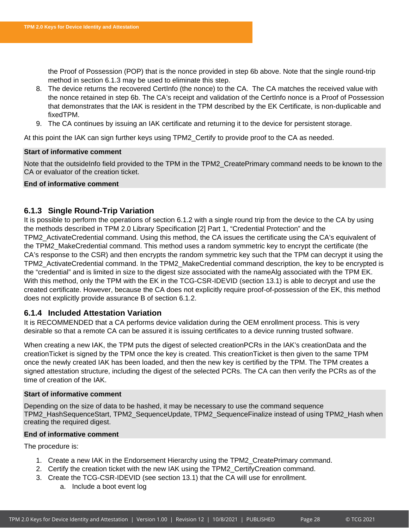the Proof of Possession (POP) that is the nonce provided in step 6b above. Note that the single round-trip method in section [6.1.3](#page-28-0) may be used to eliminate this step.

- 8. The device returns the recovered CertInfo (the nonce) to the CA. The CA matches the received value with the nonce retained in step 6b. The CA's receipt and validation of the CertInfo nonce is a Proof of Possession that demonstrates that the IAK is resident in the TPM described by the EK Certificate, is non-duplicable and fixedTPM.
- 9. The CA continues by issuing an IAK certificate and returning it to the device for persistent storage.

At this point the IAK can sign further keys using TPM2\_Certify to provide proof to the CA as needed.

### **Start of informative comment**

Note that the outsideInfo field provided to the TPM in the TPM2\_CreatePrimary command needs to be known to the CA or evaluator of the creation ticket.

### **End of informative comment**

### <span id="page-28-0"></span>**6.1.3 Single Round-Trip Variation**

It is possible to perform the operations of section [6.1.2](#page-26-3) with a single round trip from the device to the CA by using the methods described in TPM 2.0 Library Specification [2] Part 1, "Credential Protection" and the TPM2\_ActivateCredential command. Using this method, the CA issues the certificate using the CA's equivalent of the TPM2\_MakeCredential command. This method uses a random symmetric key to encrypt the certificate (the CA's response to the CSR) and then encrypts the random symmetric key such that the TPM can decrypt it using the TPM2\_ActivateCredential command. In the TPM2\_MakeCredential command description, the key to be encrypted is the "credential" and is limited in size to the digest size associated with the nameAlg associated with the TPM EK. With this method, only the TPM with the EK in the TCG-CSR-IDEVID (section [13.1\)](#page-66-1) is able to decrypt and use the created certificate. However, because the CA does not explicitly require proof-of-possession of the EK, this method does not explicitly provide assurance B of section [6.1.2.](#page-26-3)

### <span id="page-28-1"></span>**6.1.4 Included Attestation Variation**

It is RECOMMENDED that a CA performs device validation during the OEM enrollment process. This is very desirable so that a remote CA can be assured it is issuing certificates to a device running trusted software.

When creating a new IAK, the TPM puts the digest of selected creationPCRs in the IAK's creationData and the creationTicket is signed by the TPM once the key is created. This creationTicket is then given to the same TPM once the newly created IAK has been loaded, and then the new key is certified by the TPM. The TPM creates a signed attestation structure, including the digest of the selected PCRs. The CA can then verify the PCRs as of the time of creation of the IAK.

### **Start of informative comment**

Depending on the size of data to be hashed, it may be necessary to use the command sequence TPM2\_HashSequenceStart, TPM2\_SequenceUpdate, TPM2\_SequenceFinalize instead of using TPM2\_Hash when creating the required digest.

### **End of informative comment**

The procedure is:

- 1. Create a new IAK in the Endorsement Hierarchy using the TPM2\_CreatePrimary command.
- 2. Certify the creation ticket with the new IAK using the TPM2\_CertifyCreation command.
- 3. Create the TCG-CSR-IDEVID (see section [13.1\)](#page-66-1) that the CA will use for enrollment.
	- a. Include a boot event log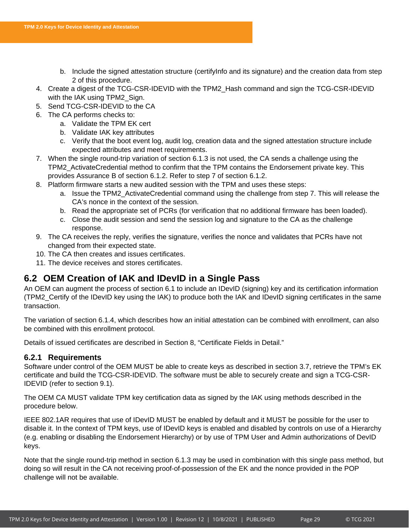- b. Include the signed attestation structure (certifyInfo and its signature) and the creation data from step 2 of this procedure.
- 4. Create a digest of the TCG-CSR-IDEVID with the TPM2\_Hash command and sign the TCG-CSR-IDEVID with the IAK using TPM2\_Sign.
- 5. Send TCG-CSR-IDEVID to the CA
- 6. The CA performs checks to:
	- a. Validate the TPM EK cert
	- b. Validate IAK key attributes
	- c. Verify that the boot event log, audit log, creation data and the signed attestation structure include expected attributes and meet requirements.
- 7. When the single round-trip variation of section [6.1.3](#page-28-0) is not used, the CA sends a challenge using the TPM2\_ActivateCredential method to confirm that the TPM contains the Endorsement private key. This provides Assurance B of section [6.1.2.](#page-26-3) Refer to step [7](#page-27-0) of section [6.1.2.](#page-26-3)
- 8. Platform firmware starts a new audited session with the TPM and uses these steps:
	- a. Issue the TPM2\_ActivateCredential command using the challenge from step 7. This will release the CA's nonce in the context of the session.
	- b. Read the appropriate set of PCRs (for verification that no additional firmware has been loaded).
	- c. Close the audit session and send the session log and signature to the CA as the challenge response.
- 9. The CA receives the reply, verifies the signature, verifies the nonce and validates that PCRs have not changed from their expected state.
- 10. The CA then creates and issues certificates.
- 11. The device receives and stores certificates.

# <span id="page-29-0"></span>**6.2 OEM Creation of IAK and IDevID in a Single Pass**

An OEM can augment the process of section [6.1](#page-26-1) to include an IDevID (signing) key and its certification information (TPM2\_Certify of the IDevID key using the IAK) to produce both the IAK and IDevID signing certificates in the same transaction.

The variation of section [6.1.4,](#page-28-1) which describes how an initial attestation can be combined with enrollment, can also be combined with this enrollment protocol.

Details of issued certificates are described in Section [8,](#page-54-0) "Certificate Fields in Detail."

### <span id="page-29-1"></span>**6.2.1 Requirements**

Software under control of the OEM MUST be able to create keys as described in section [3.7,](#page-14-0) retrieve the TPM's EK certificate and build the TCG-CSR-IDEVID. The software must be able to securely create and sign a TCG-CSR-IDEVID (refer to section 9.1).

The OEM CA MUST validate TPM key certification data as signed by the IAK using methods described in the procedure below.

IEEE 802.1AR requires that use of IDevID MUST be enabled by default and it MUST be possible for the user to disable it. In the context of TPM keys, use of IDevID keys is enabled and disabled by controls on use of a Hierarchy (e.g. enabling or disabling the Endorsement Hierarchy) or by use of TPM User and Admin authorizations of DevID keys.

Note that the single round-trip method in section [6.1.3](#page-28-0) may be used in combination with this single pass method, but doing so will result in the CA not receiving proof-of-possession of the EK and the nonce provided in the POP challenge will not be available.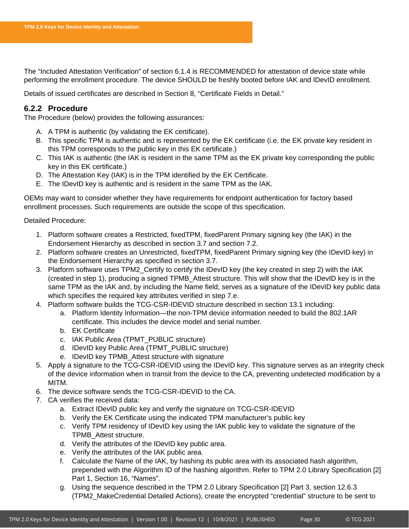The "Included Attestation Verification" of section [6.1.4](#page-28-1) is RECOMMENDED for attestation of device state while performing the enrollment procedure. The device SHOULD be freshly booted before IAK and IDevID enrollment.

Details of issued certificates are described in Section [8,](#page-54-0) "Certificate Fields in Detail."

### <span id="page-30-0"></span>**6.2.2 Procedure**

The Procedure (below) provides the following assurances:

- A. A TPM is authentic (by validating the EK certificate).
- B. This specific TPM is authentic and is represented by the EK certificate (i.e. the EK private key resident in this TPM corresponds to the public key in this EK certificate.)
- C. This IAK is authentic (the IAK is resident in the same TPM as the EK private key corresponding the public key in this EK certificate.)
- D. The Attestation Key (IAK) is in the TPM identified by the EK Certificate.
- E. The IDevID key is authentic and is resident in the same TPM as the IAK.

OEMs may want to consider whether they have requirements for endpoint authentication for factory based enrollment processes. Such requirements are outside the scope of this specification.

Detailed Procedure:

- 1. Platform software creates a Restricted, fixedTPM, fixedParent Primary signing key (the IAK) in the Endorsement Hierarchy as described in section [3.7](#page-14-0) and section [7.2.](#page-35-2)
- 2. Platform software creates an Unrestricted, fixedTPM, fixedParent Primary signing key (the IDevID key) in the Endorsement Hierarchy as specified in section [3.7.](#page-14-0)
- 3. Platform software uses TPM2\_Certify to certify the IDevID key (the key created in step 2) with the IAK (created in step 1), producing a signed TPMB\_Attest structure. This will show that the IDevID key is in the same TPM as the IAK and, by including the Name field, serves as a signature of the IDevID key public data which specifies the required key attributes verified in step 7.e.
- 4. Platform software builds the TCG-CSR-IDEVID structure described in section [13.1](#page-66-1) including:
	- a. Platform Identity Information—the non-TPM device information needed to build the 802.1AR certificate. This includes the device model and serial number.
	- b. EK Certificate
	- c. IAK Public Area (TPMT\_PUBLIC structure)
	- d. IDevID key Public Area (TPMT\_PUBLIC structure)
	- e. IDevID key TPMB\_Attest structure with signature
- 5. Apply a signature to the TCG-CSR-IDEVID using the IDevID key. This signature serves as an integrity check of the device information when in transit from the device to the CA, preventing undetected modification by a MITM.
- 6. The device software sends the TCG-CSR-IDEVID to the CA.
- 7. CA verifies the received data:
	- a. Extract IDevID public key and verify the signature on TCG-CSR-IDEVID
	- b. Verify the EK Certificate using the indicated TPM manufacturer's public key
	- c. Verify TPM residency of IDevID key using the IAK public key to validate the signature of the TPMB\_Attest structure.
	- d. Verify the attributes of the IDevID key public area.
	- e. Verify the attributes of the IAK public area.
	- f. Calculate the Name of the IAK, by hashing its public area with its associated hash algorithm, prepended with the Algorithm ID of the hashing algorithm. Refer to TPM 2.0 Library Specification [2] Part 1, Section 16, "Names".
	- g. Using the sequence described in the TPM 2.0 Library Specification [2] Part 3, section 12.6.3 (TPM2\_MakeCredential Detailed Actions), create the encrypted "credential" structure to be sent to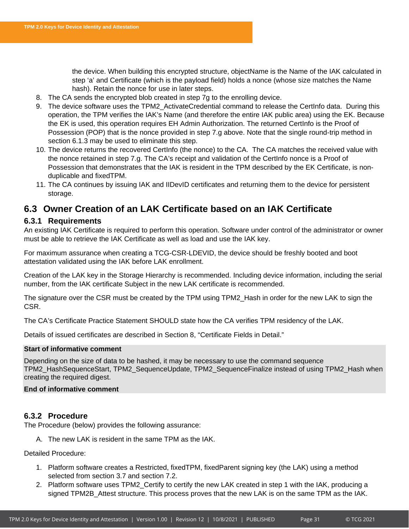the device. When building this encrypted structure, objectName is the Name of the IAK calculated in step 'a' and Certificate (which is the payload field) holds a nonce (whose size matches the Name hash). Retain the nonce for use in later steps.

- 8. The CA sends the encrypted blob created in step 7g to the enrolling device.
- 9. The device software uses the TPM2\_ActivateCredential command to release the CertInfo data. During this operation, the TPM verifies the IAK's Name (and therefore the entire IAK public area) using the EK. Because the EK is used, this operation requires EH Admin Authorization. The returned CertInfo is the Proof of Possession (POP) that is the nonce provided in step 7.g above. Note that the single round-trip method in section [6.1.3](#page-28-0) may be used to eliminate this step.
- 10. The device returns the recovered CertInfo (the nonce) to the CA. The CA matches the received value with the nonce retained in step 7.g. The CA's receipt and validation of the CertInfo nonce is a Proof of Possession that demonstrates that the IAK is resident in the TPM described by the EK Certificate, is nonduplicable and fixedTPM.
- 11. The CA continues by issuing IAK and IIDevID certificates and returning them to the device for persistent storage.

# <span id="page-31-0"></span>**6.3 Owner Creation of an LAK Certificate based on an IAK Certificate**

### <span id="page-31-1"></span>**6.3.1 Requirements**

An existing IAK Certificate is required to perform this operation. Software under control of the administrator or owner must be able to retrieve the IAK Certificate as well as load and use the IAK key.

For maximum assurance when creating a TCG-CSR-LDEVID, the device should be freshly booted and boot attestation validated using the IAK before LAK enrollment.

Creation of the LAK key in the Storage Hierarchy is recommended. Including device information, including the serial number, from the IAK certificate Subject in the new LAK certificate is recommended.

The signature over the CSR must be created by the TPM using TPM2\_Hash in order for the new LAK to sign the CSR.

The CA's Certificate Practice Statement SHOULD state how the CA verifies TPM residency of the LAK.

Details of issued certificates are described in Section [8,](#page-54-0) "Certificate Fields in Detail."

### **Start of informative comment**

Depending on the size of data to be hashed, it may be necessary to use the command sequence TPM2\_HashSequenceStart, TPM2\_SequenceUpdate, TPM2\_SequenceFinalize instead of using TPM2\_Hash when creating the required digest.

### **End of informative comment**

### <span id="page-31-2"></span>**6.3.2 Procedure**

The Procedure (below) provides the following assurance:

A. The new LAK is resident in the same TPM as the IAK.

### Detailed Procedure:

- 1. Platform software creates a Restricted, fixedTPM, fixedParent signing key (the LAK) using a method selected from section [3.7](#page-14-0) and section [7.2.](#page-35-2)
- 2. Platform software uses TPM2\_Certify to certify the new LAK created in step 1 with the IAK, producing a signed TPM2B Attest structure. This process proves that the new LAK is on the same TPM as the IAK.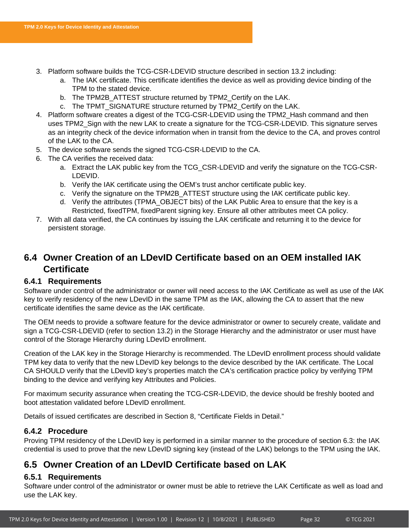- 3. Platform software builds the TCG-CSR-LDEVID structure described in section [13.2](#page-67-0) including:
	- a. The IAK certificate. This certificate identifies the device as well as providing device binding of the TPM to the stated device.
	- b. The TPM2B\_ATTEST structure returned by TPM2\_Certify on the LAK.
	- c. The TPMT\_SIGNATURE structure returned by TPM2\_Certify on the LAK.
- 4. Platform software creates a digest of the TCG-CSR-LDEVID using the TPM2\_Hash command and then uses TPM2\_Sign with the new LAK to create a signature for the TCG-CSR-LDEVID. This signature serves as an integrity check of the device information when in transit from the device to the CA, and proves control of the LAK to the CA.
- 5. The device software sends the signed TCG-CSR-LDEVID to the CA.
- 6. The CA verifies the received data:
	- a. Extract the LAK public key from the TCG\_CSR-LDEVID and verify the signature on the TCG-CSR-LDEVID.
	- b. Verify the IAK certificate using the OEM's trust anchor certificate public key.
	- c. Verify the signature on the TPM2B\_ATTEST structure using the IAK certificate public key.
	- d. Verify the attributes (TPMA\_OBJECT bits) of the LAK Public Area to ensure that the key is a Restricted, fixedTPM, fixedParent signing key. Ensure all other attributes meet CA policy.
- 7. With all data verified, the CA continues by issuing the LAK certificate and returning it to the device for persistent storage.

# <span id="page-32-0"></span>**6.4 Owner Creation of an LDevID Certificate based on an OEM installed IAK Certificate**

### <span id="page-32-1"></span>**6.4.1 Requirements**

Software under control of the administrator or owner will need access to the IAK Certificate as well as use of the IAK key to verify residency of the new LDevID in the same TPM as the IAK, allowing the CA to assert that the new certificate identifies the same device as the IAK certificate.

The OEM needs to provide a software feature for the device administrator or owner to securely create, validate and sign a TCG-CSR-LDEVID (refer to section [13.2\)](#page-67-0) in the Storage Hierarchy and the administrator or user must have control of the Storage Hierarchy during LDevID enrollment.

Creation of the LAK key in the Storage Hierarchy is recommended. The LDevID enrollment process should validate TPM key data to verify that the new LDevID key belongs to the device described by the IAK certificate. The Local CA SHOULD verify that the LDevID key's properties match the CA's certification practice policy by verifying TPM binding to the device and verifying key Attributes and Policies.

For maximum security assurance when creating the TCG-CSR-LDEVID, the device should be freshly booted and boot attestation validated before LDevID enrollment.

Details of issued certificates are described in Section [8,](#page-54-0) "Certificate Fields in Detail."

### <span id="page-32-2"></span>**6.4.2 Procedure**

Proving TPM residency of the LDevID key is performed in a similar manner to the procedure of section [6.3:](#page-31-0) the IAK credential is used to prove that the new LDevID signing key (instead of the LAK) belongs to the TPM using the IAK.

# <span id="page-32-3"></span>**6.5 Owner Creation of an LDevID Certificate based on LAK**

### <span id="page-32-4"></span>**6.5.1 Requirements**

Software under control of the administrator or owner must be able to retrieve the LAK Certificate as well as load and use the LAK key.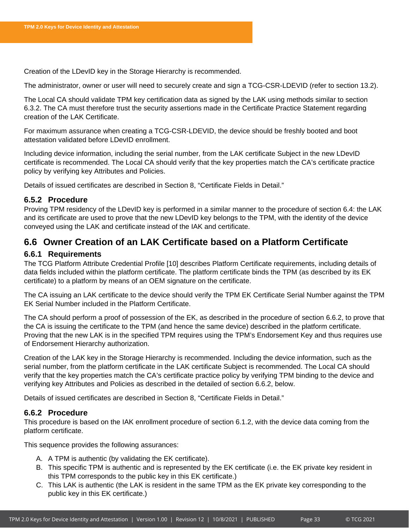Creation of the LDevID key in the Storage Hierarchy is recommended.

The administrator, owner or user will need to securely create and sign a TCG-CSR-LDEVID (refer to section [13.2\)](#page-67-0).

The Local CA should validate TPM key certification data as signed by the LAK using methods similar to section [6.3.2.](#page-31-2) The CA must therefore trust the security assertions made in the Certificate Practice Statement regarding creation of the LAK Certificate.

For maximum assurance when creating a TCG-CSR-LDEVID, the device should be freshly booted and boot attestation validated before LDevID enrollment.

Including device information, including the serial number, from the LAK certificate Subject in the new LDevID certificate is recommended. The Local CA should verify that the key properties match the CA's certificate practice policy by verifying key Attributes and Policies.

Details of issued certificates are described in Section [8,](#page-54-0) "Certificate Fields in Detail."

### <span id="page-33-0"></span>**6.5.2 Procedure**

Proving TPM residency of the LDevID key is performed in a similar manner to the procedure of section [6.4:](#page-32-0) the LAK and its certificate are used to prove that the new LDevID key belongs to the TPM, with the identity of the device conveyed using the LAK and certificate instead of the IAK and certificate.

# <span id="page-33-1"></span>**6.6 Owner Creation of an LAK Certificate based on a Platform Certificate**

### <span id="page-33-2"></span>**6.6.1 Requirements**

The TCG Platform Attribute Credential Profile [10] describes Platform Certificate requirements, including details of data fields included within the platform certificate. The platform certificate binds the TPM (as described by its EK certificate) to a platform by means of an OEM signature on the certificate.

The CA issuing an LAK certificate to the device should verify the TPM EK Certificate Serial Number against the TPM EK Serial Number included in the Platform Certificate.

The CA should perform a proof of possession of the EK, as described in the procedure of section [6.6.2,](#page-33-3) to prove that the CA is issuing the certificate to the TPM (and hence the same device) described in the platform certificate. Proving that the new LAK is in the specified TPM requires using the TPM's Endorsement Key and thus requires use of Endorsement Hierarchy authorization.

Creation of the LAK key in the Storage Hierarchy is recommended. Including the device information, such as the serial number, from the platform certificate in the LAK certificate Subject is recommended. The Local CA should verify that the key properties match the CA's certificate practice policy by verifying TPM binding to the device and verifying key Attributes and Policies as described in the detailed of section [6.6.2,](#page-33-3) below.

Details of issued certificates are described in Section [8,](#page-54-0) "Certificate Fields in Detail."

### <span id="page-33-3"></span>**6.6.2 Procedure**

This procedure is based on the IAK enrollment procedure of section [6.1.2,](#page-26-3) with the device data coming from the platform certificate.

This sequence provides the following assurances:

- A. A TPM is authentic (by validating the EK certificate).
- B. This specific TPM is authentic and is represented by the EK certificate (i.e. the EK private key resident in this TPM corresponds to the public key in this EK certificate.)
- C. This LAK is authentic (the LAK is resident in the same TPM as the EK private key corresponding to the public key in this EK certificate.)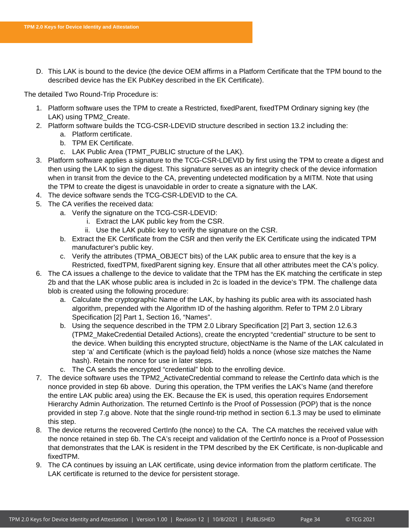D. This LAK is bound to the device (the device OEM affirms in a Platform Certificate that the TPM bound to the described device has the EK PubKey described in the EK Certificate).

The detailed Two Round-Trip Procedure is:

- 1. Platform software uses the TPM to create a Restricted, fixedParent, fixedTPM Ordinary signing key (the LAK) using TPM2\_Create.
- 2. Platform software builds the TCG-CSR-LDEVID structure described in section [13.2](#page-67-0) including the:
	- a. Platform certificate.
	- b. TPM EK Certificate.
	- c. LAK Public Area (TPMT\_PUBLIC structure of the LAK).
- 3. Platform software applies a signature to the TCG-CSR-LDEVID by first using the TPM to create a digest and then using the LAK to sign the digest. This signature serves as an integrity check of the device information when in transit from the device to the CA, preventing undetected modification by a MITM. Note that using the TPM to create the digest is unavoidable in order to create a signature with the LAK.
- 4. The device software sends the TCG-CSR-LDEVID to the CA.
- 5. The CA verifies the received data:
	- a. Verify the signature on the TCG-CSR-LDEVID:
		- i. Extract the LAK public key from the CSR.
		- ii. Use the LAK public key to verify the signature on the CSR.
	- b. Extract the EK Certificate from the CSR and then verify the EK Certificate using the indicated TPM manufacturer's public key.
	- c. Verify the attributes (TPMA\_OBJECT bits) of the LAK public area to ensure that the key is a Restricted, fixedTPM, fixedParent signing key. Ensure that all other attributes meet the CA's policy.
- 6. The CA issues a challenge to the device to validate that the TPM has the EK matching the certificate in step 2b and that the LAK whose public area is included in 2c is loaded in the device's TPM. The challenge data blob is created using the following procedure:
	- a. Calculate the cryptographic Name of the LAK, by hashing its public area with its associated hash algorithm, prepended with the Algorithm ID of the hashing algorithm. Refer to TPM 2.0 Library Specification [2] Part 1, Section 16, "Names".
	- b. Using the sequence described in the TPM 2.0 Library Specification [2] Part 3, section 12.6.3 (TPM2\_MakeCredential Detailed Actions), create the encrypted "credential" structure to be sent to the device. When building this encrypted structure, objectName is the Name of the LAK calculated in step 'a' and Certificate (which is the payload field) holds a nonce (whose size matches the Name hash). Retain the nonce for use in later steps.
	- c. The CA sends the encrypted "credential" blob to the enrolling device.
- 7. The device software uses the TPM2\_ActivateCredential command to release the CertInfo data which is the nonce provided in step 6b above. During this operation, the TPM verifies the LAK's Name (and therefore the entire LAK public area) using the EK. Because the EK is used, this operation requires Endorsement Hierarchy Admin Authorization. The returned CertInfo is the Proof of Possession (POP) that is the nonce provided in step 7.g above. Note that the single round-trip method in section [6.1.3](#page-28-0) may be used to eliminate this step.
- 8. The device returns the recovered CertInfo (the nonce) to the CA. The CA matches the received value with the nonce retained in step 6b. The CA's receipt and validation of the CertInfo nonce is a Proof of Possession that demonstrates that the LAK is resident in the TPM described by the EK Certificate, is non-duplicable and fixedTPM.
- 9. The CA continues by issuing an LAK certificate, using device information from the platform certificate. The LAK certificate is returned to the device for persistent storage.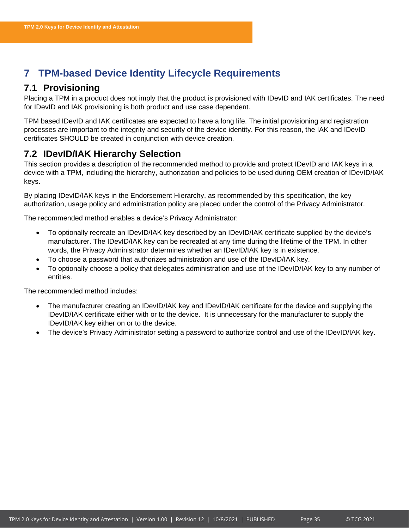# <span id="page-35-0"></span>**7 TPM-based Device Identity Lifecycle Requirements**

# <span id="page-35-1"></span>**7.1 Provisioning**

Placing a TPM in a product does not imply that the product is provisioned with IDevID and IAK certificates. The need for IDevID and IAK provisioning is both product and use case dependent.

TPM based IDevID and IAK certificates are expected to have a long life. The initial provisioning and registration processes are important to the integrity and security of the device identity. For this reason, the IAK and IDevID certificates SHOULD be created in conjunction with device creation.

# <span id="page-35-2"></span>**7.2 IDevID/IAK Hierarchy Selection**

This section provides a description of the recommended method to provide and protect IDevID and IAK keys in a device with a TPM, including the hierarchy, authorization and policies to be used during OEM creation of IDevID/IAK keys.

By placing IDevID/IAK keys in the Endorsement Hierarchy, as recommended by this specification, the key authorization, usage policy and administration policy are placed under the control of the Privacy Administrator.

The recommended method enables a device's Privacy Administrator:

- To optionally recreate an IDevID/IAK key described by an IDevID/IAK certificate supplied by the device's manufacturer. The IDevID/IAK key can be recreated at any time during the lifetime of the TPM. In other words, the Privacy Administrator determines whether an IDevID/IAK key is in existence.
- To choose a password that authorizes administration and use of the IDevID/IAK key.
- To optionally choose a policy that delegates administration and use of the IDevID/IAK key to any number of entities.

The recommended method includes:

- The manufacturer creating an IDevID/IAK key and IDevID/IAK certificate for the device and supplying the IDevID/IAK certificate either with or to the device. It is unnecessary for the manufacturer to supply the IDevID/IAK key either on or to the device.
- The device's Privacy Administrator setting a password to authorize control and use of the IDevID/IAK key.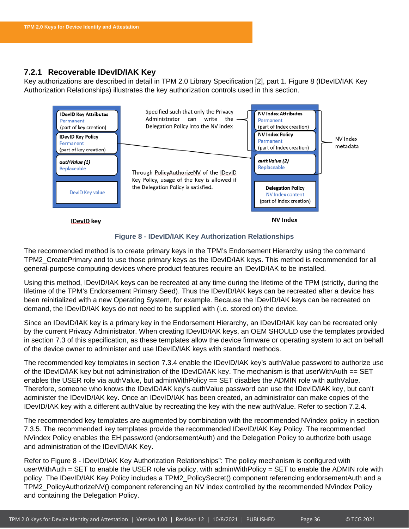### <span id="page-36-0"></span>**7.2.1 Recoverable IDevID/IAK Key**

Key authorizations are described in detail in TPM 2.0 Library Specification [2], part 1. [Figure 8](#page-36-1) (IDevID/IAK Key Authorization Relationships) illustrates the key authorization controls used in this section.



**Figure 8 - IDevID/IAK Key Authorization Relationships**

<span id="page-36-1"></span>The recommended method is to create primary keys in the TPM's Endorsement Hierarchy using the command TPM2\_CreatePrimary and to use those primary keys as the IDevID/IAK keys. This method is recommended for all general-purpose computing devices where product features require an IDevID/IAK to be installed.

Using this method, IDevID/IAK keys can be recreated at any time during the lifetime of the TPM (strictly, during the lifetime of the TPM's Endorsement Primary Seed). Thus the IDevID/IAK keys can be recreated after a device has been reinitialized with a new Operating System, for example. Because the IDevID/IAK keys can be recreated on demand, the IDevID/IAK keys do not need to be supplied with (i.e. stored on) the device.

Since an IDevID/IAK key is a primary key in the Endorsement Hierarchy, an IDevID/IAK key can be recreated only by the current Privacy Administrator. When creating IDevID/IAK keys, an OEM SHOULD use the templates provided in section [7.3](#page-38-1) of this specification, as these templates allow the device firmware or operating system to act on behalf of the device owner to administer and use IDevID/IAK keys with standard methods.

The recommended key templates in section [7.3.4](#page-42-0) enable the IDevID/IAK key's authValue password to authorize use of the IDevID/IAK key but not administration of the IDevID/IAK key. The mechanism is that userWithAuth == SET enables the USER role via authValue, but adminWithPolicy == SET disables the ADMIN role with authValue. Therefore, someone who knows the IDevID/IAK key's authValue password can use the IDevID/IAK key, but can't administer the IDevID/IAK key. Once an IDevID/IAK has been created, an administrator can make copies of the IDevID/IAK key with a different authValue by recreating the key with the new authValue. Refer to section [7.2.4.](#page-38-0)

The recommended key templates are augmented by combination with the recommended NVindex policy in section [7.3.5.](#page-44-0) The recommended key templates provide the recommended IDevID/IAK Key Policy. The recommended NVindex Policy enables the EH password (endorsementAuth) and the Delegation Policy to authorize both usage and administration of the IDevID/IAK Key.

Refer to Figure 8 - [IDevID/IAK Key Authorization Relationships"](#page-36-1): The policy mechanism is configured with userWithAuth = SET to enable the USER role via policy, with adminWithPolicy = SET to enable the ADMIN role with policy. The IDevID/IAK Key Policy includes a TPM2\_PolicySecret() component referencing endorsementAuth and a TPM2\_PolicyAuthorizeNV() component referencing an NV index controlled by the recommended NVindex Policy and containing the Delegation Policy.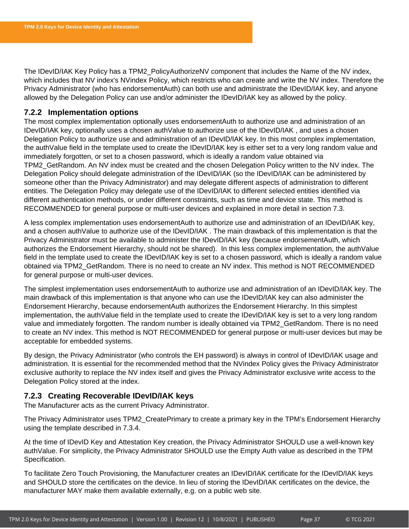The IDevID/IAK Key Policy has a TPM2\_PolicyAuthorizeNV component that includes the Name of the NV index, which includes that NV index's NVindex Policy, which restricts who can create and write the NV index. Therefore the Privacy Administrator (who has endorsementAuth) can both use and administrate the IDevID/IAK key, and anyone allowed by the Delegation Policy can use and/or administer the IDevID/IAK key as allowed by the policy.

### <span id="page-37-0"></span>**7.2.2 Implementation options**

The most complex implementation optionally uses endorsementAuth to authorize use and administration of an IDevID/IAK key, optionally uses a chosen authValue to authorize use of the IDevID/IAK , and uses a chosen Delegation Policy to authorize use and administration of an IDevID/IAK key. In this most complex implementation, the authValue field in the template used to create the IDevID/IAK key is either set to a very long random value and immediately forgotten, or set to a chosen password, which is ideally a random value obtained via TPM2\_GetRandom. An NV index must be created and the chosen Delegation Policy written to the NV index. The Delegation Policy should delegate administration of the IDevID/IAK (so the IDevID/IAK can be administered by someone other than the Privacy Administrator) and may delegate different aspects of administration to different entities. The Delegation Policy may delegate use of the IDevID/IAK to different selected entities identified via different authentication methods, or under different constraints, such as time and device state. This method is RECOMMENDED for general purpose or multi-user devices and explained in more detail in section [7.3.](#page-38-1)

A less complex implementation uses endorsementAuth to authorize use and administration of an IDevID/IAK key, and a chosen authValue to authorize use of the IDevID/IAK . The main drawback of this implementation is that the Privacy Administrator must be available to administer the IDevID/IAK key (because endorsementAuth, which authorizes the Endorsement Hierarchy, should not be shared). In this less complex implementation, the authValue field in the template used to create the IDevID/IAK key is set to a chosen password, which is ideally a random value obtained via TPM2\_GetRandom. There is no need to create an NV index. This method is NOT RECOMMENDED for general purpose or multi-user devices.

The simplest implementation uses endorsementAuth to authorize use and administration of an IDevID/IAK key. The main drawback of this implementation is that anyone who can use the IDevID/IAK key can also administer the Endorsement Hierarchy, because endorsementAuth authorizes the Endorsement Hierarchy. In this simplest implementation, the authValue field in the template used to create the IDevID/IAK key is set to a very long random value and immediately forgotten. The random number is ideally obtained via TPM2\_GetRandom. There is no need to create an NV index. This method is NOT RECOMMENDED for general purpose or multi-user devices but may be acceptable for embedded systems.

By design, the Privacy Administrator (who controls the EH password) is always in control of IDevID/IAK usage and administration. It is essential for the recommended method that the NVindex Policy gives the Privacy Administrator exclusive authority to replace the NV index itself and gives the Privacy Administrator exclusive write access to the Delegation Policy stored at the index.

### <span id="page-37-1"></span>**7.2.3 Creating Recoverable IDevID/IAK keys**

The Manufacturer acts as the current Privacy Administrator.

The Privacy Administrator uses TPM2\_CreatePrimary to create a primary key in the TPM's Endorsement Hierarchy using the template described in [7.3.4.](#page-42-0)

At the time of IDevID Key and Attestation Key creation, the Privacy Administrator SHOULD use a well-known key authValue. For simplicity, the Privacy Administrator SHOULD use the Empty Auth value as described in the TPM Specification.

To facilitate Zero Touch Provisioning, the Manufacturer creates an IDevID/IAK certificate for the IDevID/IAK keys and SHOULD store the certificates on the device. In lieu of storing the IDevID/IAK certificates on the device, the manufacturer MAY make them available externally, e.g. on a public web site.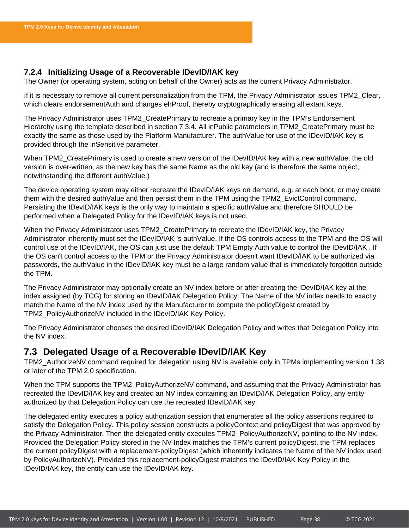### <span id="page-38-0"></span>**7.2.4 Initializing Usage of a Recoverable IDevID/IAK key**

The Owner (or operating system, acting on behalf of the Owner) acts as the current Privacy Administrator.

If it is necessary to remove all current personalization from the TPM, the Privacy Administrator issues TPM2\_Clear, which clears endorsementAuth and changes ehProof, thereby cryptographically erasing all extant keys.

The Privacy Administrator uses TPM2\_CreatePrimary to recreate a primary key in the TPM's Endorsement Hierarchy using the template described in section [7.3.4.](#page-42-0) All inPublic parameters in TPM2\_CreatePrimary must be exactly the same as those used by the Platform Manufacturer. The authValue for use of the IDevID/IAK key is provided through the inSensitive parameter.

When TPM2 CreatePrimary is used to create a new version of the IDevID/IAK key with a new authValue, the old version is over-written, as the new key has the same Name as the old key (and is therefore the same object, notwithstanding the different authValue.)

The device operating system may either recreate the IDevID/IAK keys on demand, e.g. at each boot, or may create them with the desired authValue and then persist them in the TPM using the TPM2\_EvictControl command. Persisting the IDevID/IAK keys is the only way to maintain a specific authValue and therefore SHOULD be performed when a Delegated Policy for the IDevID/IAK keys is not used.

When the Privacy Administrator uses TPM2\_CreatePrimary to recreate the IDevID/IAK key, the Privacy Administrator inherently must set the IDevID/IAK 's authValue. If the OS controls access to the TPM and the OS will control use of the IDevID/IAK, the OS can just use the default TPM Empty Auth value to control the IDevID/IAK . If the OS can't control access to the TPM or the Privacy Administrator doesn't want IDevID/IAK to be authorized via passwords, the authValue in the IDevID/IAK key must be a large random value that is immediately forgotten outside the TPM.

The Privacy Administrator may optionally create an NV index before or after creating the IDevID/IAK key at the index assigned (by TCG) for storing an IDevID/IAK Delegation Policy. The Name of the NV index needs to exactly match the Name of the NV index used by the Manufacturer to compute the policyDigest created by TPM2\_PolicyAuthorizeNV included in the IDevID/IAK Key Policy.

The Privacy Administrator chooses the desired IDevID/IAK Delegation Policy and writes that Delegation Policy into the NV index.

# <span id="page-38-1"></span>**7.3 Delegated Usage of a Recoverable IDevID/IAK Key**

TPM2\_AuthorizeNV command required for delegation using NV is available only in TPMs implementing version 1.38 or later of the TPM 2.0 specification.

When the TPM supports the TPM2\_PolicyAuthorizeNV command, and assuming that the Privacy Administrator has recreated the IDevID/IAK key and created an NV index containing an IDevID/IAK Delegation Policy, any entity authorized by that Delegation Policy can use the recreated IDevID/IAK key.

The delegated entity executes a policy authorization session that enumerates all the policy assertions required to satisfy the Delegation Policy. This policy session constructs a policyContext and policyDigest that was approved by the Privacy Administrator. Then the delegated entity executes TPM2\_PolicyAuthorizeNV, pointing to the NV index. Provided the Delegation Policy stored in the NV Index matches the TPM's current policyDigest, the TPM replaces the current policyDigest with a replacement-policyDigest (which inherently indicates the Name of the NV index used by PolicyAuthorizeNV). Provided this replacement-policyDigest matches the IDevID/IAK Key Policy in the IDevID/IAK key, the entity can use the IDevID/IAK key.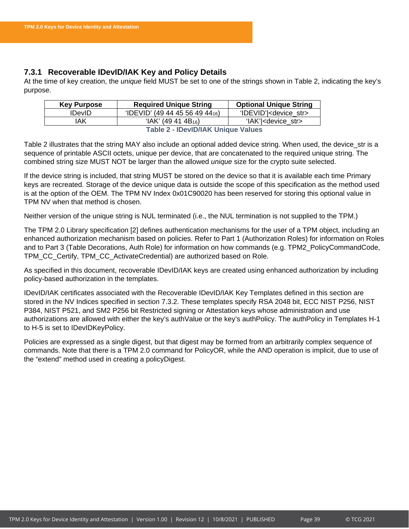### <span id="page-39-0"></span>**7.3.1 Recoverable IDevID/IAK Key and Policy Details**

At the time of key creation, the *unique* field MUST be set to one of the strings shown in [Table 2,](#page-39-1) indicating the key's purpose.

| <b>Key Purpose</b>                        | <b>Required Unique String</b>               | <b>Optional Unique String</b>      |
|-------------------------------------------|---------------------------------------------|------------------------------------|
| <b>IDevID</b>                             | 'IDEVID' (49 44 45 56 49 44 <sub>16</sub> ) | 'IDEVID'  <device str=""></device> |
| IAK                                       | $HAK'$ (49 41 4B <sub>16</sub> )            | 'IAK'  <device str=""></device>    |
| <b>Table 2 - IDevID/IAK Unique Values</b> |                                             |                                    |

<span id="page-39-1"></span>[Table 2](#page-39-1) illustrates that the string MAY also include an optional added device string. When used, the device\_str is a sequence of printable ASCII octets, unique per device, that are concatenated to the required unique string. The combined string size MUST NOT be larger than the allowed *unique* size for the crypto suite selected.

If the device string is included, that string MUST be stored on the device so that it is available each time Primary keys are recreated. Storage of the device unique data is outside the scope of this specification as the method used is at the option of the OEM. The TPM NV Index 0x01C90020 has been reserved for storing this optional value in TPM NV when that method is chosen.

Neither version of the unique string is NUL terminated (i.e., the NUL termination is not supplied to the TPM.)

The TPM 2.0 Library specification [2] defines authentication mechanisms for the user of a TPM object, including an enhanced authorization mechanism based on policies. Refer to Part 1 (Authorization Roles) for information on Roles and to Part 3 (Table Decorations, Auth Role) for information on how commands (e.g. TPM2\_PolicyCommandCode, TPM\_CC\_Certify, TPM\_CC\_ActivateCredential) are authorized based on Role.

As specified in this document, recoverable IDevID/IAK keys are created using enhanced authorization by including policy-based authorization in the templates.

IDevID/IAK certificates associated with the Recoverable IDevID/IAK Key Templates defined in this section are stored in the NV Indices specified in section [7.3.2.](#page-41-0) These templates specify RSA 2048 bit, ECC NIST P256, NIST P384, NIST P521, and SM2 P256 bit Restricted signing or Attestation keys whose administration and use authorizations are allowed with either the key's authValue or the key's authPolicy. The authPolicy in Templates H-1 to H-5 is set to IDevIDKeyPolicy.

Policies are expressed as a single digest, but that digest may be formed from an arbitrarily complex sequence of commands. Note that there is a TPM 2.0 command for PolicyOR, while the AND operation is implicit, due to use of the "extend" method used in creating a policyDigest.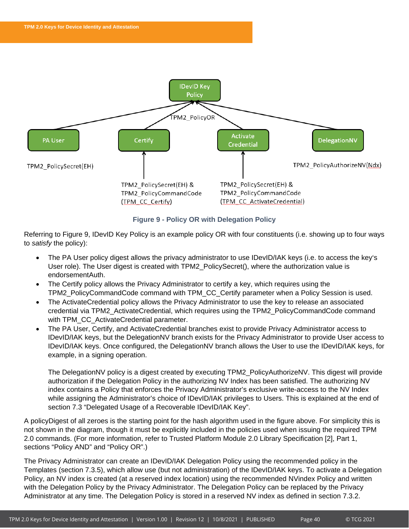

**Figure 9 - Policy OR with Delegation Policy**

<span id="page-40-0"></span>Referring to Figure 9, IDevID Key Policy is an example policy OR with four constituents (i.e. showing up to four ways to *satisfy* the policy):

- The PA User policy digest allows the privacy administrator to use IDevID/IAK keys (i.e. to access the key's User role). The User digest is created with TPM2\_PolicySecret(), where the authorization value is endorsementAuth.
- The Certify policy allows the Privacy Administrator to certify a key, which requires using the TPM2\_PolicyCommandCode command with TPM\_CC\_Certify parameter when a Policy Session is used.
- The ActivateCredential policy allows the Privacy Administrator to use the key to release an associated credential via TPM2\_ActivateCredential, which requires using the TPM2\_PolicyCommandCode command with TPM\_CC\_ActivateCredential parameter.
- The PA User, Certify, and ActivateCredential branches exist to provide Privacy Administrator access to IDevID/IAK keys, but the DelegationNV branch exists for the Privacy Administrator to provide User access to IDevID/IAK keys. Once configured, the DelegationNV branch allows the User to use the IDevID/IAK keys, for example, in a signing operation.

The DelegationNV policy is a digest created by executing TPM2\_PolicyAuthorizeNV. This digest will provide authorization if the Delegation Policy in the authorizing NV Index has been satisfied. The authorizing NV index contains a Policy that enforces the Privacy Administrator's exclusive write-access to the NV Index while assigning the Administrator's choice of IDevID/IAK privileges to Users. This is explained at the end of section [7.3](#page-38-1) "Delegated Usage of a Recoverable IDevID/IAK Key".

A policyDigest of all zeroes is the starting point for the hash algorithm used in the figure above. For simplicity this is not shown in the diagram, though it must be explicitly included in the policies used when issuing the required TPM 2.0 commands. (For more information, refer to Trusted Platform Module 2.0 Library Specification [2], Part 1, sections "Policy AND" and "Policy OR".)

The Privacy Administrator can create an IDevID/IAK Delegation Policy using the recommended policy in the Templates (section [7.3.5\)](#page-44-0), which allow use (but not administration) of the IDevID/IAK keys. To activate a Delegation Policy, an NV index is created (at a reserved index location) using the recommended NVindex Policy and written with the Delegation Policy by the Privacy Administrator. The Delegation Policy can be replaced by the Privacy Administrator at any time. The Delegation Policy is stored in a reserved NV index as defined in section [7.3.2.](#page-41-0)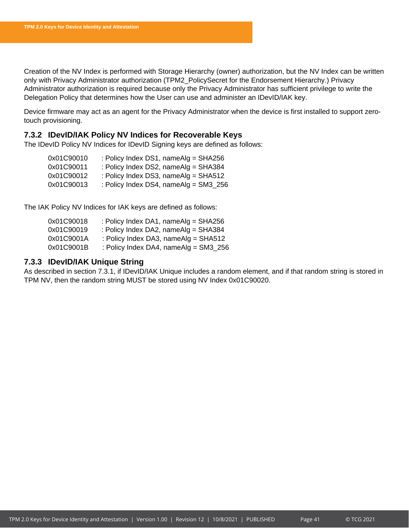Creation of the NV Index is performed with Storage Hierarchy (owner) authorization, but the NV Index can be written only with Privacy Administrator authorization (TPM2\_PolicySecret for the Endorsement Hierarchy.) Privacy Administrator authorization is required because only the Privacy Administrator has sufficient privilege to write the Delegation Policy that determines how the User can use and administer an IDevID/IAK key.

Device firmware may act as an agent for the Privacy Administrator when the device is first installed to support zerotouch provisioning.

### <span id="page-41-0"></span>**7.3.2 IDevID/IAK Policy NV Indices for Recoverable Keys**

The IDevID Policy NV Indices for IDevID Signing keys are defined as follows:

| 0x01C90010 | : Policy Index DS1, nameAlg = $SHA256$ |
|------------|----------------------------------------|
| 0x01C90011 | : Policy Index DS2, nameAlg = SHA384   |
| 0x01C90012 | : Policy Index DS3, nameAlg = SHA512   |
| 0x01C90013 | : Policy Index DS4, nameAlg = SM3_256  |

The IAK Policy NV Indices for IAK keys are defined as follows:

| 0x01C90018 | : Policy Index DA1, nameAlg = $SHA256$  |
|------------|-----------------------------------------|
| 0x01C90019 | : Policy Index DA2, nameAlg = SHA384    |
| 0x01C9001A | : Policy Index DA3, nameAlg = SHA512    |
| 0x01C9001B | : Policy Index DA4, nameAlg = $SM3_256$ |

### <span id="page-41-1"></span>**7.3.3 IDevID/IAK Unique String**

As described in section [7.3.1,](#page-39-0) if IDevID/IAK Unique includes a random element, and if that random string is stored in TPM NV, then the random string MUST be stored using NV Index 0x01C90020.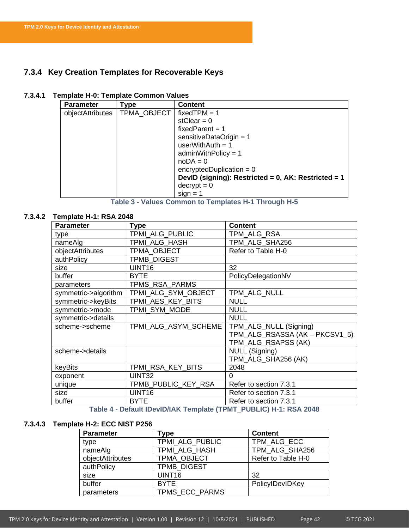# <span id="page-42-0"></span>**7.3.4 Key Creation Templates for Recoverable Keys**

### **7.3.4.1 Template H-0: Template Common Values**

| <b>Parameter</b> | Гуре        | <b>Content</b>                                      |
|------------------|-------------|-----------------------------------------------------|
| objectAttributes | TPMA OBJECT | fixed $TPM = 1$                                     |
|                  |             | stClear = $0$                                       |
|                  |             | $fixedParent = 1$                                   |
|                  |             | sensitiveDataOrigin = $1$                           |
|                  |             | userWithAuth = $1$                                  |
|                  |             | $adminWithPolicy = 1$                               |
|                  |             | $noDA = 0$                                          |
|                  |             | encryptedDuplication = $0$                          |
|                  |             | DevID (signing): Restricted = 0, AK: Restricted = 1 |
|                  |             | $decrypt = 0$                                       |
|                  |             | $sign = 1$                                          |

**Table 3 - Values Common to Templates H-1 Through H-5**

### **7.3.4.2 Template H-1: RSA 2048**

| <b>Parameter</b>     | <b>Type</b>          | <b>Content</b>                 |
|----------------------|----------------------|--------------------------------|
| type                 | TPMI_ALG_PUBLIC      | TPM_ALG_RSA                    |
| nameAlg              | TPMI ALG HASH        | TPM ALG SHA256                 |
| objectAttributes     | TPMA OBJECT          | Refer to Table H-0             |
| authPolicy           | <b>TPMB DIGEST</b>   |                                |
| size                 | UINT16               | 32                             |
| buffer               | <b>BYTE</b>          | PolicyDelegationNV             |
| parameters           | TPMS RSA PARMS       |                                |
| symmetric->algorithm | TPMI ALG SYM OBJECT  | TPM ALG NULL                   |
| symmetric->keyBits   | TPMI AES KEY BITS    | <b>NULL</b>                    |
| symmetric->mode      | TPMI_SYM_MODE        | <b>NULL</b>                    |
| symmetric->details   |                      | <b>NULL</b>                    |
| scheme->scheme       | TPMI ALG ASYM SCHEME | TPM_ALG_NULL (Signing)         |
|                      |                      | TPM ALG RSASSA (AK - PKCSV1 5) |
|                      |                      | TPM_ALG_RSAPSS (AK)            |
| scheme->details      |                      | NULL (Signing)                 |
|                      |                      | TPM_ALG_SHA256 (AK)            |
| keyBits              | TPMI_RSA_KEY_BITS    | 2048                           |
| exponent             | UINT32               | 0                              |
| unique               | TPMB_PUBLIC_KEY_RSA  | Refer to section 7.3.1         |
| size                 | UINT16               | Refer to section 7.3.1         |
| buffer               | <b>BYTE</b>          | Refer to section 7.3.1         |

**Table 4 - Default IDevID/IAK Template (TPMT\_PUBLIC) H-1: RSA 2048**

### **7.3.4.3 Template H-2: ECC NIST P256**

| <b>Parameter</b> | Гуре               | <b>Content</b>     |
|------------------|--------------------|--------------------|
| type             | TPMI_ALG_PUBLIC    | TPM ALG ECC        |
| nameAlg          | TPMI ALG HASH      | TPM ALG SHA256     |
| objectAttributes | TPMA_OBJECT        | Refer to Table H-0 |
| authPolicy       | <b>TPMB DIGEST</b> |                    |
| size             | UINT <sub>16</sub> | 32                 |
| buffer           | <b>BYTE</b>        | PolicyIDevIDKey    |
| parameters       | TPMS ECC PARMS     |                    |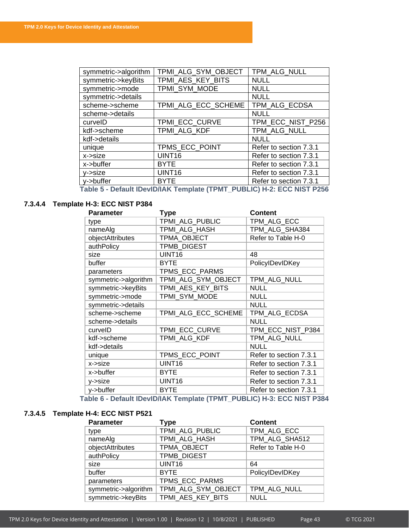| symmetric->algorithm | TPMI_ALG_SYM_OBJECT | TPM_ALG_NULL           |
|----------------------|---------------------|------------------------|
| symmetric->keyBits   | TPMI_AES_KEY_BITS   | <b>NULL</b>            |
| symmetric->mode      | TPMI_SYM_MODE       | <b>NULL</b>            |
| symmetric->details   |                     | <b>NULL</b>            |
| scheme->scheme       | TPMI_ALG_ECC_SCHEME | TPM_ALG_ECDSA          |
| scheme->details      |                     | <b>NULL</b>            |
| curvelD              | TPMI_ECC_CURVE      | TPM_ECC_NIST_P256      |
| kdf->scheme          | TPMI_ALG_KDF        | TPM_ALG_NULL           |
| kdf->details         |                     | <b>NULL</b>            |
| unique               | TPMS_ECC_POINT      | Refer to section 7.3.1 |
| x->size              | UINT16              | Refer to section 7.3.1 |
| x->buffer            | <b>BYTE</b>         | Refer to section 7.3.1 |
| $y\rightarrow$ size  | UINT <sub>16</sub>  | Refer to section 7.3.1 |
| y->buffer            | <b>BYTE</b>         | Refer to section 7.3.1 |

**Table 5 - Default IDevID/IAK Template (TPMT\_PUBLIC) H-2: ECC NIST P256**

# **7.3.4.4 Template H-3: ECC NIST P384**

| <b>Parameter</b>     | <b>Type</b>         | <b>Content</b>         |
|----------------------|---------------------|------------------------|
| type                 | TPMI ALG PUBLIC     | TPM ALG ECC            |
| nameAlg              | TPMI_ALG_HASH       | TPM_ALG_SHA384         |
| objectAttributes     | TPMA OBJECT         | Refer to Table H-0     |
| authPolicy           | <b>TPMB DIGEST</b>  |                        |
| size                 | UINT <sub>16</sub>  | 48                     |
| buffer               | <b>BYTE</b>         | PolicyIDevIDKey        |
| parameters           | TPMS_ECC_PARMS      |                        |
| symmetric->algorithm | TPMI_ALG_SYM_OBJECT | TPM_ALG_NULL           |
| symmetric->keyBits   | TPMI AES KEY BITS   | <b>NULL</b>            |
| symmetric->mode      | TPMI_SYM_MODE       | <b>NULL</b>            |
| symmetric->details   |                     | <b>NULL</b>            |
| scheme->scheme       | TPMI_ALG_ECC_SCHEME | TPM_ALG_ECDSA          |
| scheme->details      |                     | <b>NULL</b>            |
| curvelD              | TPMI_ECC_CURVE      | TPM_ECC_NIST_P384      |
| kdf->scheme          | TPMI ALG KDF        | TPM_ALG_NULL           |
| kdf->details         |                     | <b>NULL</b>            |
| unique               | TPMS_ECC_POINT      | Refer to section 7.3.1 |
| x->size              | UINT <sub>16</sub>  | Refer to section 7.3.1 |
| x->buffer            | <b>BYTE</b>         | Refer to section 7.3.1 |
| y->size              | UINT16              | Refer to section 7.3.1 |
| y->buffer            | <b>BYTE</b>         | Refer to section 7.3.1 |

**Table 6 - Default IDevID/IAK Template (TPMT\_PUBLIC) H-3: ECC NIST P384**

# **7.3.4.5 Template H-4: ECC NIST P521**

| <b>Parameter</b>     | Type                | <b>Content</b>     |
|----------------------|---------------------|--------------------|
| type                 | TPMI ALG PUBLIC     | TPM ALG ECC        |
| nameAlg              | TPMI ALG HASH       | TPM ALG SHA512     |
| objectAttributes     | TPMA OBJECT         | Refer to Table H-0 |
| authPolicy           | <b>TPMB DIGEST</b>  |                    |
| size                 | UINT16              | 64                 |
| buffer               | <b>BYTE</b>         | PolicyIDevIDKey    |
| parameters           | TPMS_ECC_PARMS      |                    |
| symmetric->algorithm | TPMI_ALG_SYM_OBJECT | TPM ALG NULL       |
| symmetric->keyBits   | TPMI_AES_KEY_BITS   | <b>NULL</b>        |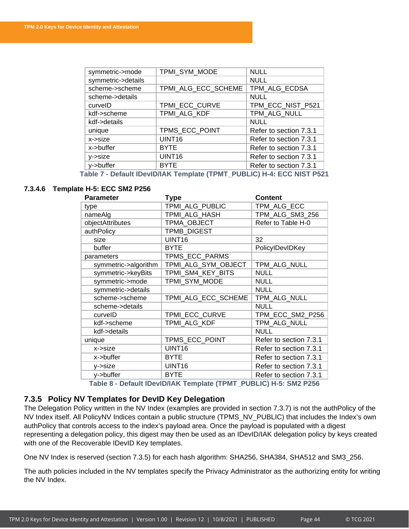| symmetric->mode       | TPMI SYM MODE       | <b>NULL</b>            |
|-----------------------|---------------------|------------------------|
| symmetric->details    |                     | <b>NULL</b>            |
| scheme->scheme        | TPMI_ALG_ECC_SCHEME | TPM_ALG_ECDSA          |
| scheme->details       |                     | <b>NULL</b>            |
| curvelD               | TPMI_ECC_CURVE      | TPM_ECC_NIST_P521      |
| kdf->scheme           | TPMI_ALG_KDF        | TPM_ALG_NULL           |
| kdf->details          |                     | <b>NULL</b>            |
| unique                | TPMS_ECC_POINT      | Refer to section 7.3.1 |
| $x\rightarrow$ size   | UINT <sub>16</sub>  | Refer to section 7.3.1 |
| x->buffer             | <b>BYTE</b>         | Refer to section 7.3.1 |
| y->size               | UINT <sub>16</sub>  | Refer to section 7.3.1 |
| y->buffer             | <b>BYTE</b>         | Refer to section 7.3.1 |
| - - - - -<br>. .<br>. |                     |                        |

**Table 7 - Default IDevID/IAK Template (TPMT\_PUBLIC) H-4: ECC NIST P521**

### **7.3.4.6 Template H-5: ECC SM2 P256**

| <b>Parameter</b>     | <b>Type</b>         | <b>Content</b>         |
|----------------------|---------------------|------------------------|
| type                 | TPMI ALG PUBLIC     | TPM ALG ECC            |
| nameAlg              | TPMI ALG HASH       | TPM_ALG_SM3_256        |
| objectAttributes     | TPMA_OBJECT         | Refer to Table H-0     |
| authPolicy           | TPMB_DIGEST         |                        |
| size                 | UINT <sub>16</sub>  | 32                     |
| buffer               | <b>BYTE</b>         | PolicyIDevIDKey        |
| parameters           | TPMS_ECC_PARMS      |                        |
| symmetric->algorithm | TPMI_ALG_SYM_OBJECT | TPM_ALG_NULL           |
| symmetric->keyBits   | TPMI_SM4_KEY_BITS   | <b>NULL</b>            |
| symmetric->mode      | TPMI_SYM_MODE       | <b>NULL</b>            |
| symmetric->details   |                     | <b>NULL</b>            |
| scheme->scheme       | TPMI_ALG_ECC_SCHEME | TPM_ALG_NULL           |
| scheme->details      |                     | <b>NULL</b>            |
| curvelD              | TPMI_ECC_CURVE      | TPM_ECC_SM2_P256       |
| kdf->scheme          | TPMI ALG KDF        | TPM ALG NULL           |
| kdf->details         |                     | <b>NULL</b>            |
| unique               | TPMS_ECC_POINT      | Refer to section 7.3.1 |
| x->size              | UINT16              | Refer to section 7.3.1 |
| x->buffer            | <b>BYTE</b>         | Refer to section 7.3.1 |
| y->size              | UINT16              | Refer to section 7.3.1 |
| y->buffer            | <b>BYTE</b>         | Refer to section 7.3.1 |

**Table 8 - Default IDevID/IAK Template (TPMT\_PUBLIC) H-5: SM2 P256**

### <span id="page-44-0"></span>**7.3.5 Policy NV Templates for DevID Key Delegation**

The Delegation Policy written in the NV Index (examples are provided in section [7.3.7\)](#page-51-0) is not the authPolicy of the NV Index itself. All PolicyNV Indices contain a public structure (TPMS\_NV\_PUBLIC) that includes the Index's own authPolicy that controls access to the index's payload area. Once the payload is populated with a digest representing a delegation policy, this digest may then be used as an IDevID/IAK delegation policy by keys created with one of the Recoverable IDevID Key templates.

One NV Index is reserved (section [7.3.5\)](#page-44-0) for each hash algorithm: SHA256, SHA384, SHA512 and SM3\_256.

The auth policies included in the NV templates specify the Privacy Administrator as the authorizing entity for writing the NV Index.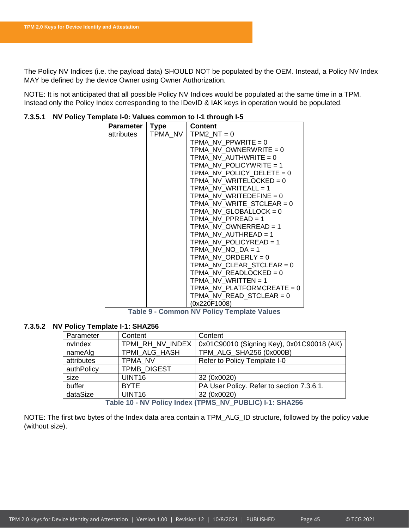The Policy NV Indices (i.e. the payload data) SHOULD NOT be populated by the OEM. Instead, a Policy NV Index MAY be defined by the device Owner using Owner Authorization.

NOTE: It is not anticipated that all possible Policy NV Indices would be populated at the same time in a TPM. Instead only the Policy Index corresponding to the IDevID & IAK keys in operation would be populated.

| <b>Parameter</b> | <b>Type</b> | <b>Content</b>              |
|------------------|-------------|-----------------------------|
| attributes       | TPMA NV     | TPM2 $NT = 0$               |
|                  |             | TPMA NV PPWRITE = $0$       |
|                  |             | TPMA NV OWNERWRITE = $0$    |
|                  |             | TPMA NV AUTHWRITE $= 0$     |
|                  |             | TPMA NV POLICYWRITE = 1     |
|                  |             | TPMA NV_POLICY_DELETE = 0   |
|                  |             | TPMA NV WRITELOCKED = 0     |
|                  |             | TPMA NV WRITEALL = $1$      |
|                  |             | TPMA NV WRITEDEFINE = $0$   |
|                  |             | TPMA NV WRITE STCLEAR = $0$ |
|                  |             | TPMA NV GLOBALLOCK = $0$    |
|                  |             | TPMA NV PPREAD = $1$        |
|                  |             | TPMA NV OWNERREAD = $1$     |
|                  |             | TPMA NV AUTHREAD = $1$      |
|                  |             | TPMA_NV_POLICYREAD = 1      |
|                  |             | TPMA NV NO $DA = 1$         |
|                  |             | $TPMA_NV_ORDERLY = 0$       |
|                  |             | TPMA NV CLEAR STCLEAR = $0$ |
|                  |             | TPMA NV READLOCKED = $0$    |
|                  |             | TPMA NV WRITTEN = $1$       |
|                  |             | TPMA NV PLATFORMCREATE = 0  |
|                  |             | TPMA NV READ STCLEAR = $0$  |
|                  |             | (0x220F1008)                |

### **7.3.5.1 NV Policy Template I-0: Values common to I-1 through I-5**

**Table 9 - Common NV Policy Template Values**

### **7.3.5.2 NV Policy Template I-1: SHA256**

| Parameter  | Content            | Content                                   |
|------------|--------------------|-------------------------------------------|
| nvlndex    | TPMI RH NV INDEX   | 0x01C90010 (Signing Key), 0x01C90018 (AK) |
| nameAlg    | TPMI ALG HASH      | TPM_ALG_SHA256 (0x000B)                   |
| attributes | TPMA NV            | Refer to Policy Template I-0              |
| authPolicy | <b>TPMB DIGEST</b> |                                           |
| size       | UINT <sub>16</sub> | 32 (0x0020)                               |
| buffer     | <b>BYTE</b>        | PA User Policy. Refer to section 7.3.6.1. |
| dataSize   | UINT <sub>16</sub> | 32 (0x0020)                               |

**Table 10 - NV Policy Index (TPMS\_NV\_PUBLIC) I-1: SHA256**

NOTE: The first two bytes of the Index data area contain a TPM\_ALG\_ID structure, followed by the policy value (without size).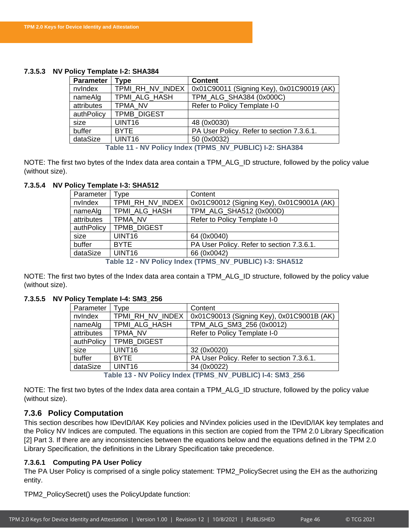### **7.3.5.3 NV Policy Template I-2: SHA384**

| <b>Parameter</b> | <b>Type</b>        | <b>Content</b>                            |
|------------------|--------------------|-------------------------------------------|
| nvlndex          | TPMI_RH_NV_INDEX   | 0x01C90011 (Signing Key), 0x01C90019 (AK) |
| nameAlg          | TPMI_ALG_HASH      | TPM_ALG_SHA384 (0x000C)                   |
| attributes       | TPMA NV            | Refer to Policy Template I-0              |
| authPolicy       | <b>TPMB DIGEST</b> |                                           |
| size             | <b>UINT16</b>      | 48 (0x0030)                               |
| buffer           | <b>BYTE</b>        | PA User Policy. Refer to section 7.3.6.1. |
| dataSize         | UINT <sub>16</sub> | 50 (0x0032)                               |

**Table 11 - NV Policy Index (TPMS\_NV\_PUBLIC) I-2: SHA384**

NOTE: The first two bytes of the Index data area contain a TPM\_ALG\_ID structure, followed by the policy value (without size).

### **7.3.5.4 NV Policy Template I-3: SHA512**

| Parameter  | Type               | Content                                                   |
|------------|--------------------|-----------------------------------------------------------|
| nvlndex    | TPMI RH NV INDEX   | 0x01C90012 (Signing Key), 0x01C9001A (AK)                 |
| nameAlg    | TPMI ALG HASH      | TPM_ALG_SHA512 (0x000D)                                   |
| attributes | TPMA NV            | Refer to Policy Template I-0                              |
| authPolicy | <b>TPMB DIGEST</b> |                                                           |
| size       | UINT <sub>16</sub> | 64 (0x0040)                                               |
| buffer     | <b>BYTE</b>        | PA User Policy. Refer to section 7.3.6.1.                 |
| dataSize   | UINT <sub>16</sub> | 66 (0x0042)                                               |
|            |                    | Table 12 - NV Policy Index (TPMS, NV, PUBLIC) I-3: SHA512 |

- NV POIICY IN**dex (TPMS\_NV\_PUBLIC)** 

NOTE: The first two bytes of the Index data area contain a TPM\_ALG\_ID structure, followed by the policy value (without size).

### **7.3.5.5 NV Policy Template I-4: SM3\_256**

| Parameter                                                | Tvpe               | Content                                   |
|----------------------------------------------------------|--------------------|-------------------------------------------|
| nvlndex                                                  | TPMI RH NV INDEX   | 0x01C90013 (Signing Key), 0x01C9001B (AK) |
| nameAlg                                                  | TPMI ALG HASH      | TPM_ALG_SM3_256 (0x0012)                  |
| attributes                                               | TPMA NV            | Refer to Policy Template I-0              |
| authPolicy                                               | <b>TPMB DIGEST</b> |                                           |
| size                                                     | UINT <sub>16</sub> | 32 (0x0020)                               |
| buffer                                                   | <b>BYTE</b>        | PA User Policy. Refer to section 7.3.6.1. |
| dataSize                                                 | UINT <sub>16</sub> | 34 (0x0022)                               |
| T.I.I. JA AIVIN.II. I.I. /TINIA AIVI<br>BURLIALL AND AFA |                    |                                           |

**Table 13 - NV Policy Index (TPMS\_NV\_PUBLIC) I-4: SM3\_256**

NOTE: The first two bytes of the Index data area contain a TPM\_ALG\_ID structure, followed by the policy value (without size).

### <span id="page-46-0"></span>**7.3.6 Policy Computation**

This section describes how IDevID/IAK Key policies and NVindex policies used in the IDevID/IAK key templates and the Policy NV Indices are computed. The equations in this section are copied from the TPM 2.0 Library Specification [2] Part 3. If there are any inconsistencies between the equations below and the equations defined in the TPM 2.0 Library Specification, the definitions in the Library Specification take precedence.

### <span id="page-46-1"></span>**7.3.6.1 Computing PA User Policy**

The PA User Policy is comprised of a single policy statement: TPM2\_PolicySecret using the EH as the authorizing entity.

TPM2\_PolicySecret() uses the PolicyUpdate function: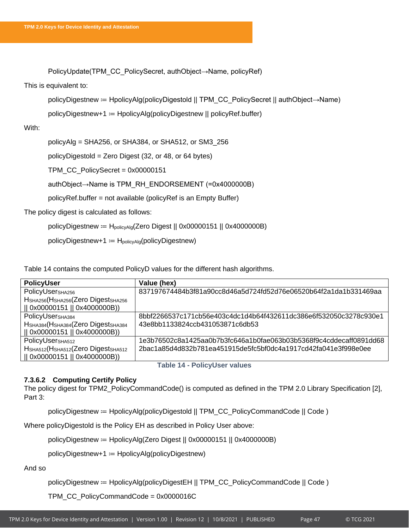PolicyUpdate(TPM\_CC\_PolicySecret, authObject→Name, policyRef)

### This is equivalent to:

policyDigestnew ≔ HpolicyAlg(policyDigestold || TPM\_CC\_PolicySecret || authObject→Name)

policyDigestnew+1 ≔ HpolicyAlg(policyDigestnew || policyRef.buffer)

### With:

policyAlg = SHA256, or SHA384, or SHA512, or SM3\_256

policyDigestold = Zero Digest (32, or 48, or 64 bytes)

TPM\_CC\_PolicySecret = 0x00000151

authObject→Name is TPM\_RH\_ENDORSEMENT (=0x4000000B)

policyRef.buffer = not available (policyRef is an Empty Buffer)

The policy digest is calculated as follows:

policyDigestnew ≔ HpolicyAlg(Zero Digest || 0x00000151 || 0x4000000B)

policyDigestnew+1 = H<sub>policyAlg</sub>(policyDigestnew)

[Table 14](#page-47-0) contains the computed PolicyD values for the different hash algorithms.

| PolicyUser                          | Value (hex)                                                        |
|-------------------------------------|--------------------------------------------------------------------|
| PolicyUser <sub>SHA256</sub>        | 837197674484b3f81a90cc8d46a5d724fd52d76e06520b64f2a1da1b331469aa   |
| HSHA256(HSHA256(Zero DigestSHA256   |                                                                    |
| 0x00000151    0x4000000B))          |                                                                    |
| PolicyUser <sub>SHA384</sub>        | 8bbf2266537c171cb56e403c4dc1d4b64f432611dc386e6f532050c3278c930e1  |
| HSHA384 (HSHA384 (Zero DigestSHA384 | 43e8bb1133824ccb431053871c6db53                                    |
| 0x00000151    0x4000000B))          |                                                                    |
| PolicyUser <sub>SHA512</sub>        | 1e3b76502c8a1425aa0b7b3fc646a1b0fae063b03b5368f9c4cddecaff0891dd68 |
| HSHA512(HSHA512(Zero DigestSHA512   | 2bac1a85d4d832b781ea451915de5fc5bf0dc4a1917cd42fa041e3f998e0ee     |
| 0x00000151    0x4000000B))          |                                                                    |

**Table 14 - PolicyUser values**

### <span id="page-47-1"></span><span id="page-47-0"></span>**7.3.6.2 Computing Certify Policy**

The policy digest for TPM2\_PolicyCommandCode() is computed as defined in the TPM 2.0 Library Specification [2], Part 3:

policyDigestnew ≔ HpolicyAlg(policyDigestold || TPM\_CC\_PolicyCommandCode || Code )

Where policyDigestold is the Policy EH as described in Policy User above:

policyDigestnew ≔ HpolicyAlg(Zero Digest || 0x00000151 || 0x4000000B)

policyDigestnew+1 ≔ HpolicyAlg(policyDigestnew)

And so

policyDigestnew ≔ HpolicyAlg(policyDigestEH || TPM\_CC\_PolicyCommandCode || Code )

TPM\_CC\_PolicyCommandCode = 0x0000016C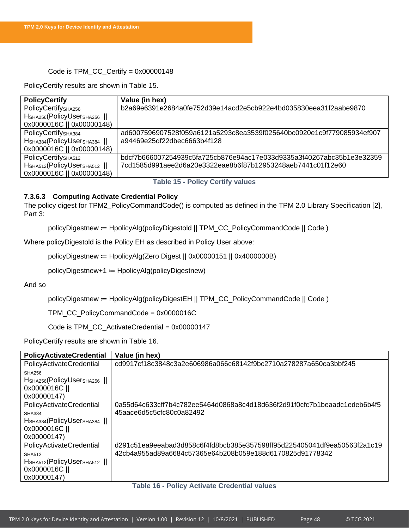### Code is TPM\_CC\_Certify = 0x00000148

PolicyCertify results are shown in [Table 15.](#page-48-0)

| <b>PolicyCertify</b>                              | Value (in hex)                                                        |
|---------------------------------------------------|-----------------------------------------------------------------------|
| PolicyCertify <sub>SHA256</sub>                   | b2a69e6391e2684a0fe752d39e14acd2e5cb922e4bd035830eea31f2aabe9870      |
| H <sub>SHA256</sub> (PolicyUser <sub>SHA256</sub> |                                                                       |
| 0x0000016C    0x00000148)                         |                                                                       |
| PolicyCertify <sub>SHA384</sub>                   | ad6007596907528f059a6121a5293c8ea3539f025640bc0920e1c9f779085934ef907 |
| HSHA384 (Policy USerSHA384                        | a94469e25df22dbec6663b4f128                                           |
| 0x0000016C    0x00000148)                         |                                                                       |
| PolicyCertify <sub>SHA512</sub>                   | bdcf7b666007254939c5fa725cb876e94ac17e033d9335a3f40267abc35b1e3e32359 |
| HSHA512(PolicyUserSHA512                          | 7cd1585d991aee2d6a20e3322eae8b6f87b12953248aeb7441c01f12e60           |
| 0x0000016C    0x00000148)                         |                                                                       |

### **Table 15 - Policy Certify values**

### <span id="page-48-2"></span><span id="page-48-0"></span>**7.3.6.3 Computing Activate Credential Policy**

The policy digest for TPM2\_PolicyCommandCode() is computed as defined in the TPM 2.0 Library Specification [2], Part 3:

policyDigestnew ≔ HpolicyAlg(policyDigestold || TPM\_CC\_PolicyCommandCode || Code )

Where policyDigestold is the Policy EH as described in Policy User above:

policyDigestnew ≔ HpolicyAlg(Zero Digest || 0x00000151 || 0x4000000B)

policyDigestnew+1 ≔ HpolicyAlg(policyDigestnew)

And so

policyDigestnew ≔ HpolicyAlg(policyDigestEH || TPM\_CC\_PolicyCommandCode || Code )

TPM\_CC\_PolicyCommandCode = 0x0000016C

Code is TPM\_CC\_ActivateCredential = 0x00000147

PolicyCertify results are shown in [Table 16.](#page-48-1)

| <b>PolicyActivateCredential</b>                   | Value (in hex)                                                           |
|---------------------------------------------------|--------------------------------------------------------------------------|
| PolicyActivateCredential                          | cd9917cf18c3848c3a2e606986a066c68142f9bc2710a278287a650ca3bbf245         |
| <b>SHA256</b>                                     |                                                                          |
| HSHA256(PolicyUserSHA256                          |                                                                          |
| 0x0000016C                                        |                                                                          |
| 0x00000147)                                       |                                                                          |
| PolicyActivateCredential                          | 0a55d64c633cff7b4c782ee5464d0868a8c4d18d636f2d91f0cfc7b1beaadc1edeb6b4f5 |
| <b>SHA384</b>                                     | 45aace6d5c5cfc80c0a82492                                                 |
| H <sub>SHA384</sub> (PolicyUser <sub>SHA384</sub> |                                                                          |
| 0x0000016C                                        |                                                                          |
| 0x00000147)                                       |                                                                          |
| PolicyActivateCredential                          | d291c51ea9eeabad3d858c6f4fd8bcb385e357598ff95d225405041df9ea50563f2a1c19 |
| <b>SHA512</b>                                     | 42cb4a955ad89a6684c57365e64b208b059e188d6170825d91778342                 |
| HSHA512(PolicyUserSHA512                          |                                                                          |
| 0x0000016C                                        |                                                                          |
| 0x00000147)                                       |                                                                          |

### <span id="page-48-1"></span>**Table 16 - Policy Activate Credential values**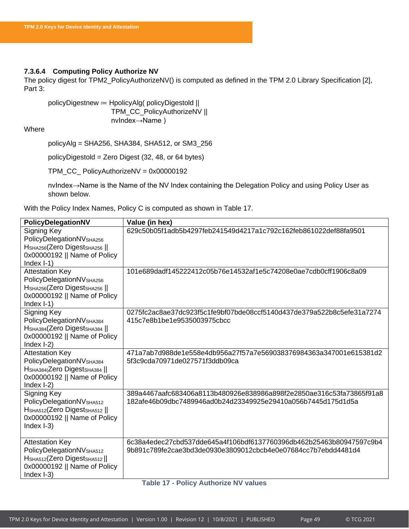### <span id="page-49-1"></span>**7.3.6.4 Computing Policy Authorize NV**

The policy digest for TPM2\_PolicyAuthorizeNV() is computed as defined in the TPM 2.0 Library Specification [2], Part 3:

policyDigestnew ≔ HpolicyAlg( policyDigestold || TPM\_CC\_PolicyAuthorizeNV || nvIndex→Name )

### Where

policyAlg = SHA256, SHA384, SHA512, or SM3\_256

policyDigestold = Zero Digest (32, 48, or 64 bytes)

TPM\_CC\_ PolicyAuthorizeNV = 0x00000192

nvIndex→Name is the Name of the NV Index containing the Delegation Policy and using Policy User as shown below.

With the Policy Index Names, Policy C is computed as shown in [Table 17.](#page-49-0)

<span id="page-49-0"></span>

| PolicyDelegationNV                                                                                                                                                       | Value (in hex)                                                                                                                       |  |  |
|--------------------------------------------------------------------------------------------------------------------------------------------------------------------------|--------------------------------------------------------------------------------------------------------------------------------------|--|--|
| Signing Key<br>PolicyDelegationNVSHA256<br>HSHA256(Zero DigestSHA256   <br>0x00000192    Name of Policy<br>Index $I-1$ )                                                 | 629c50b05f1adb5b4297feb241549d4217a1c792c162feb861022def88fa9501                                                                     |  |  |
| <b>Attestation Key</b><br>PolicyDelegationNV <sub>SHA256</sub><br>H <sub>SHA256</sub> (Zero Digest <sub>SHA256</sub>   <br>0x00000192    Name of Policy<br>Index $I-1$ ) | 101e689dadf145222412c05b76e14532af1e5c74208e0ae7cdb0cff1906c8a09                                                                     |  |  |
| <b>Signing Key</b><br>PolicyDelegationNV <sub>SHA384</sub><br>HSHA384 (Zero DigestSHA384   <br>0x00000192    Name of Policy<br>Index $I-2$ )                             | 0275fc2ac8ae37dc923f5c1fe9bf07bde08ccf5140d437de379a522b8c5efe31a7274<br>415c7e8b1be1e9535003975cbcc                                 |  |  |
| <b>Attestation Key</b><br>PolicyDelegationNVSHA384<br>HSHA384(Zero DigestSHA384   <br>0x00000192    Name of Policy<br>Index $I-2$ )                                      | 471a7ab7d988de1e558e4db956a27f57a7e569038376984363a347001e615381d2<br>5f3c9cda70971de027571f3ddb09ca                                 |  |  |
| Signing Key<br>PolicyDelegationNVSHA512<br>H <sub>SHA512</sub> (Zero Digest <sub>SHA512</sub>   <br>0x00000192    Name of Policy<br>Index $I-3$ )                        | 389a4467aafc683406a8113b480926e838986a898f2e2850ae316c53fa73865f91a8<br>182afe46b09dbc7489946ad0b24d23349925e29410a056b7445d175d1d5a |  |  |
| <b>Attestation Key</b><br>PolicyDelegationNVSHA512<br>HSHA512(Zero DigestsHA512)<br>0x00000192    Name of Policy<br>Index $I-3$ )                                        | 6c38a4edec27cbd537dde645a4f106bdf6137760396db462b25463b80947597c9b4<br>9b891c789fe2cae3bd3de0930e3809012cbcb4e0e07684cc7b7ebdd4481d4 |  |  |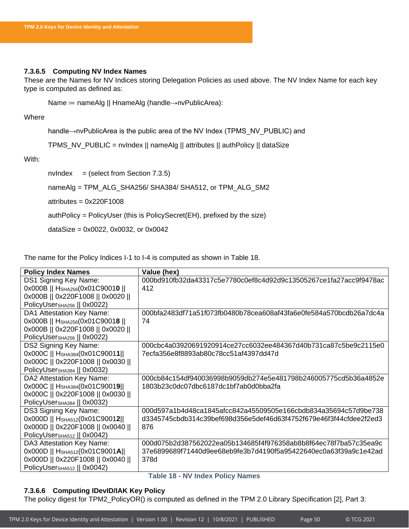### **7.3.6.5 Computing NV Index Names**

These are the Names for NV Indices storing Delegation Policies as used above. The NV Index Name for each key type is computed as defined as:

Name ≔ nameAlg || HnameAlg (handle→nvPublicArea):

Where

handle→nvPublicArea is the public area of the NV Index (TPMS\_NV\_PUBLIC) and

TPMS\_NV\_PUBLIC = nvIndex || nameAlg || attributes || authPolicy || dataSize

With:

 $nvlndex = (select from Section 7.3.5)$  $nvlndex = (select from Section 7.3.5)$ 

nameAlg = TPM\_ALG\_SHA256/ SHA384/ SHA512, or TPM\_ALG\_SM2

 $atributes =  $0x220F1008$$ 

authPolicy = PolicyUser (this is PolicySecret(EH), prefixed by the size)

dataSize = 0x0022, 0x0032, or 0x0042

The name for the Policy Indices I-1 to I-4 is computed as shown in [Table 18.](#page-50-0)

| <b>Policy Index Names</b>                         | Value (hex)                                                        |
|---------------------------------------------------|--------------------------------------------------------------------|
| DS1 Signing Key Name:                             | 000bd910fb32da43317c5e7780c0ef8c4d92d9c13505267ce1fa27acc9f9478ac  |
| 0x000B    H <sub>SHA256</sub> (0x01C90010         | 412                                                                |
| 0x000B    0x220F1008    0x0020                    |                                                                    |
| PolicyUser <sub>SHA256</sub>    0x0022)           |                                                                    |
| DA1 Attestation Key Name:                         | 000bfa2483df71a51f073fb0480b78cea608af43fa6e0fe584a570bcdb26a7dc4a |
| 0x000B    H <sub>SHA256</sub> (0x01C9001 <b>8</b> | 74                                                                 |
| 0x000B    0x220F1008    0x0020                    |                                                                    |
| PolicyUser <sub>SHA256</sub>    0x0022)           |                                                                    |
| DS2 Signing Key Name:                             | 000cbc4a03920691920914ce27cc6032ee484367d40b731ca87c5be9c2115e0    |
| 0x000C   HSHA384(0x01C90011                       | 7ecfa356e8f8893ab80c78cc51af4397dd47d                              |
| 0x000C    0x220F1008    0x0030                    |                                                                    |
| PolicyUser <sub>SHA384</sub>    0x0032)           |                                                                    |
| DA2 Attestation Key Name:                         | 000cb84c154df940036998b9059db274e5e481798b246005775cd5b36a4852e    |
| 0x000C   HSHA384(0x01C90019                       | 1803b23c0dc07dbc6187dc1bf7ab0d0bba2fa                              |
| 0x000C    0x220F1008    0x0030                    |                                                                    |
| PolicyUser <sub>SHA384</sub>    0x0032)           |                                                                    |
| DS3 Signing Key Name:                             | 000d597a1b4d48ca1845afcc842a45509505e166cbdb834a35694c57d9be738    |
| 0x000D   HSHA512(0x01C90012                       | d3345745cbdb314c39bef698d356e5def46d63f4752f679e46f3f44cfdee2f2ed3 |
| 0x000D    0x220F1008    0x0040                    | 876                                                                |
| PolicyUser <sub>SHA512</sub>    0x0042)           |                                                                    |
| DA3 Attestation Key Name:                         | 000d075b2d387562022ea05b134685f4f976358ab8b8f64ec78f7ba57c35ea9c   |
| 0x000D    HSHA512(0x01C9001A                      | 37e6899689f71440d9ee68eb9fe3b7d4190f5a95422640ec0a63f39a9c1e42ad   |
| 0x000D    0x220F1008    0x0040                    | 378d                                                               |
| PolicyUser <sub>SHA512</sub>    0x0042)           |                                                                    |

### **Table 18 - NV Index Policy Names**

### <span id="page-50-0"></span>**7.3.6.6 Computing IDevID/IAK Key Policy**

The policy digest for TPM2\_PolicyOR() is computed as defined in the TPM 2.0 Library Specification [2], Part 3: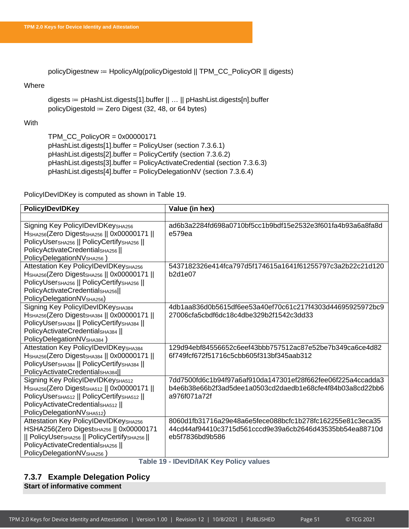policyDigestnew ≔ HpolicyAlg(policyDigestold || TPM\_CC\_PolicyOR || digests)

### Where

digests ≔ pHashList.digests[1].buffer || … || pHashList.digests[n].buffer policyDigestold  $=$  Zero Digest (32, 48, or 64 bytes)

### **With**

TPM\_CC\_PolicyOR = 0x00000171 pHashList.digests[1].buffer = PolicyUser (section [7.3.6.1\)](#page-46-1) pHashList.digests[2].buffer = PolicyCertify (section [7.3.6.2\)](#page-47-1) pHashList.digests[3].buffer = PolicyActivateCredential (section [7.3.6.3\)](#page-48-2) pHashList.digests[4].buffer = PolicyDelegationNV (section [7.3.6.4\)](#page-49-1)

PolicyIDevIDKey is computed as shown in [Table 19.](#page-51-1)

| <b>PolicyIDevIDKey</b>                                                       | Value (in hex)                                              |
|------------------------------------------------------------------------------|-------------------------------------------------------------|
|                                                                              |                                                             |
| Signing Key PolicylDevIDKeySHA256                                            | ad6b3a2284fd698a0710bf5cc1b9bdf15e2532e3f601fa4b93a6a8fa8d  |
| Н <sub>SHA256</sub> (Zero DigestsнA256    0x00000171                         | e579ea                                                      |
| PolicyUsersHA256   PolicyCertifySHA256                                       |                                                             |
| PolicyActivateCredentialSHA256                                               |                                                             |
| PolicyDelegationNV <sub>SHA256</sub> )                                       |                                                             |
| Attestation Key PolicylDevIDKeySHA256                                        | 5437182326e414fca797d5f174615a1641f61255797c3a2b22c21d120   |
| H <sub>SHA256</sub> (Zero Digest <sub>SHA256</sub>    0x00000171             | b2d1e07                                                     |
| PolicyUsersHA256   PolicyCertifySHA256                                       |                                                             |
| PolicyActivateCredential <sub>SHA256</sub>                                   |                                                             |
| PolicyDelegationNV <sub>SHA256</sub> )                                       |                                                             |
| Signing Key PolicylDevIDKeySHA384                                            | 4db1aa836d0b5615df6ee53a40ef70c61c217f4303d44695925972bc9   |
| H <sub>SHA256</sub> (Zero Digest <sub>SHA384</sub>    0x00000171             | 27006cfa5cbdf6dc18c4dbe329b2f1542c3dd33                     |
| PolicyUsersHA384    PolicyCertifySHA384                                      |                                                             |
| PolicyActivateCredentialSHA384                                               |                                                             |
| PolicyDelegationNVSHA384)                                                    |                                                             |
| Attestation Key PolicyIDevIDKeySHA384                                        | 129d94ebf84556652c6eef43bbb757512ac87e52be7b349ca6ce4d82    |
| H <sub>SHA256</sub> (Zero Digest <sub>SHA384</sub>    0x00000171             | 6f749fcf672f51716c5cbb605f313bf345aab312                    |
| PolicyUsersHA384   PolicyCertifySHA384                                       |                                                             |
| PolicyActivateCredentialSHA384                                               |                                                             |
| Signing Key PolicylDevIDKeysHA512                                            | 7dd7500fd6c1b94f97a6af910da147301ef28f662fee06f225a4ccadda3 |
| Н <sub>SHA256</sub> (Zero DigestsнA512    0x00000171                         | b4e6b38e66b2f3ad5dee1a0503cd2daedb1e68cfe4f84b03a8cd22bb6   |
| PolicyUsersHA512    PolicyCertifySHA512                                      | a976f071a72f                                                |
| PolicyActivateCredentialSHA512                                               |                                                             |
| PolicyDelegationNV <sub>SHA512</sub> )                                       |                                                             |
| Attestation Key PolicyIDevIDKeySHA256                                        | 8060d1fb31716a29e48a6e5fece088bcfc1b278fc162255e81c3eca35   |
| HSHA256(Zero DigestsHA256   0x00000171                                       | 44cd44af94410c3715d561cccd9e39a6cb2646d43535bb54ea88710d    |
| PolicyUsersHA256    PolicyCertifySHA256   <br>PolicyActivateCredentialSHA256 | eb5f7836bd9b586                                             |
|                                                                              |                                                             |
| PolicyDelegationNV <sub>SHA256</sub> )                                       |                                                             |

### **Table 19 - IDevID/IAK Key Policy values**

### <span id="page-51-1"></span><span id="page-51-0"></span>**7.3.7 Example Delegation Policy Start of informative comment**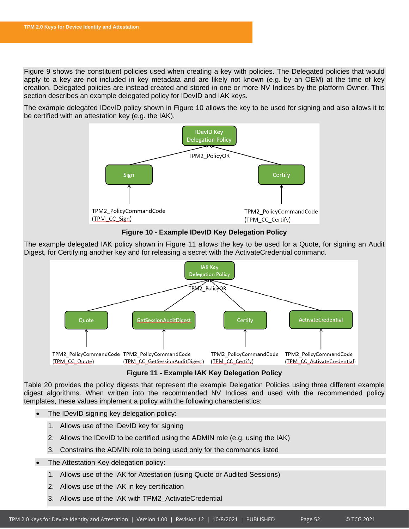[Figure 9](#page-40-0) shows the constituent policies used when creating a key with policies. The Delegated policies that would apply to a key are not included in key metadata and are likely not known (e.g. by an OEM) at the time of key creation. Delegated policies are instead created and stored in one or more NV Indices by the platform Owner. This section describes an example delegated policy for IDevID and IAK keys.

The example delegated IDevID policy shown in [Figure 10](#page-52-0) allows the key to be used for signing and also allows it to be certified with an attestation key (e.g. the IAK).



**Figure 10 - Example IDevID Key Delegation Policy**

<span id="page-52-0"></span>The example delegated IAK policy shown in [Figure 11](#page-52-1) allows the key to be used for a Quote, for signing an Audit Digest, for Certifying another key and for releasing a secret with the ActivateCredential command.



**Figure 11 - Example IAK Key Delegation Policy**

<span id="page-52-1"></span>[Table 20](#page-53-0) provides the policy digests that represent the example Delegation Policies using three different example digest algorithms. When written into the recommended NV Indices and used with the recommended policy templates, these values implement a policy with the following characteristics:

- The IDevID signing key delegation policy:
	- 1. Allows use of the IDevID key for signing
	- 2. Allows the IDevID to be certified using the ADMIN role (e.g. using the IAK)
	- 3. Constrains the ADMIN role to being used only for the commands listed
- The Attestation Key delegation policy:
	- 1. Allows use of the IAK for Attestation (using Quote or Audited Sessions)
	- 2. Allows use of the IAK in key certification
	- 3. Allows use of the IAK with TPM2\_ActivateCredential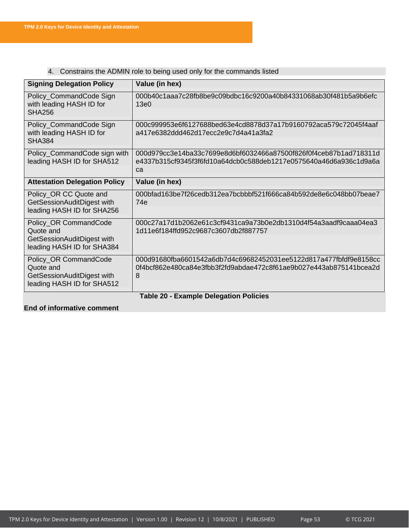| <b>Signing Delegation Policy</b>                                                   | Value (in hex)                                                                                                                               |  |  |
|------------------------------------------------------------------------------------|----------------------------------------------------------------------------------------------------------------------------------------------|--|--|
| Policy_CommandCode Sign<br>with leading HASH ID for<br><b>SHA256</b>               | 000b40c1aaa7c28fb8be9c09bdbc16c9200a40b84331068ab30f481b5a9b6efc<br>13e0                                                                     |  |  |
|                                                                                    |                                                                                                                                              |  |  |
| Policy_CommandCode Sign<br>with leading HASH ID for<br><b>SHA384</b>               | 000c999953e6f6127688bed63e4cd8878d37a17b9160792aca579c72045f4aaf<br>a417e6382ddd462d17ecc2e9c7d4a41a3fa2                                     |  |  |
|                                                                                    |                                                                                                                                              |  |  |
| Policy_CommandCode sign with<br>leading HASH ID for SHA512                         | 000d979cc3e14ba33c7699e8d6bf6032466a87500f826f0f4ceb87b1ad718311d<br>e4337b315cf9345f3f6fd10a64dcb0c588deb1217e0575640a46d6a936c1d9a6a<br>ca |  |  |
| <b>Attestation Delegation Policy</b>                                               | Value (in hex)                                                                                                                               |  |  |
| Policy_OR CC Quote and<br>GetSessionAuditDigest with<br>leading HASH ID for SHA256 | 000bfad163be7f26cedb312ea7bcbbbf521f666ca84b592de8e6c048bb07beae7<br>74e                                                                     |  |  |
| Policy_OR CommandCode<br>Quote and<br>GetSessionAuditDigest with                   | 000c27a17d1b2062e61c3cf9431ca9a73b0e2db1310d4f54a3aadf9caaa04ea3<br>1d11e6f184ffd952c9687c3607db2f887757                                     |  |  |
| leading HASH ID for SHA384                                                         |                                                                                                                                              |  |  |
| Policy_OR CommandCode<br>Quote and<br>GetSessionAuditDigest with                   | 000d91680fba6601542a6db7d4c69682452031ee5122d817a477fbfdf9e8158cc<br>0f4bcf862e480ca84e3fbb3f2fd9abdae472c8f61ae9b027e443ab875141bcea2d<br>8 |  |  |
| leading HASH ID for SHA512                                                         |                                                                                                                                              |  |  |
|                                                                                    | <b>Table 20 - Example Delegation Policies</b>                                                                                                |  |  |

## 4. Constrains the ADMIN role to being used only for the commands listed

### <span id="page-53-0"></span>**End of informative comment**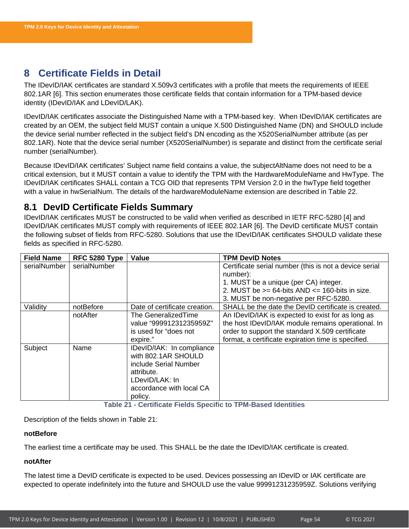# <span id="page-54-0"></span>**8 Certificate Fields in Detail**

The IDevID/IAK certificates are standard X.509v3 certificates with a profile that meets the requirements of IEEE 802.1AR [6]. This section enumerates those certificate fields that contain information for a TPM-based device identity (IDevID/IAK and LDevID/LAK).

IDevID/IAK certificates associate the Distinguished Name with a TPM-based key. When IDevID/IAK certificates are created by an OEM, the subject field MUST contain a unique X.500 Distinguished Name (DN) and SHOULD include the device serial number reflected in the subject field's DN encoding as the X520SerialNumber attribute (as per 802.1AR). Note that the device serial number (X520SerialNumber) is separate and distinct from the certificate serial number (serialNumber).

Because IDevID/IAK certificates' Subject name field contains a value, the subjectAltName does not need to be a critical extension, but it MUST contain a value to identify the TPM with the HardwareModuleName and HwType. The IDevID/IAK certificates SHALL contain a TCG OID that represents TPM Version 2.0 in the hwType field together with a value in hwSerialNum. The details of the hardwareModuleName extension are described in [Table 22.](#page-56-0)

# <span id="page-54-1"></span>**8.1 DevID Certificate Fields Summary**

IDevID/IAK certificates MUST be constructed to be valid when verified as described in IETF RFC-5280 [4] and IDevID/IAK certificates MUST comply with requirements of IEEE 802.1AR [6]. The DevID certificate MUST contain the following subset of fields from RFC-5280. Solutions that use the IDevID/IAK certificates SHOULD validate these fields as specified in RFC-5280.

| <b>Field Name</b> | RFC 5280 Type | Value                         | <b>TPM DevID Notes</b>                                 |  |
|-------------------|---------------|-------------------------------|--------------------------------------------------------|--|
| serialNumber      | serialNumber  |                               | Certificate serial number (this is not a device serial |  |
|                   |               |                               | number):                                               |  |
|                   |               |                               | 1. MUST be a unique (per CA) integer.                  |  |
|                   |               |                               | 2. MUST be $>= 64$ -bits AND $<= 160$ -bits in size.   |  |
|                   |               |                               | 3. MUST be non-negative per RFC-5280.                  |  |
| Validity          | notBefore     | Date of certificate creation. | SHALL be the date the DevID certificate is created.    |  |
|                   | notAfter      | The GeneralizedTime           | An IDevID/IAK is expected to exist for as long as      |  |
|                   |               | value "99991231235959Z"       | the host IDevID/IAK module remains operational. In     |  |
|                   |               | is used for "does not         | order to support the standard X.509 certificate        |  |
|                   |               | expire."                      | format, a certificate expiration time is specified.    |  |
| Subject           | Name          | IDevID/IAK: In compliance     |                                                        |  |
|                   |               | with 802.1AR SHOULD           |                                                        |  |
|                   |               | include Serial Number         |                                                        |  |
|                   |               | attribute.                    |                                                        |  |
|                   |               | LDevID/LAK: In                |                                                        |  |
|                   |               | accordance with local CA      |                                                        |  |
|                   |               | policy.                       |                                                        |  |

**Table 21 - Certificate Fields Specific to TPM-Based Identities**

<span id="page-54-2"></span>Description of the fields shown in [Table 21:](#page-54-2)

### **notBefore**

The earliest time a certificate may be used. This SHALL be the date the IDevID/IAK certificate is created.

### **notAfter**

The latest time a DevID certificate is expected to be used. Devices possessing an IDevID or IAK certificate are expected to operate indefinitely into the future and SHOULD use the value 99991231235959Z. Solutions verifying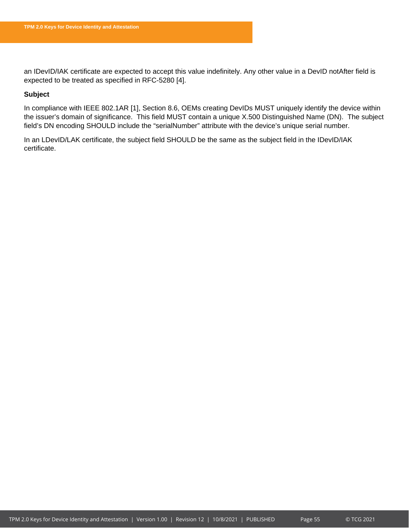an IDevID/IAK certificate are expected to accept this value indefinitely. Any other value in a DevID notAfter field is expected to be treated as specified in RFC-5280 [4].

### **Subject**

In compliance with IEEE 802.1AR [1], Section 8.6, OEMs creating DevIDs MUST uniquely identify the device within the issuer's domain of significance. This field MUST contain a unique X.500 Distinguished Name (DN). The subject field's DN encoding SHOULD include the "serialNumber" attribute with the device's unique serial number.

In an LDevID/LAK certificate, the subject field SHOULD be the same as the subject field in the IDevID/IAK certificate.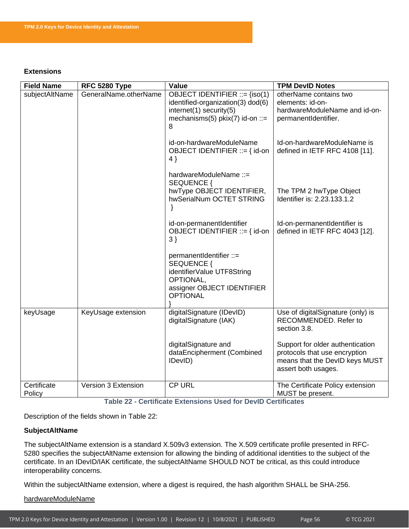### **Extensions**

| <b>Field Name</b>     | RFC 5280 Type         | Value                                                                                                                                     | <b>TPM DevID Notes</b>                                                                                                     |
|-----------------------|-----------------------|-------------------------------------------------------------------------------------------------------------------------------------------|----------------------------------------------------------------------------------------------------------------------------|
| subjectAltName        | GeneralName.otherName | OBJECT IDENTIFIER ::= {iso(1)<br>identified-organization(3) dod(6)<br>$internet(1)$ security(5)<br>mechanisms(5) $pkix(7)$ id-on ::=<br>8 | otherName contains two<br>elements: id-on-<br>hardwareModuleName and id-on-<br>permanentIdentifier.                        |
|                       |                       | id-on-hardwareModuleName<br>OBJECT IDENTIFIER ::= { id-on<br>$4$ }                                                                        | Id-on-hardwareModuleName is<br>defined in IETF RFC 4108 [11].                                                              |
|                       |                       | hardwareModuleName ::=<br>SEQUENCE {<br>hwType OBJECT IDENTIFIER,<br>hwSerialNum OCTET STRING                                             | The TPM 2 hwType Object<br>Identifier is: 2.23.133.1.2                                                                     |
|                       |                       | id-on-permanentIdentifier<br>OBJECT IDENTIFIER ::= { id-on<br>3)                                                                          | Id-on-permanentIdentifier is<br>defined in IETF RFC 4043 [12].                                                             |
|                       |                       | permanentIdentifier ::=<br>SEQUENCE {<br>identifierValue UTF8String<br>OPTIONAL,<br>assigner OBJECT IDENTIFIER<br><b>OPTIONAL</b>         |                                                                                                                            |
| keyUsage              | KeyUsage extension    | digitalSignature (IDevID)<br>digitalSignature (IAK)                                                                                       | Use of digitalSignature (only) is<br>RECOMMENDED. Refer to<br>section 3.8.                                                 |
|                       |                       | digitalSignature and<br>dataEncipherment (Combined<br>IDevID)                                                                             | Support for older authentication<br>protocols that use encryption<br>means that the DevID keys MUST<br>assert both usages. |
| Certificate<br>Policy | Version 3 Extension   | <b>CP URL</b>                                                                                                                             | The Certificate Policy extension<br>MUST be present.                                                                       |

**Table 22 - Certificate Extensions Used for DevID Certificates**

<span id="page-56-0"></span>Description of the fields shown in [Table 22:](#page-56-0)

### **SubjectAltName**

The subjectAltName extension is a standard X.509v3 extension. The X.509 certificate profile presented in RFC-5280 specifies the subjectAltName extension for allowing the binding of additional identities to the subject of the certificate. In an IDevID/IAK certificate, the subjectAltName SHOULD NOT be critical, as this could introduce interoperability concerns.

Within the subjectAltName extension, where a digest is required, the hash algorithm SHALL be SHA-256.

hardwareModuleName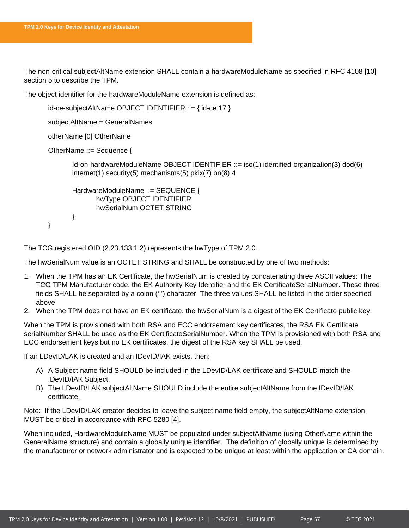The non-critical subjectAltName extension SHALL contain a hardwareModuleName as specified in RFC 4108 [10] section 5 to describe the TPM.

The object identifier for the hardwareModuleName extension is defined as:

```
id-ce-subjectAltName OBJECT IDENTIFIER ::= { id-ce 17 }
```
subjectAltName = GeneralNames

otherName [0] OtherName

```
OtherName ::= Sequence {
```
}

Id-on-hardwareModuleName OBJECT IDENTIFIER ::= iso(1) identified-organization(3) dod(6) internet(1) security(5) mechanisms(5) pkix(7) on(8) 4

```
HardwareModuleName ::= SEQUENCE {
       hwType OBJECT IDENTIFIER 
       hwSerialNum OCTET STRING 
}
```

```
The TCG registered OID (2.23.133.1.2) represents the hwType of TPM 2.0.
```
The hwSerialNum value is an OCTET STRING and SHALL be constructed by one of two methods:

- 1. When the TPM has an EK Certificate, the hwSerialNum is created by concatenating three ASCII values: The TCG TPM Manufacturer code, the EK Authority Key Identifier and the EK CertificateSerialNumber. These three fields SHALL be separated by a colon (':') character. The three values SHALL be listed in the order specified above.
- 2. When the TPM does not have an EK certificate, the hwSerialNum is a digest of the EK Certificate public key.

When the TPM is provisioned with both RSA and ECC endorsement key certificates, the RSA EK Certificate serialNumber SHALL be used as the EK CertificateSerialNumber. When the TPM is provisioned with both RSA and ECC endorsement keys but no EK certificates, the digest of the RSA key SHALL be used.

If an LDevID/LAK is created and an IDevID/IAK exists, then:

- A) A Subject name field SHOULD be included in the LDevID/LAK certificate and SHOULD match the IDevID/IAK Subject.
- B) The LDevID/LAK subjectAltName SHOULD include the entire subjectAltName from the IDevID/IAK certificate.

Note: If the LDevID/LAK creator decides to leave the subject name field empty, the subjectAltName extension MUST be critical in accordance with RFC 5280 [4].

When included, HardwareModuleName MUST be populated under subjectAltName (using OtherName within the GeneralName structure) and contain a globally unique identifier. The definition of globally unique is determined by the manufacturer or network administrator and is expected to be unique at least within the application or CA domain.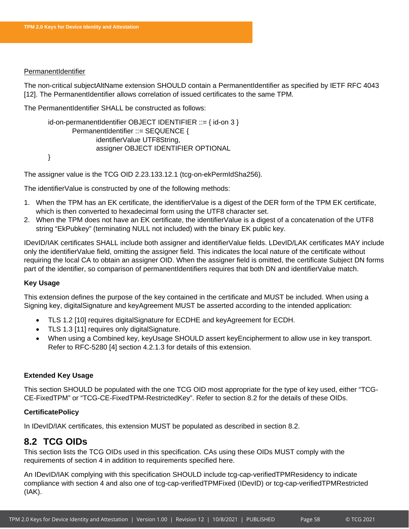### PermanentIdentifier

The non-critical subjectAltName extension SHOULD contain a PermanentIdentifier as specified by IETF RFC 4043 [12]. The PermanentIdentifier allows correlation of issued certificates to the same TPM.

The PermanentIdentifier SHALL be constructed as follows:

```
id-on-permanentIdentifier OBJECT IDENTIFIER ::= { id-on 3 }
       PermanentIdentifier ::= SEQUENCE {
              identifierValue UTF8String,
              assigner OBJECT IDENTIFIER OPTIONAL
}
```
The assigner value is the TCG OID 2.23.133.12.1 (tcg-on-ekPermIdSha256).

The identifierValue is constructed by one of the following methods:

- 1. When the TPM has an EK certificate, the identifierValue is a digest of the DER form of the TPM EK certificate, which is then converted to hexadecimal form using the UTF8 character set.
- 2. When the TPM does not have an EK certificate, the identifierValue is a digest of a concatenation of the UTF8 string "EkPubkey" (terminating NULL not included) with the binary EK public key.

IDevID/IAK certificates SHALL include both assigner and identifierValue fields. LDevID/LAK certificates MAY include only the identifierValue field, omitting the assigner field. This indicates the local nature of the certificate without requiring the local CA to obtain an assigner OID. When the assigner field is omitted, the certificate Subject DN forms part of the identifier, so comparison of permanentIdentifiers requires that both DN and identifierValue match.

### **Key Usage**

This extension defines the purpose of the key contained in the certificate and MUST be included. When using a Signing key, digitalSignature and keyAgreement MUST be asserted according to the intended application:

- TLS 1.2 [10] requires digitalSignature for ECDHE and keyAgreement for ECDH.
- TLS 1.3 [11] requires only digitalSignature.
- When using a Combined key, keyUsage SHOULD assert keyEncipherment to allow use in key transport. Refer to RFC-5280 [4] section 4.2.1.3 for details of this extension.

### **Extended Key Usage**

This section SHOULD be populated with the one TCG OID most appropriate for the type of key used, either "TCG-CE-FixedTPM" or "TCG-CE-FixedTPM-RestrictedKey". Refer to section [8.2](#page-58-0) for the details of these OIDs.

### **CertificatePolicy**

In IDevID/IAK certificates, this extension MUST be populated as described in section [8.2.](#page-58-0)

# <span id="page-58-0"></span>**8.2 TCG OIDs**

This section lists the TCG OIDs used in this specification. CAs using these OIDs MUST comply with the requirements of section [4](#page-17-0) in addition to requirements specified here.

An IDevID/IAK complying with this specification SHOULD include tcg-cap-verifiedTPMResidency to indicate compliance with section [4](#page-17-0) and also one of tcg-cap-verifiedTPMFixed (IDevID) or tcg-cap-verifiedTPMRestricted (IAK).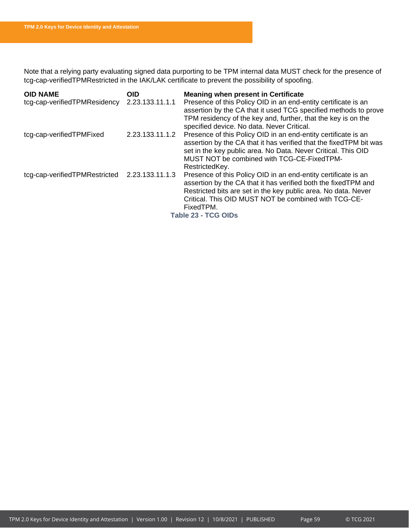Note that a relying party evaluating signed data purporting to be TPM internal data MUST check for the presence of tcg-cap-verifiedTPMRestricted in the IAK/LAK certificate to prevent the possibility of spoofing.

| <b>OID NAME</b>                               | <b>OID</b>      | <b>Meaning when present in Certificate</b>                          |  |
|-----------------------------------------------|-----------------|---------------------------------------------------------------------|--|
| tcg-cap-verifiedTPMResidency                  | 2.23.133.11.1.1 | Presence of this Policy OID in an end-entity certificate is an      |  |
|                                               |                 | assertion by the CA that it used TCG specified methods to prove     |  |
|                                               |                 | TPM residency of the key and, further, that the key is on the       |  |
|                                               |                 | specified device. No data. Never Critical.                          |  |
| tcg-cap-verifiedTPMFixed                      | 2.23.133.11.1.2 | Presence of this Policy OID in an end-entity certificate is an      |  |
|                                               |                 | assertion by the CA that it has verified that the fixed TPM bit was |  |
|                                               |                 | set in the key public area. No Data. Never Critical. This OID       |  |
|                                               |                 | MUST NOT be combined with TCG-CE-FixedTPM-                          |  |
|                                               |                 | RestrictedKey.                                                      |  |
| tcg-cap-verifiedTPMRestricted 2.23.133.11.1.3 |                 | Presence of this Policy OID in an end-entity certificate is an      |  |
|                                               |                 | assertion by the CA that it has verified both the fixed TPM and     |  |
|                                               |                 | Restricted bits are set in the key public area. No data. Never      |  |
|                                               |                 | Critical. This OID MUST NOT be combined with TCG-CE-                |  |
|                                               |                 | FixedTPM.                                                           |  |
| Table 23 - TCG OIDs                           |                 |                                                                     |  |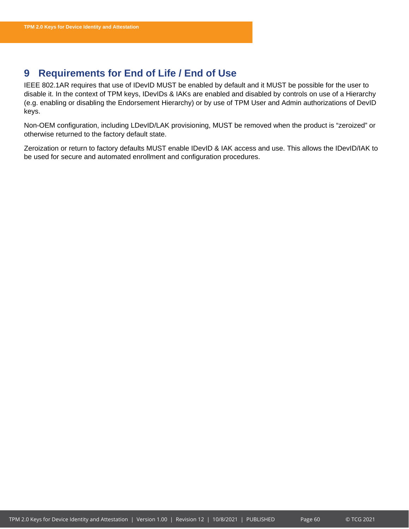# <span id="page-60-0"></span>**9 Requirements for End of Life / End of Use**

IEEE 802.1AR requires that use of IDevID MUST be enabled by default and it MUST be possible for the user to disable it. In the context of TPM keys, IDevIDs & IAKs are enabled and disabled by controls on use of a Hierarchy (e.g. enabling or disabling the Endorsement Hierarchy) or by use of TPM User and Admin authorizations of DevID keys.

Non-OEM configuration, including LDevID/LAK provisioning, MUST be removed when the product is "zeroized" or otherwise returned to the factory default state.

Zeroization or return to factory defaults MUST enable IDevID & IAK access and use. This allows the IDevID/IAK to be used for secure and automated enrollment and configuration procedures.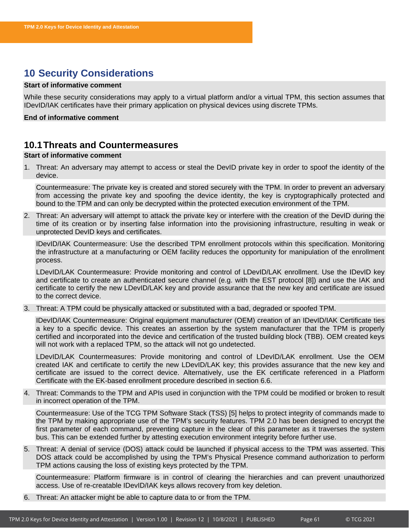# <span id="page-61-0"></span>**10 Security Considerations**

### **Start of informative comment**

While these security considerations may apply to a virtual platform and/or a virtual TPM, this section assumes that IDevID/IAK certificates have their primary application on physical devices using discrete TPMs.

**End of informative comment**

# <span id="page-61-1"></span>**10.1Threats and Countermeasures**

### **Start of informative comment**

1. Threat: An adversary may attempt to access or steal the DevID private key in order to spoof the identity of the device.

Countermeasure: The private key is created and stored securely with the TPM. In order to prevent an adversary from accessing the private key and spoofing the device identity, the key is cryptographically protected and bound to the TPM and can only be decrypted within the protected execution environment of the TPM.

2. Threat: An adversary will attempt to attack the private key or interfere with the creation of the DevID during the time of its creation or by inserting false information into the provisioning infrastructure, resulting in weak or unprotected DevID keys and certificates.

IDevID/IAK Countermeasure: Use the described TPM enrollment protocols within this specification. Monitoring the infrastructure at a manufacturing or OEM facility reduces the opportunity for manipulation of the enrollment process.

LDevID/LAK Countermeasure: Provide monitoring and control of LDevID/LAK enrollment. Use the IDevID key and certificate to create an authenticated secure channel (e.g. with the EST protocol [8]) and use the IAK and certificate to certify the new LDevID/LAK key and provide assurance that the new key and certificate are issued to the correct device.

3. Threat: A TPM could be physically attacked or substituted with a bad, degraded or spoofed TPM.

IDevID/IAK Countermeasure: Original equipment manufacturer (OEM) creation of an IDevID/IAK Certificate ties a key to a specific device. This creates an assertion by the system manufacturer that the TPM is properly certified and incorporated into the device and certification of the trusted building block (TBB). OEM created keys will not work with a replaced TPM, so the attack will not go undetected.

LDevID/LAK Countermeasures: Provide monitoring and control of LDevID/LAK enrollment. Use the OEM created IAK and certificate to certify the new LDevID/LAK key; this provides assurance that the new key and certificate are issued to the correct device. Alternatively, use the EK certificate referenced in a Platform Certificate with the EK-based enrollment procedure described in section [6.6.](#page-33-1)

4. Threat: Commands to the TPM and APIs used in conjunction with the TPM could be modified or broken to result in incorrect operation of the TPM.

Countermeasure: Use of the TCG TPM Software Stack (TSS) [5] helps to protect integrity of commands made to the TPM by making appropriate use of the TPM's security features. TPM 2.0 has been designed to encrypt the first parameter of each command, preventing capture in the clear of this parameter as it traverses the system bus. This can be extended further by attesting execution environment integrity before further use.

5. Threat: A denial of service (DOS) attack could be launched if physical access to the TPM was asserted. This DOS attack could be accomplished by using the TPM's Physical Presence command authorization to perform TPM actions causing the loss of existing keys protected by the TPM.

Countermeasure: Platform firmware is in control of clearing the hierarchies and can prevent unauthorized access. Use of re-creatable IDevID/IAK keys allows recovery from key deletion.

6. Threat: An attacker might be able to capture data to or from the TPM.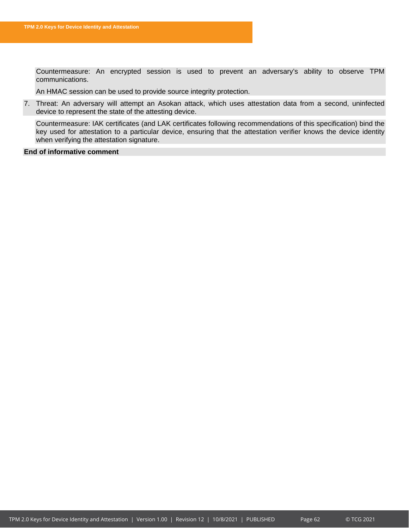Countermeasure: An encrypted session is used to prevent an adversary's ability to observe TPM communications.

An HMAC session can be used to provide source integrity protection.

7. Threat: An adversary will attempt an Asokan attack, which uses attestation data from a second, uninfected device to represent the state of the attesting device.

Countermeasure: IAK certificates (and LAK certificates following recommendations of this specification) bind the key used for attestation to a particular device, ensuring that the attestation verifier knows the device identity when verifying the attestation signature.

### **End of informative comment**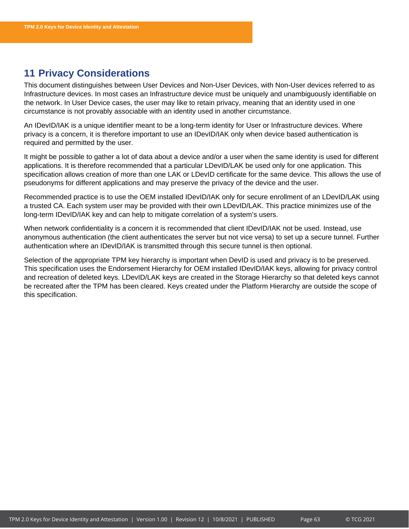# <span id="page-63-0"></span>**11 Privacy Considerations**

This document distinguishes between User Devices and Non-User Devices, with Non-User devices referred to as Infrastructure devices. In most cases an Infrastructure device must be uniquely and unambiguously identifiable on the network. In User Device cases, the user may like to retain privacy, meaning that an identity used in one circumstance is not provably associable with an identity used in another circumstance.

An IDevID/IAK is a unique identifier meant to be a long-term identity for User or Infrastructure devices. Where privacy is a concern, it is therefore important to use an IDevID/IAK only when device based authentication is required and permitted by the user.

It might be possible to gather a lot of data about a device and/or a user when the same identity is used for different applications. It is therefore recommended that a particular LDevID/LAK be used only for one application. This specification allows creation of more than one LAK or LDevID certificate for the same device. This allows the use of pseudonyms for different applications and may preserve the privacy of the device and the user.

Recommended practice is to use the OEM installed IDevID/IAK only for secure enrollment of an LDevID/LAK using a trusted CA. Each system user may be provided with their own LDevID/LAK. This practice minimizes use of the long-term IDevID/IAK key and can help to mitigate correlation of a system's users.

When network confidentiality is a concern it is recommended that client IDevID/IAK not be used. Instead, use anonymous authentication (the client authenticates the server but not vice versa) to set up a secure tunnel. Further authentication where an IDevID/IAK is transmitted through this secure tunnel is then optional.

Selection of the appropriate TPM key hierarchy is important when DevID is used and privacy is to be preserved. This specification uses the Endorsement Hierarchy for OEM installed IDevID/IAK keys, allowing for privacy control and recreation of deleted keys. LDevID/LAK keys are created in the Storage Hierarchy so that deleted keys cannot be recreated after the TPM has been cleared. Keys created under the Platform Hierarchy are outside the scope of this specification.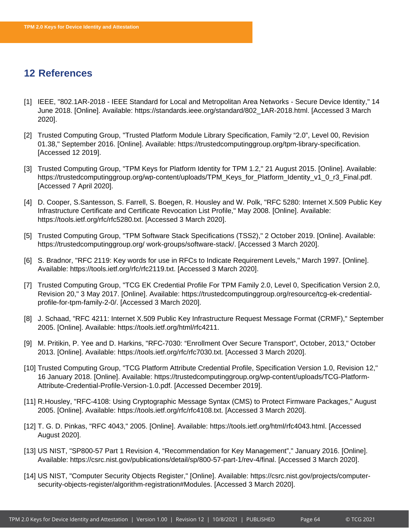# <span id="page-64-0"></span>**12 References**

- [1] IEEE, "802.1AR-2018 IEEE Standard for Local and Metropolitan Area Networks Secure Device Identity," 14 June 2018. [Online]. Available: https://standards.ieee.org/standard/802\_1AR-2018.html. [Accessed 3 March 2020].
- [2] Trusted Computing Group, "Trusted Platform Module Library Specification, Family "2.0", Level 00, Revision 01.38," September 2016. [Online]. Available: https://trustedcomputinggroup.org/tpm-library-specification. [Accessed 12 2019].
- [3] Trusted Computing Group, "TPM Keys for Platform Identity for TPM 1.2," 21 August 2015. [Online]. Available: https://trustedcomputinggroup.org/wp-content/uploads/TPM\_Keys\_for\_Platform\_Identity\_v1\_0\_r3\_Final.pdf. [Accessed 7 April 2020].
- [4] D. Cooper, S.Santesson, S. Farrell, S. Boegen, R. Housley and W. Polk, "RFC 5280: Internet X.509 Public Key Infrastructure Certificate and Certificate Revocation List Profile," May 2008. [Online]. Available: https://tools.ietf.org/rfc/rfc5280.txt. [Accessed 3 March 2020].
- [5] Trusted Computing Group, "TPM Software Stack Specifications (TSS2)," 2 October 2019. [Online]. Available: https://trustedcomputinggroup.org/ work-groups/software-stack/. [Accessed 3 March 2020].
- [6] S. Bradnor, "RFC 2119: Key words for use in RFCs to Indicate Requirement Levels," March 1997. [Online]. Available: https://tools.ietf.org/rfc/rfc2119.txt. [Accessed 3 March 2020].
- [7] Trusted Computing Group, "TCG EK Credential Profile For TPM Family 2.0, Level 0, Specification Version 2.0, Revision 20," 3 May 2017. [Online]. Available: https://trustedcomputinggroup.org/resource/tcg-ek-credentialprofile-for-tpm-family-2-0/. [Accessed 3 March 2020].
- [8] J. Schaad, "RFC 4211: Internet X.509 Public Key Infrastructure Request Message Format (CRMF)," September 2005. [Online]. Available: https://tools.ietf.org/html/rfc4211.
- [9] M. Pritikin, P. Yee and D. Harkins, "RFC-7030: "Enrollment Over Secure Transport", October, 2013," October 2013. [Online]. Available: https://tools.ietf.org/rfc/rfc7030.txt. [Accessed 3 March 2020].
- [10] Trusted Computing Group, "TCG Platform Attribute Credential Profile, Specification Version 1.0, Revision 12," 16 January 2018. [Online]. Available: https://trustedcomputinggroup.org/wp-content/uploads/TCG-Platform-Attribute-Credential-Profile-Version-1.0.pdf. [Accessed December 2019].
- [11] R.Housley, "RFC-4108: Using Cryptographic Message Syntax (CMS) to Protect Firmware Packages," August 2005. [Online]. Available: https://tools.ietf.org/rfc/rfc4108.txt. [Accessed 3 March 2020].
- [12] T. G. D. Pinkas, "RFC 4043," 2005. [Online]. Available: https://tools.ietf.org/html/rfc4043.html. [Accessed August 2020].
- [13] US NIST, "SP800-57 Part 1 Revision 4, "Recommendation for Key Management"," January 2016. [Online]. Available: https://csrc.nist.gov/publications/detail/sp/800-57-part-1/rev-4/final. [Accessed 3 March 2020].
- [14] US NIST, "Computer Security Objects Register," [Online]. Available: https://csrc.nist.gov/projects/computersecurity-objects-register/algorithm-registration#Modules. [Accessed 3 March 2020].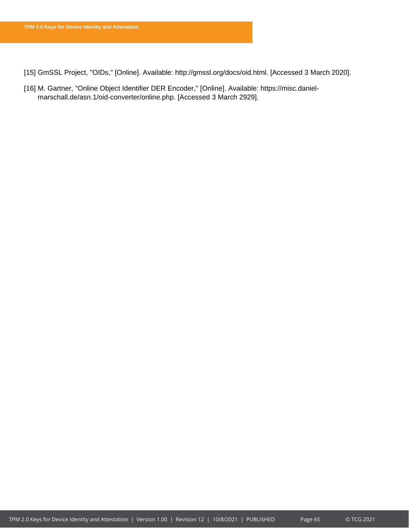[15] GmSSL Project, "OIDs," [Online]. Available: http://gmssl.org/docs/oid.html. [Accessed 3 March 2020].

[16] M. Gartner, "Online Object Identifier DER Encoder," [Online]. Available: https://misc.danielmarschall.de/asn.1/oid-converter/online.php. [Accessed 3 March 2929].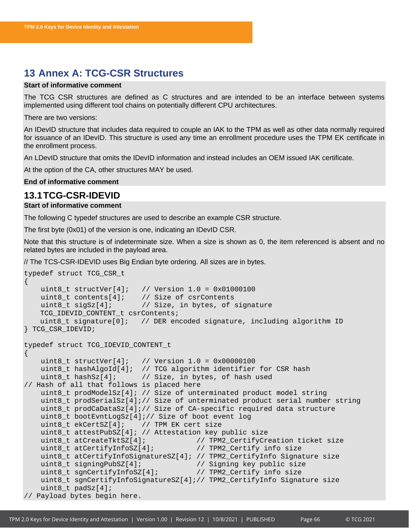# <span id="page-66-0"></span>**13 Annex A: TCG-CSR Structures**

### **Start of informative comment**

The TCG CSR structures are defined as C structures and are intended to be an interface between systems implemented using different tool chains on potentially different CPU architectures.

There are two versions:

An IDevID structure that includes data required to couple an IAK to the TPM as well as other data normally required for issuance of an IDevID. This structure is used any time an enrollment procedure uses the TPM EK certificate in the enrollment process.

An LDevID structure that omits the IDevID information and instead includes an OEM issued IAK certificate.

At the option of the CA, other structures MAY be used.

```
End of informative comment
```
### <span id="page-66-1"></span>**13.1TCG-CSR-IDEVID**

### **Start of informative comment**

The following C typedef structures are used to describe an example CSR structure.

The first byte (0x01) of the version is one, indicating an IDevID CSR.

Note that this structure is of indeterminate size. When a size is shown as 0, the item referenced is absent and no related bytes are included in the payload area.

// The TCS-CSR-IDEVID uses Big Endian byte ordering. All sizes are in bytes.

```
typedef struct TCG_CSR_t
\{ uint8_t structVer[4]; // Version 1.0 = 0x01000100 
    uint8_t contents[4]; // Size of csrContents<br>uint8_t sigSz[4]; // Size, in bytes, of
                         // Size, in bytes, of signature
    TCG_IDEVID_CONTENT_t csrContents;
    uint8_t signature[0]; // DER encoded signature, including algorithm ID
} TCG_CSR_IDEVID;
typedef struct TCG_IDEVID_CONTENT_t 
\{uint8 t structVer[4]; // Version 1.0 = 0x00000100
     uint8_t hashAlgoId[4]; // TCG algorithm identifier for CSR hash
     uint8_t hashSz[4]; // Size, in bytes, of hash used
// Hash of all that follows is placed here
     uint8_t prodModelSz[4]; // Size of unterminated product model string
     uint8_t prodSerialSz[4];// Size of unterminated product serial number string
    uint8 t prodCaDataSz[4];// Size of CA-specific required data structure
     uint8_t bootEvntLogSz[4];// Size of boot event log
    uint8 t ekCertSZ[4]; // TPM EK cert size
    uint8_t attestPubSZ[4]; // Attestation key public size<br>uint8_t atCreateTktSZ[4];     // TPM2_CertifyCre
                                              // TPM2_CertifyCreation ticket size<br>// TPM2_Certify info size
    uint8_t atCertifyInfoSZ[4];
    uint8_t atCertifyInfoSignatureSZ[4]; // TPM2_CertifyInfo Signature size<br>uint8_t signingPubSZ[4]; // Signing key public size
                                              // Signing key public size
     uint8_t sgnCertifyInfoSZ[4]; // TPM2_Certify info size 
     uint8_t sgnCertifyInfoSignatureSZ[4];// TPM2_CertifyInfo Signature size
    uint8 t padSz[4];
// Payload bytes begin here.
```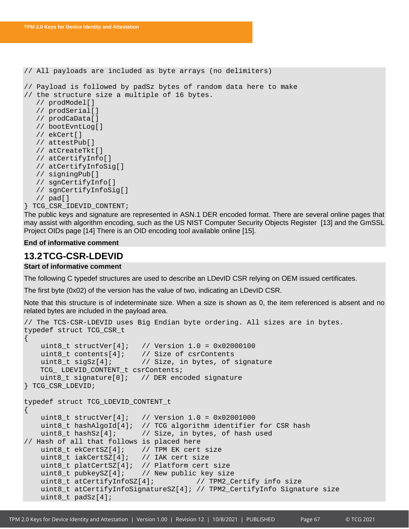```
// All payloads are included as byte arrays (no delimiters) 
// Payload is followed by padSz bytes of random data here to make
// the structure size a multiple of 16 bytes.
  // prodModel[]
  // prodSerial[]
  // prodCaData[]
  // bootEvntLog[]
  // ekCert[]
  // attestPub[]
  // atCreateTkt[]
  // atCertifyInfo[]
  // atCertifyInfoSig[]
  // signingPub[]
  // sgnCertifyInfo[]
  // sgnCertifyInfoSig[]
  // pad[]
} TCG_CSR_IDEVID_CONTENT;
```
The public keys and signature are represented in ASN.1 DER encoded format. There are several online pages that may assist with algorithm encoding, such as the US NIST Computer Security Objects Register [13] and the GmSSL Project OIDs page [14] There is an OID encoding tool available online [15].

### **End of informative comment**

# <span id="page-67-0"></span>**13.2TCG-CSR-LDEVID**

### **Start of informative comment**

The following C typedef structures are used to describe an LDevID CSR relying on OEM issued certificates.

The first byte (0x02) of the version has the value of two, indicating an LDevID CSR.

Note that this structure is of indeterminate size. When a size is shown as 0, the item referenced is absent and no related bytes are included in the payload area.

```
// The TCS-CSR-LDEVID uses Big Endian byte ordering. All sizes are in bytes.
typedef struct TCG_CSR_t
\left\{ \right.uint8_t structVer[4]; // Version 1.0 = 0 \times 02000100<br>uint8 t contents[4]; // Size of csrContents
     uint8_t contents[4]; \frac{1}{2} // Size of csrContents<br>uint8_t sigSz[4]; \frac{1}{2} // Size, in bytes, of
                                      // Size, in bytes, of signature
     TCG_ LDEVID_CONTENT_t csrContents;
     uint8_t signature[0]; // DER encoded signature
} TCG_CSR_LDEVID;
typedef struct TCG_LDEVID_CONTENT_t 
{
     uint8 t structVer[4]; // Version 1.0 = 0x02001000uint8_t hashAlgoId[4]; // TCG algorithm identifier for CSR hash<br>uint8 t hashSz[4]; // Size, in bytes, of hash used
                                 // Size, in bytes, of hash used
// Hash of all that follows is placed here
    uint8_t ekCertSZ[4]; // TPM EK cert size<br>uint8_t iakCertSZ[4]; // IAK cert size
     uint8_t iakCertSZ[4];
    uint8_t platCertSZ[4]; // Platform cert size<br>uint8_t pubkeySZ[4]; // New public key siz
     uint8_t pubkeySZ[4]; \qquad // New public key size uint8_t atCertifyInfoSZ[4]; \qquad // TPM2_C
                                             uint 6 y // TPM2_Certify info size
      uint8_t atCertifyInfoSignatureSZ[4]; // TPM2_CertifyInfo Signature size
      uint8_t padSz[4];
```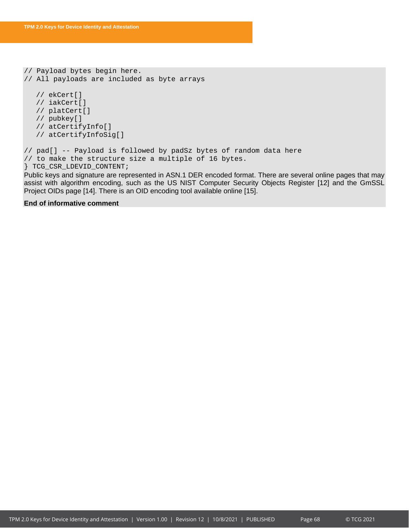```
// Payload bytes begin here. 
// All payloads are included as byte arrays
  // ekCert[]
  // iakCert[]
  // platCert[]
  // pubkey[]
  // atCertifyInfo[]
  // atCertifyInfoSig[]
// pad[] -- Payload is followed by padSz bytes of random data here
// to make the structure size a multiple of 16 bytes.
} TCG_CSR_LDEVID_CONTENT;
```
Public keys and signature are represented in ASN.1 DER encoded format. There are several online pages that may assist with algorithm encoding, such as the US NIST Computer Security Objects Register [12] and the GmSSL Project OIDs page [14]. There is an OID encoding tool available online [15].

### **End of informative comment**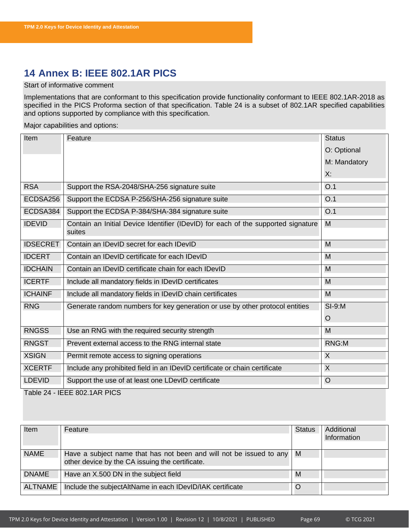# <span id="page-69-0"></span>**14 Annex B: IEEE 802.1AR PICS**

### Start of informative comment

Implementations that are conformant to this specification provide functionality conformant to IEEE 802.1AR-2018 as specified in the PICS Proforma section of that specification. [Table 24](#page-69-1) is a subset of 802.1AR specified capabilities and options supported by compliance with this specification.

Major capabilities and options:

| Item            | Feature                                                                                     | <b>Status</b> |
|-----------------|---------------------------------------------------------------------------------------------|---------------|
|                 |                                                                                             | O: Optional   |
|                 |                                                                                             | M: Mandatory  |
|                 |                                                                                             | Х:            |
| <b>RSA</b>      | Support the RSA-2048/SHA-256 signature suite                                                | O.1           |
| ECDSA256        | Support the ECDSA P-256/SHA-256 signature suite                                             | O.1           |
| ECDSA384        | Support the ECDSA P-384/SHA-384 signature suite                                             | O.1           |
| <b>IDEVID</b>   | Contain an Initial Device Identifier (IDevID) for each of the supported signature<br>suites | M             |
| <b>IDSECRET</b> | Contain an IDevID secret for each IDevID                                                    | M             |
| <b>IDCERT</b>   | Contain an IDevID certificate for each IDevID                                               | M             |
| <b>IDCHAIN</b>  | Contain an IDevID certificate chain for each IDevID                                         | M             |
| <b>ICERTF</b>   | Include all mandatory fields in IDevID certificates                                         | M             |
| <b>ICHAINF</b>  | Include all mandatory fields in IDevID chain certificates                                   | M             |
| <b>RNG</b>      | Generate random numbers for key generation or use by other protocol entities                | $SI-9:M$      |
|                 |                                                                                             | $\circ$       |
| <b>RNGSS</b>    | Use an RNG with the required security strength                                              | M             |
| <b>RNGST</b>    | Prevent external access to the RNG internal state                                           | RNG:M         |
| <b>XSIGN</b>    | Permit remote access to signing operations                                                  | X             |
| <b>XCERTF</b>   | Include any prohibited field in an IDevID certificate or chain certificate                  | X             |
| <b>LDEVID</b>   | Support the use of at least one LDevID certificate                                          | $\circ$       |
|                 | Table 24 - IEEE 802.1AR PICS                                                                |               |

<span id="page-69-1"></span>

| Item           | Feature                                                                                                                              | <b>Status</b> | Additional<br>Information |
|----------------|--------------------------------------------------------------------------------------------------------------------------------------|---------------|---------------------------|
| <b>NAME</b>    | Have a subject name that has not been and will not be issued to any $\mid M \mid$<br>other device by the CA issuing the certificate. |               |                           |
| <b>DNAME</b>   | Have an X.500 DN in the subject field                                                                                                | M             |                           |
| <b>ALTNAME</b> | Include the subjectAltName in each IDevID/IAK certificate                                                                            | O             |                           |